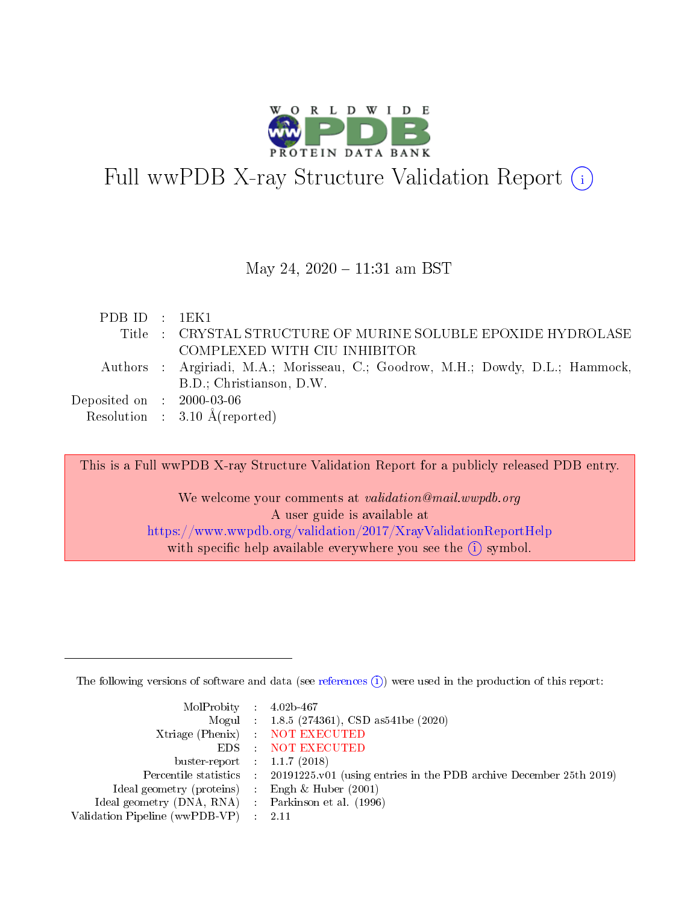

# Full wwPDB X-ray Structure Validation Report (i)

#### May 24, 2020 - 11:31 am BST

| PDBID : 1EK1                   |                                                                                |
|--------------------------------|--------------------------------------------------------------------------------|
|                                | Title : CRYSTAL STRUCTURE OF MURINE SOLUBLE EPOXIDE HYDROLASE                  |
|                                | COMPLEXED WITH CIU INHIBITOR                                                   |
|                                | Authors : Argiriadi, M.A.; Morisseau, C.; Goodrow, M.H.; Dowdy, D.L.; Hammock, |
|                                | B.D.; Christianson, D.W.                                                       |
| Deposited on $\;$ : 2000-03-06 |                                                                                |
|                                | Resolution : $3.10 \text{ Å}$ (reported)                                       |
|                                |                                                                                |

This is a Full wwPDB X-ray Structure Validation Report for a publicly released PDB entry. We welcome your comments at validation@mail.wwpdb.org A user guide is available at <https://www.wwpdb.org/validation/2017/XrayValidationReportHelp> with specific help available everywhere you see the  $(i)$  symbol.

The following versions of software and data (see [references](https://www.wwpdb.org/validation/2017/XrayValidationReportHelp#references)  $(i)$ ) were used in the production of this report:

| MolProbity : $4.02b-467$                            |                                                                                            |
|-----------------------------------------------------|--------------------------------------------------------------------------------------------|
|                                                     | Mogul : $1.8.5$ (274361), CSD as 541be (2020)                                              |
|                                                     | Xtriage (Phenix) NOT EXECUTED                                                              |
|                                                     | EDS : NOT EXECUTED                                                                         |
| buster-report : $1.1.7(2018)$                       |                                                                                            |
|                                                     | Percentile statistics : 20191225.v01 (using entries in the PDB archive December 25th 2019) |
| Ideal geometry (proteins) :                         | Engh & Huber $(2001)$                                                                      |
| Ideal geometry (DNA, RNA) : Parkinson et al. (1996) |                                                                                            |
| Validation Pipeline (wwPDB-VP)                      | -2.11                                                                                      |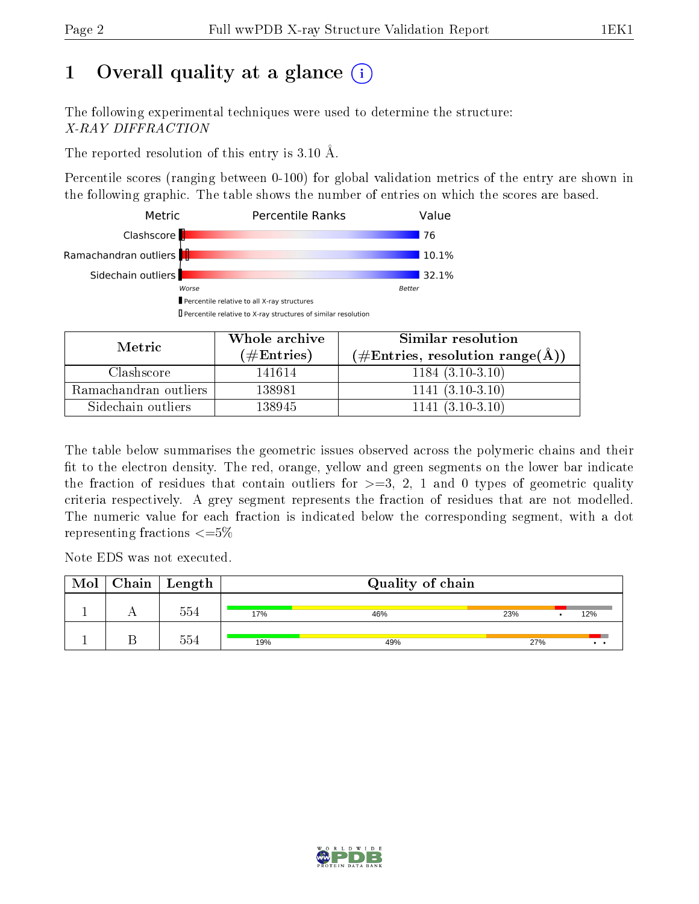# 1 [O](https://www.wwpdb.org/validation/2017/XrayValidationReportHelp#overall_quality)verall quality at a glance  $(i)$

The following experimental techniques were used to determine the structure: X-RAY DIFFRACTION

The reported resolution of this entry is 3.10 Å.

Percentile scores (ranging between 0-100) for global validation metrics of the entry are shown in the following graphic. The table shows the number of entries on which the scores are based.



| Metric                | Whole archive       | Similar resolution                                         |
|-----------------------|---------------------|------------------------------------------------------------|
|                       | (# $\rm{Entries}$ ) | $(\#\text{Entries}, \text{resolution range}(\text{\AA})\)$ |
| Clashscore            | 141614              | $1184(3.10-3.10)$                                          |
| Ramachandran outliers | 138981              | $1141(3.10-3.10)$                                          |
| Sidechain outliers    | 138945              | $1141(3.10-3.10)$                                          |

The table below summarises the geometric issues observed across the polymeric chains and their fit to the electron density. The red, orange, yellow and green segments on the lower bar indicate the fraction of residues that contain outliers for  $\geq=3$ , 2, 1 and 0 types of geometric quality criteria respectively. A grey segment represents the fraction of residues that are not modelled. The numeric value for each fraction is indicated below the corresponding segment, with a dot representing fractions  $\epsilon = 5\%$ 

Note EDS was not executed.

| Mol | $Chain \  Length$ |     | Quality of chain |     |  |     |  |  |
|-----|-------------------|-----|------------------|-----|--|-----|--|--|
|     | 554               | 17% | 46%              | 23% |  | 12% |  |  |
|     | 554               | 19% | 49%              | 27% |  |     |  |  |

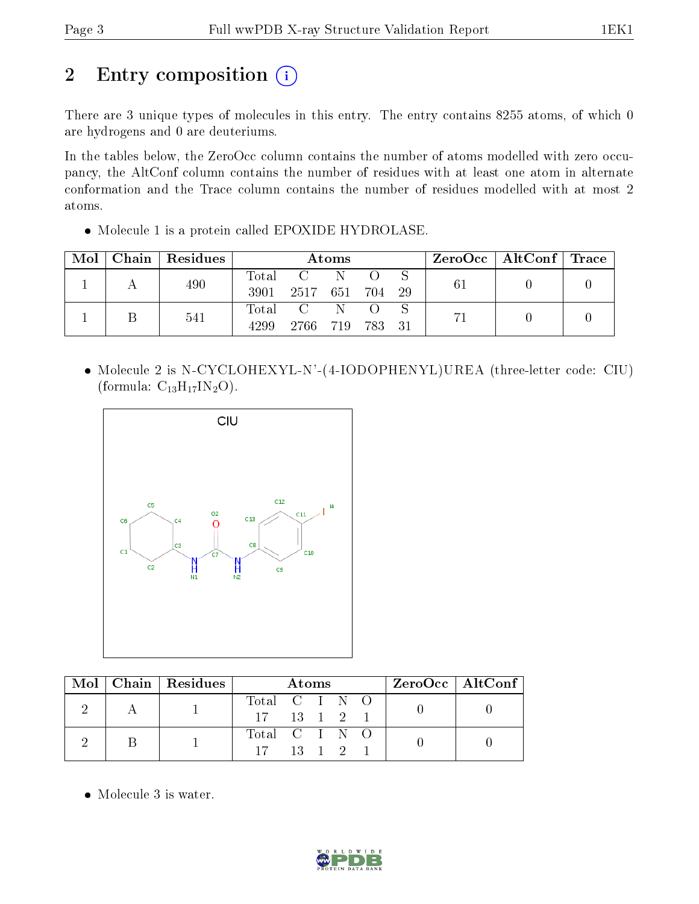# 2 Entry composition (i)

There are 3 unique types of molecules in this entry. The entry contains 8255 atoms, of which 0 are hydrogens and 0 are deuteriums.

In the tables below, the ZeroOcc column contains the number of atoms modelled with zero occupancy, the AltConf column contains the number of residues with at least one atom in alternate conformation and the Trace column contains the number of residues modelled with at most 2 atoms.

Molecule 1 is a protein called EPOXIDE HYDROLASE.

| $\bf{Mol}$ | Chain   Residues | Atoms         |                                                                         |    |  |  |    | $\rm ZeroOcc \mid AltConf \mid Trace$ |  |
|------------|------------------|---------------|-------------------------------------------------------------------------|----|--|--|----|---------------------------------------|--|
|            | 490              | Total<br>3901 | $\sim$ C $\sim$<br>2517 651 704 29                                      | -N |  |  | 61 |                                       |  |
|            | 541              | Total<br>4299 | $\overline{C}$ and $\overline{C}$ and $\overline{C}$<br>2766 719 783 31 | -N |  |  |    |                                       |  |

 Molecule 2 is N-CYCLOHEXYL-N'-(4-IODOPHENYL)UREA (three-letter code: CIU) (formula:  $C_{13}H_{17}IN_2O$ ).



|  | Mol   Chain   Residues | <b>Atoms</b>          |  |  |  | ZeroOcc   AltConf |  |  |  |
|--|------------------------|-----------------------|--|--|--|-------------------|--|--|--|
|  |                        | Total C I N O         |  |  |  |                   |  |  |  |
|  |                        | $17 \t13 \t1 \t2 \t1$ |  |  |  |                   |  |  |  |
|  |                        | Total C I N O         |  |  |  |                   |  |  |  |
|  |                        | $17 \t13 \t1 \t2$     |  |  |  |                   |  |  |  |

• Molecule 3 is water.

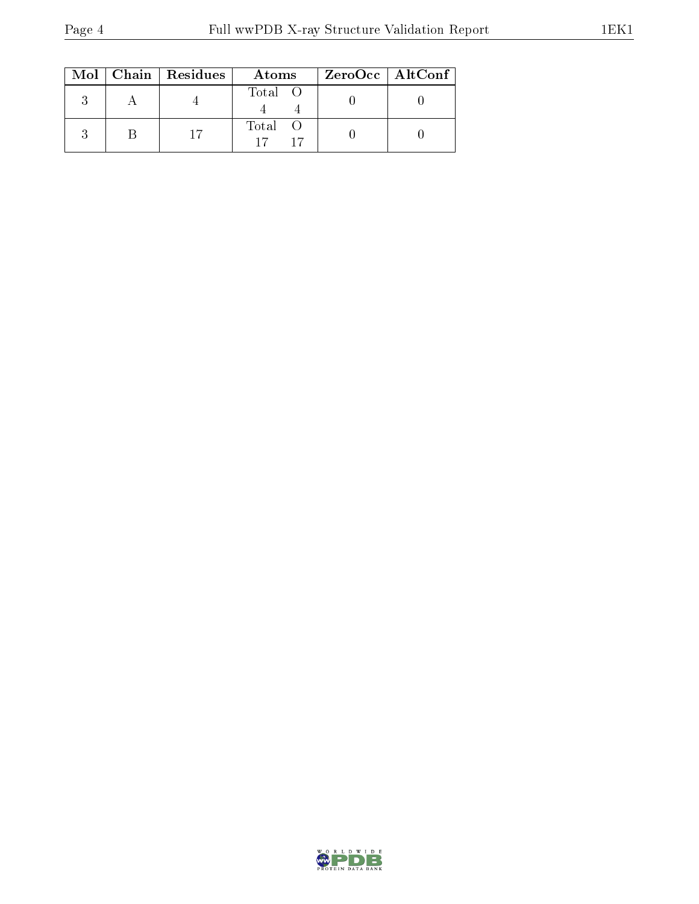|  | Mol   Chain   Residues | Atoms   | $ZeroOcc \mid AltConf \mid$ |  |
|--|------------------------|---------|-----------------------------|--|
|  |                        | Total O |                             |  |
|  |                        | Total O |                             |  |

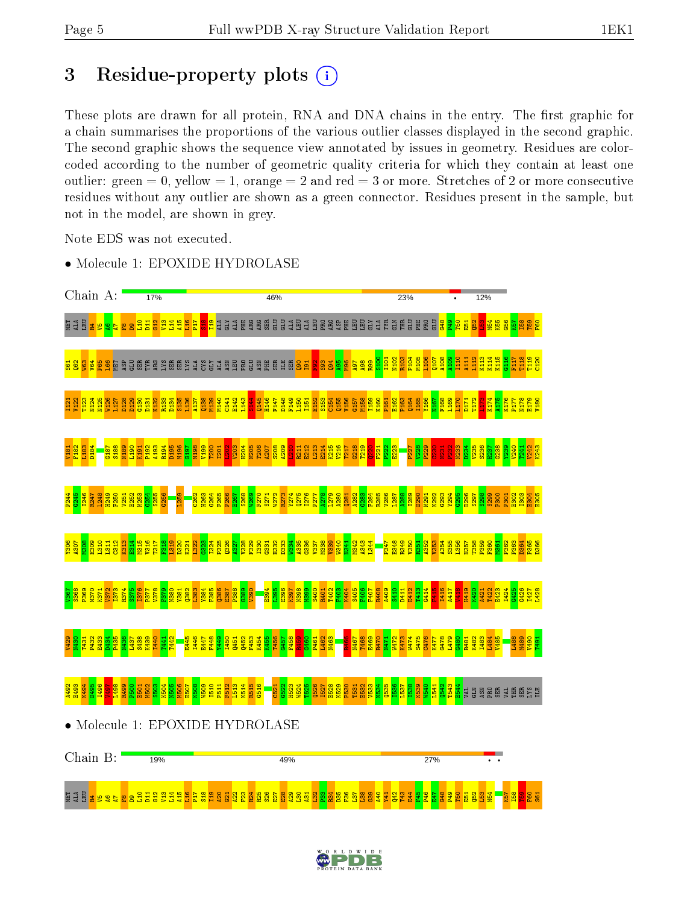# 3 Residue-property plots  $(i)$

These plots are drawn for all protein, RNA and DNA chains in the entry. The first graphic for a chain summarises the proportions of the various outlier classes displayed in the second graphic. The second graphic shows the sequence view annotated by issues in geometry. Residues are colorcoded according to the number of geometric quality criteria for which they contain at least one outlier: green  $= 0$ , yellow  $= 1$ , orange  $= 2$  and red  $= 3$  or more. Stretches of 2 or more consecutive residues without any outlier are shown as a green connector. Residues present in the sample, but not in the model, are shown in grey.

Note EDS was not executed.

• Molecule 1: EPOXIDE HYDROLASE



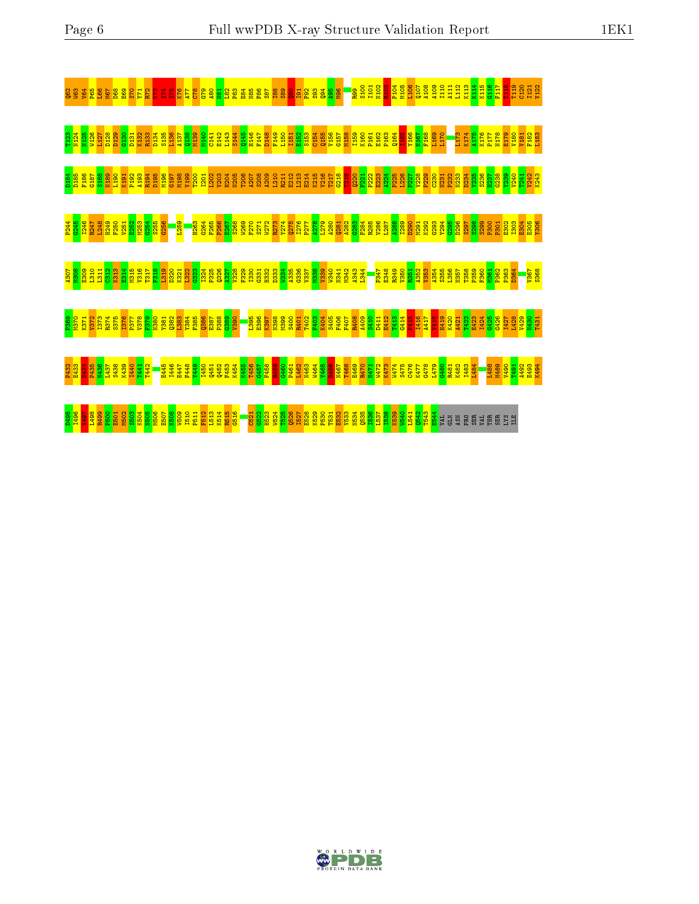

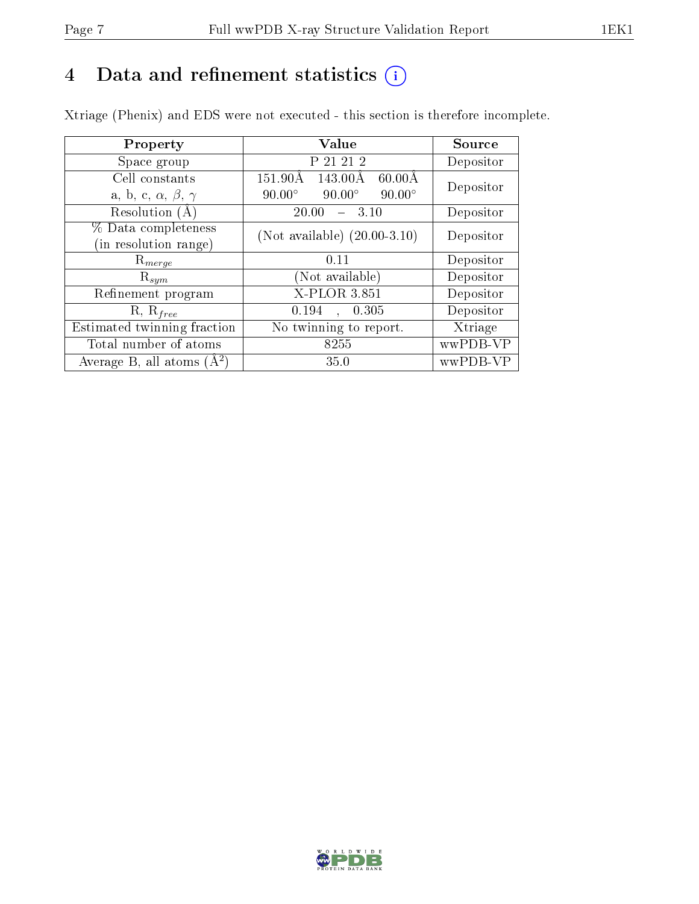# 4 Data and refinement statistics  $(i)$

Xtriage (Phenix) and EDS were not executed - this section is therefore incomplete.

| Property                               | Value                                           | Source    |  |
|----------------------------------------|-------------------------------------------------|-----------|--|
| Space group                            | P 21 21 2                                       | Depositor |  |
| Cell constants                         | $60.00\text{\AA}$<br>151.90Å<br>143.00Å         | Depositor |  |
| a, b, c, $\alpha$ , $\beta$ , $\gamma$ | $90.00^\circ$<br>$90.00^\circ$<br>$90.00^\circ$ |           |  |
| Resolution (A)                         | 20.00<br>3.10                                   | Depositor |  |
| % Data completeness                    | (Not available) $(20.00-3.10)$                  | Depositor |  |
| in resolution range)                   |                                                 |           |  |
| $\mathrm{R}_{merge}$                   | 0.11                                            | Depositor |  |
| $\mathrm{R}_{sym}$                     | (Not available)                                 | Depositor |  |
| Refinement program                     | X-PLOR 3.851                                    | Depositor |  |
| $R, R_{free}$                          | 0.194<br>0.305                                  | Depositor |  |
| Estimated twinning fraction            | No twinning to report.                          | Xtriage   |  |
| Total number of atoms                  | 8255                                            | wwPDB-VP  |  |
| Average B, all atoms $(A^2)$           | 35.0                                            | wwPDB-VP  |  |

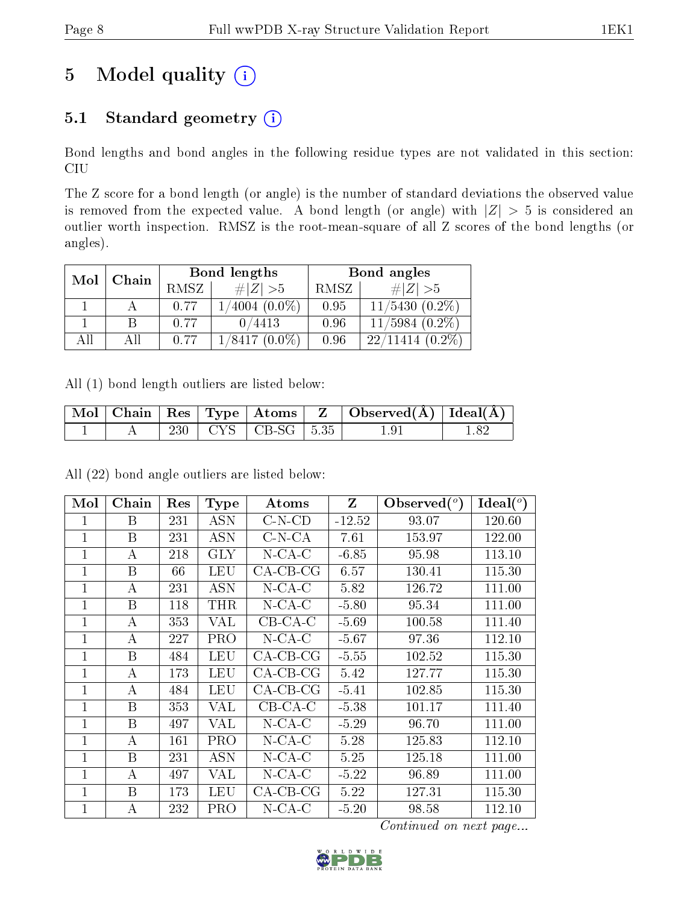# 5 Model quality  $(i)$

## 5.1 Standard geometry (i)

Bond lengths and bond angles in the following residue types are not validated in this section: CIU

The Z score for a bond length (or angle) is the number of standard deviations the observed value is removed from the expected value. A bond length (or angle) with  $|Z| > 5$  is considered an outlier worth inspection. RMSZ is the root-mean-square of all Z scores of the bond lengths (or angles).

| Mol  | Chain |      | Bond lengths        | Bond angles |                          |  |
|------|-------|------|---------------------|-------------|--------------------------|--|
|      |       | RMSZ | $\# Z  > 5$         | RMSZ        | $\# Z  > 5$              |  |
|      |       | 0.77 | $(4004,(0.0\%)$     | 0.95        | $11/5430(0.2\%)$         |  |
|      |       | 0.77 | 0/4413              | 0.96        | $11/5984$ $(0.2\%)$      |  |
| A 11 | Αll   | 0.77 | $(0.0\%)$<br>1/8417 | 0.96        | $(0.2\%)$<br>22<br>11414 |  |

All (1) bond length outliers are listed below:

|  |  |                          | $\mid$ Mol $\mid$ Chain $\mid$ Res $\mid$ Type $\mid$ Atoms $\mid$ Z $\mid$ Observed(A) $\mid$ Ideal(A) $\mid$ |  |
|--|--|--------------------------|----------------------------------------------------------------------------------------------------------------|--|
|  |  | 230   CYS   CB-SG   5.35 | $1.9^{\circ}$                                                                                                  |  |

All (22) bond angle outliers are listed below:

| Mol          | Chain            | Res | <b>Type</b> | Atoms              | $\mathbf{Z}$ | Observed $(°)$ | $\text{Ideal}({}^o)$ |
|--------------|------------------|-----|-------------|--------------------|--------------|----------------|----------------------|
| 1            | B                | 231 | <b>ASN</b>  | $C-N$ - $CD$       | $-12.52$     | 93.07          | 120.60               |
| $\mathbf{1}$ | B                | 231 | <b>ASN</b>  | $C-N-CA$           | 7.61         | 153.97         | 122.00               |
| 1            | $\bf{A}$         | 218 | <b>GLY</b>  | $N$ -CA-C          | $-6.85$      | 95.98          | 113.10               |
| 1            | B                | 66  | <b>LEU</b>  | $CA-CB-CG$         | 6.57         | 130.41         | 115.30               |
| 1            | А                | 231 | <b>ASN</b>  | $N$ -CA-C          | 5.82         | 126.72         | 111.00               |
| 1            | B                | 118 | <b>THR</b>  | $N$ -CA-C          | $-5.80$      | 95.34          | 111.00               |
| 1            | А                | 353 | <b>VAL</b>  | $CB-CA-C$          | $-5.69$      | 100.58         | 111.40               |
| 1            | А                | 227 | <b>PRO</b>  | $N$ -CA-C          | $-5.67$      | 97.36          | 112.10               |
| 1            | B                | 484 | <b>LEU</b>  | $CA-CB-CG$         | $-5.55$      | 102.52         | 115.30               |
| 1            | А                | 173 | <b>LEU</b>  | $CA$ - $CB$ - $CG$ | 5.42         | 127.77         | 115.30               |
| 1            | А                | 484 | LEU         | $CA$ - $CB$ - $CG$ | $-5.41$      | 102.85         | 115.30               |
| 1            | B                | 353 | VAL         | $CB-CA-C$          | $-5.38$      | 101.17         | 111.40               |
| 1            | B                | 497 | VAL         | $N$ -CA-C          | $-5.29$      | 96.70          | 111.00               |
| 1            | А                | 161 | PRO         | $N$ -CA-C          | 5.28         | 125.83         | 112.10               |
| 1            | B                | 231 | <b>ASN</b>  | $N$ -CA-C          | 5.25         | 125.18         | 111.00               |
| 1            | А                | 497 | VAL         | $N$ -CA-C          | $-5.22$      | 96.89          | 111.00               |
| 1            | B                | 173 | <b>LEU</b>  | $CA-CB-CG$         | 5.22         | 127.31         | 115.30               |
| 1            | $\boldsymbol{A}$ | 232 | <b>PRO</b>  | $N$ -CA-C          | $-5.20$      | 98.58          | 112.10               |

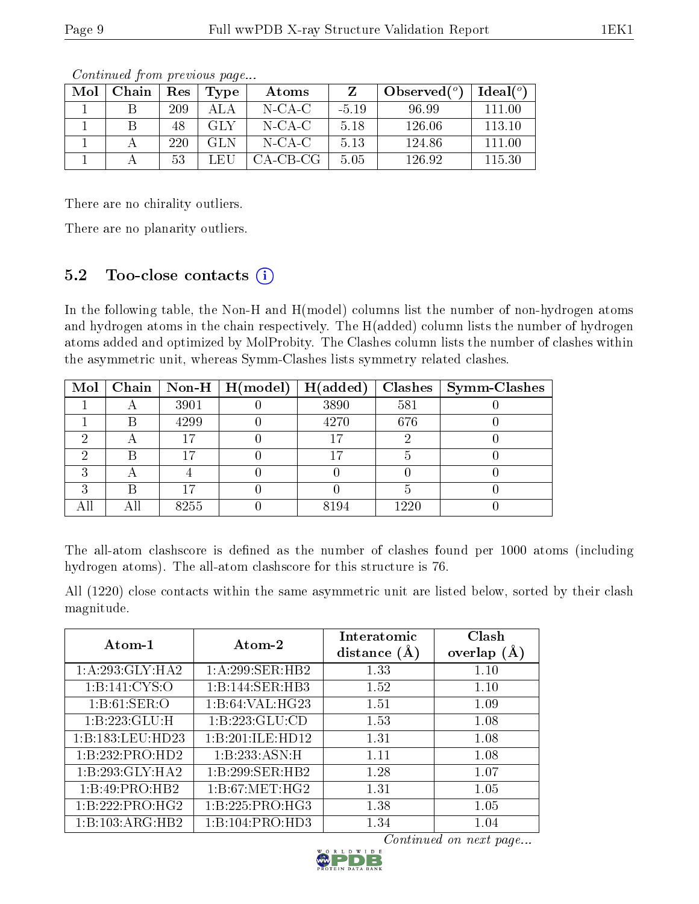| Mol | Chain | Res | Type  | Atoms     |         | Observed $(°)$ | Ideal $(^\circ)$ |
|-----|-------|-----|-------|-----------|---------|----------------|------------------|
|     |       | 209 | A L A | $N$ -CA-C | $-5.19$ | 96.99          | 111.00           |
|     |       | 48  | GLY   | $N$ -CA-C | 5.18    | 126.06         | 113.10           |
|     |       | 220 | GL N  | $N$ -CA-C | 5.13    | 124.86         | 111.00           |
|     |       | -53 | LEU   | CA-CB-CG- | 5.05    | 126.92         | 115.30           |

There are no chirality outliers.

There are no planarity outliers.

### 5.2 Too-close contacts  $(i)$

In the following table, the Non-H and H(model) columns list the number of non-hydrogen atoms and hydrogen atoms in the chain respectively. The H(added) column lists the number of hydrogen atoms added and optimized by MolProbity. The Clashes column lists the number of clashes within the asymmetric unit, whereas Symm-Clashes lists symmetry related clashes.

| Mol |     | Chain   Non-H | $\mid$ H(model) | H(added) | Clashes <sup>1</sup> | <b>Symm-Clashes</b> |
|-----|-----|---------------|-----------------|----------|----------------------|---------------------|
|     |     | 3901          |                 | 3890     | 581                  |                     |
|     |     | 4299          |                 | 4270     | 676                  |                     |
|     |     |               |                 | 17       |                      |                     |
|     |     | $17^{-}$      |                 | 17       |                      |                     |
|     |     |               |                 |          |                      |                     |
|     |     | 17            |                 |          |                      |                     |
|     | All | 8255          |                 | 8194     | 1220                 |                     |

The all-atom clashscore is defined as the number of clashes found per 1000 atoms (including hydrogen atoms). The all-atom clashscore for this structure is 76.

All (1220) close contacts within the same asymmetric unit are listed below, sorted by their clash magnitude.

| Atom-1           | Atom-2           | Interatomic<br>distance $(A)$ | Clash<br>overlap $(A)$ |
|------------------|------------------|-------------------------------|------------------------|
|                  |                  |                               |                        |
| 1:A:293:GLY:HA2  | 1:A:299:SER:HB2  | 1.33                          | 1.10                   |
| 1: B: 141: CYS:O | 1:B:144:SER:HB3  | 1.52                          | 1.10                   |
| 1: B:61: SER:O   | 1:B:64:VAL:HG23  | 1.51                          | 1.09                   |
| 1:B:223:GLU:H    | 1:B:223:GLU:CD   | 1.53                          | 1.08                   |
| 1:B:183:LEU:HD23 | 1:B:201:ILE:HD12 | 1.31                          | 1.08                   |
| 1:B:232:PRO:HD2  | 1:B:233:ASN:H    | 1.11                          | 1.08                   |
| 1:B:293:GLY:HA2  | 1:B:299:SER:HB2  | 1.28                          | 1.07                   |
| 1:B:49:PRO:HB2   | 1: B:67: MET:HG2 | 1.31                          | 1.05                   |
| 1:B:222:PRO:HG2  | 1:B:225:PRO:HG3  | 1.38                          | 1.05                   |
| 1:B:103:ARG:HB2  | 1:B:104:PRO:HD3  | 1.34                          | 1.04                   |

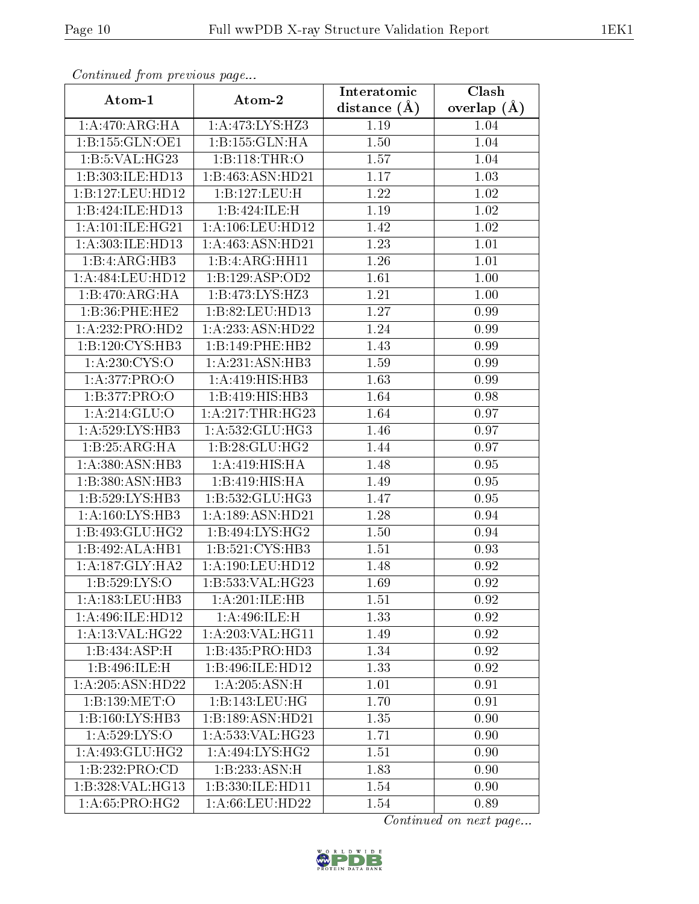| Comunaca jiom previous page |                                     | Interatomic    | Clash           |
|-----------------------------|-------------------------------------|----------------|-----------------|
| Atom-1                      | Atom-2                              | distance $(A)$ | overlap $(\AA)$ |
| 1: A:470:ARG:HA             | 1:A:473:LYS:HZ3                     | 1.19           | 1.04            |
| 1: B: 155: GLN: OE1         | 1:B:155:GLN:HA                      | 1.50           | 1.04            |
| 1:B:5:VAL:H G23             | 1:B:118:THR:O                       | 1.57           | 1.04            |
| 1:B:303:ILE:HD13            | 1:B:463:ASN:HD21                    | 1.17           | 1.03            |
| 1:B:127:LEU:HD12            | 1:B:127:LEU:H                       | 1.22           | 1.02            |
| 1:B:424:ILE:HD13            | 1:B:424:ILE:H                       | 1.19           | 1.02            |
| 1: A: 101: ILE: HG21        | 1:A:106:LEU:HD12                    | 1.42           | $1.02\,$        |
| 1:A:303:ILE:HD13            | 1:A:463:ASN:HD21                    | 1.23           | 1.01            |
| 1:B:4:ARG:HB3               | 1:B:4:ARG:HH11                      | 1.26           | 1.01            |
| 1:A:484:LEU:HD12            | 1:B:129:ASP:OD2                     | 1.61           | 1.00            |
| 1:B:470:ARG:HA              | 1:B:473:LYS:HZ3                     | 1.21           | 1.00            |
| 1:B:36:PHE:HE2              | 1:B:82:LEU:HD13                     | 1.27           | 0.99            |
| 1:A:232:PRO:HD2             | 1:A:233:ASN:HD22                    | 1.24           | 0.99            |
| 1:B:120:CYS:HB3             | 1:B:149:PHE:HB2                     | 1.43           | 0.99            |
| 1:A:230:CYS:O               | 1:A:231:ASN:HB3                     | 1.59           | 0.99            |
| 1:A:377:PRO:O               | 1:A:419:HIS:HBB3                    | 1.63           | 0.99            |
| 1:B:377:PRO:O               | 1:B:419:HIS:HB3                     | 1.64           | 0.98            |
| 1:A:214:GLU:O               | 1: A:217:THR:HG23                   | 1.64           | 0.97            |
| 1:A:529:LYS:HB3             | 1: A: 532: GLU: HG3                 | 1.46           | 0.97            |
| 1:B:25:ARG:HA               | $1:B:28:GLU:H\overline{G2}$         | 1.44           | 0.97            |
| 1: A:380: ASN:HB3           | 1:A:419:HIS:HA                      | 1.48           | 0.95            |
| 1:B:380:ASN:HB3             | 1:B:419:HIS:HA                      | 1.49           | 0.95            |
| 1:B:529:LYS:HB3             | 1:B:532:GLU:HG3                     | 1.47           | 0.95            |
| 1: A:160: LYS: HB3          | 1:A:189:ASN:HD21                    | 1.28           | 0.94            |
| 1:B:493:GLU:HG2             | 1:B:494:LYS:HG2                     | 1.50           | 0.94            |
| 1:B:492:ALA:HB1             | 1: B:521: CYS:HB3                   | 1.51           | 0.93            |
| 1: A:187: GLY: HA2          | 1:A:190:LEU:HD12                    | 1.48           | 0.92            |
| 1:B:529:LYS:O               | 1:B:533:VAL:HG23                    | 1.69           | 0.92            |
| 1: A: 183: LEU: HB3         | 1:A:201:ILE:HB                      | 1.51           | 0.92            |
| 1:A:496:ILE:HD12            | 1:A:496:ILE:H                       | 1.33           | 0.92            |
| 1: A:13: VAL:HG22           | 1:A:203:VAL:HG11                    | 1.49           | 0.92            |
| 1:B:434:ASP:H               | 1:B:435:PRO:HD3                     | 1.34           | 0.92            |
| 1:B:496:ILE:H               | 1:B:496:ILE:HD12                    | 1.33           | 0.92            |
| 1:A:205:ASN:HD22            | 1:A:205:ASN:H                       | 1.01           | 0.91            |
| 1:B:139:MET:O               | 1:B:143:LEU:HG                      | 1.70           | 0.91            |
| 1:B:160:LYS:HB3             | 1:B:189:ASN:HD21                    | 1.35           | 0.90            |
| 1: A: 529: LYS: O           | 1:A:533:VAL:HG23                    | 1.71           | 0.90            |
| 1: A:493: GLU:HG2           | $1:A:494:\overline{\text{LYS:HG2}}$ | 1.51           | 0.90            |
| 1:B:232:PRO:CD              | 1:B:233:ASN:H                       | 1.83           | 0.90            |
| 1:B:328:VAL:HG13            | 1:B:330:ILE:HD11                    | 1.54           | 0.90            |
| 1: A:65: PRO:HG2            | 1:A:66:LEU:HD22                     | 1.54           | 0.89            |

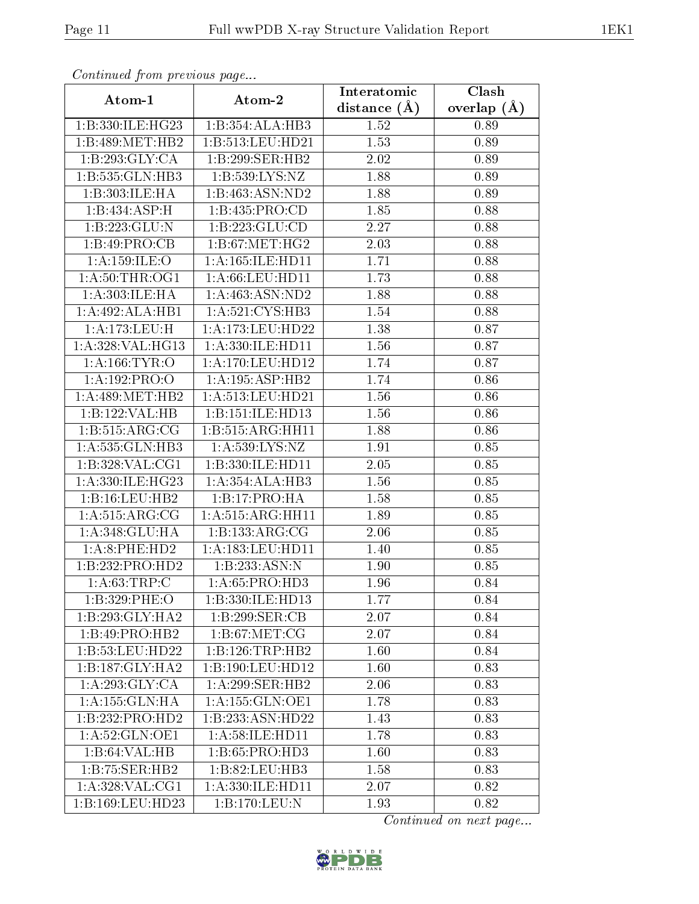| Commuca from previous page |                              | Interatomic    | Clash           |
|----------------------------|------------------------------|----------------|-----------------|
| Atom-1                     | Atom-2                       | distance $(A)$ | overlap $(\AA)$ |
| 1:B:330:ILE:HG23           | 1:B:354:ALA:HB3              | 1.52           | 0.89            |
| 1:B:489:MET:HB2            | 1:B:513:LEU:HD21             | 1.53           | 0.89            |
| 1:B:293:GLY:CA             | 1:B:299:SER:HB2              | 2.02           | 0.89            |
| 1:B:535:GLN:HB3            | 1:B:539:LYS:NZ               | 1.88           | 0.89            |
| 1:B:303:ILE:HA             | 1:B:463:ASN:ND2              | 1.88           | 0.89            |
| 1:B:434:ASP:H              | 1: B: 435: PRO:CD            | 1.85           | 0.88            |
| 1:B:223:GLU:N              | 1:B:223:GLU:CD               | 2.27           | 0.88            |
| 1:B:49:PRO:CB              | 1: B:67: MET:HG2             | 2.03           | 0.88            |
| 1:A:159:ILE:O              | 1: A: 165: ILE: HD11         | 1.71           | 0.88            |
| 1: A:50:THR:OG1            | 1: A:66:LEU:HD11             | 1.73           | 0.88            |
| 1: A: 303: ILE: HA         | 1:A:463:ASN:ND2              | 1.88           | 0.88            |
| 1:A:492:ALA:HB1            | 1:A:521:CYS:HB3              | 1.54           | 0.88            |
| 1:A:173:LEU:H              | 1:A:173:LEU:HD22             | 1.38           | 0.87            |
| 1: A:328: VAL:HG13         | 1:A:330:ILE:HD11             | 1.56           | 0.87            |
| 1:A:166:TYR:O              | 1:A:170:LEU:HD12             | 1.74           | 0.87            |
| 1:A:192:PRO:O              | 1:A:195:ASP:HB2              | 1.74           | 0.86            |
| 1: A:489:MET:HB2           | 1: A: 513: LEU: HD21         | 1.56           | 0.86            |
| 1:B:122:VAL:HB             | 1:B:151:ILE:HD13             | 1.56           | 0.86            |
| 1: B:515: ARG: CG          | 1:B:515:ARG:HH11             | 1.88           | 0.86            |
| 1:A:535:GLN:HB3            | 1: A:539: LYS: NZ            | 1.91           | 0.85            |
| 1:B:328:VAL:CG1            | 1:B:330:ILE:HD11             | 2.05           | 0.85            |
| 1:A:330:ILE:HG23           | 1:A:354:ALA:HB3              | 1.56           | 0.85            |
| 1:B:16:LEU:HB2             | 1:B:17:PRO:HA                | 1.58           | 0.85            |
| 1: A: 515: ARG: CG         | 1:A:515:ARG:HH11             | 1.89           | 0.85            |
| 1:A:348:GLU:HA             | 1:B:133:ARG:CG               | 2.06           | 0.85            |
| 1:A:8:PHE:HD2              | 1:A:183:LEU:HD11             | 1.40           | 0.85            |
| 1:B:232:PRO:HD2            | 1:B:233:ASN:N                | 1.90           | 0.85            |
| 1: A:63:TRP:C              | 1: A:65: PRO:HD3             | 1.96           | 0.84            |
| 1:B:329:PHE:O              | 1:B:330:ILE:HD13             | 1.77           | 0.84            |
| 1:B:293:GLY:HA2            | 1:B:299:SER:CB               | 2.07           | 0.84            |
| 1:B:49:PRO:HB2             | 1: B:67: MET:CG              | 2.07           | 0.84            |
| 1:B:53:LEU:HD22            | $1:B:126:TRP:\overline{HB2}$ | 1.60           | 0.84            |
| 1:B:187:GLY:HA2            | 1:B:190:LEU:HD12             | 1.60           | 0.83            |
| 1: A:293: GLY: CA          | 1: A:299: SER: HB2           | 2.06           | 0.83            |
| 1: A: 155: GLN: HA         | 1:A:155:GLN:OE1              | 1.78           | 0.83            |
| 1:B:232:PRO:HD2            | 1:B:233:ASN:HD22             | 1.43           | 0.83            |
| 1: A:52: GLN:OE1           | 1: A:58: ILE: HD11           | 1.78           | 0.83            |
| $1:B:64:\overline{VAL:HB}$ | 1:B:65:PRO:HD3               | 1.60           | 0.83            |
| 1:B:75:SER:HB2             | 1:B:82:LEU:HB3               | 1.58           | 0.83            |
| 1:A:328:VAL:CG1            | 1:A:330:ILE:HD11             | 2.07           | 0.82            |
| 1:B:169:LEU:HD23           | 1:B:170:LEU:N                | 1.93           | 0.82            |

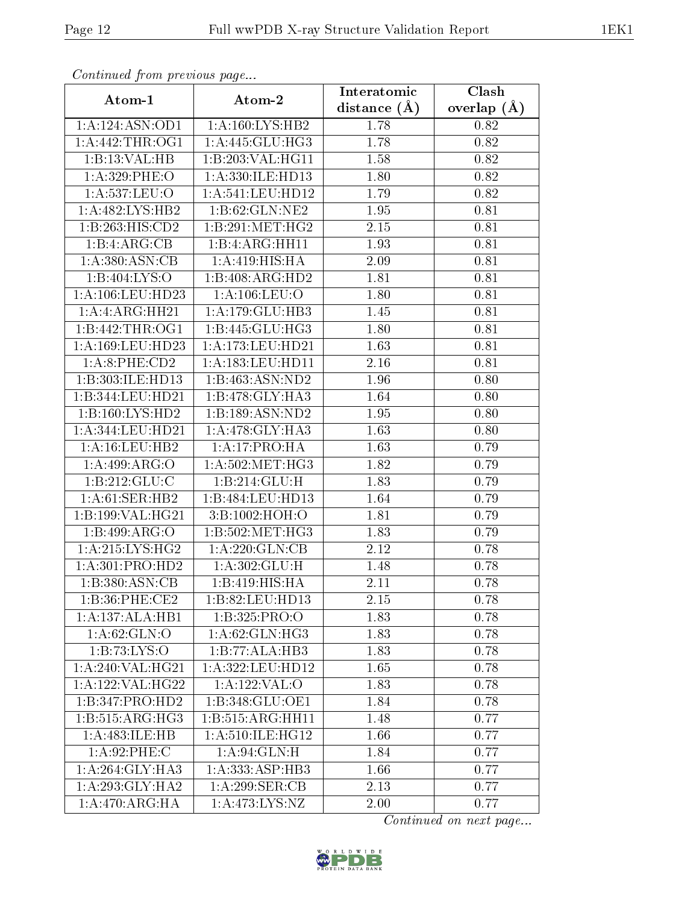| Continuea from previous page |                             | Interatomic       | Clash             |
|------------------------------|-----------------------------|-------------------|-------------------|
| Atom-1                       | Atom-2                      | distance $(A)$    | overlap $(\AA)$   |
| 1:A:124:ASN:OD1              | 1: A:160: LYS: HB2          | 1.78              | 0.82              |
| 1: A:442:THR:OG1             | 1:A:445:GLU:HG3             | 1.78              | 0.82              |
| 1:B:13:VAL:HB                | 1:B:203:VAL:HG11            | 1.58              | 0.82              |
| 1:A:329:PHE:O                | 1:A:330:ILE:HD13            | 1.80              | 0.82              |
| 1:A:537:LEU:O                | 1: A:541:LEU:HD12           | 1.79              | 0.82              |
| 1:A:482:LYS:HB2              | 1:B:62:GLN:NE2              | 1.95              | 0.81              |
| 1:B:263:HIS:CD2              | 1:B:291:MET:HG2             | 2.15              | 0.81              |
| 1:B:4:ARG:CB                 | 1:B:4:ARG:HH11              | 1.93              | 0.81              |
| 1: A:380: ASN:CB             | 1: A:419:HIS:HA             | 2.09              | 0.81              |
| 1: B:404: LYS:O              | 1:B:408:ARG:HD2             | 1.81              | 0.81              |
| 1: A:106:LEU:HD23            | 1: A: 106: LEU: O           | 1.80              | 0.81              |
| 1: A: 4: ARG: HH21           | 1: A:179: GLU:HB3           | 1.45              | 0.81              |
| 1:B:442:THR:OG1              | 1:B:445:GLU:HG3             | 1.80              | 0.81              |
| 1: A: 169: LEU: HD23         | 1:A:173:LEU:HD21            | 1.63              | $\overline{0}.81$ |
| 1: A:8: PHE:CD2              | 1:A:183:LEU:HD11            | 2.16              | 0.81              |
| 1:B:303:ILE:HD13             | 1:B:463:ASN:ND2             | 1.96              | 0.80              |
| 1:B:344:LEU:HD21             | 1:B:478:GLY:HA3             | 1.64              | 0.80              |
| 1:B:160:LYS:HD2              | 1:B:189:ASN:ND2             | 1.95              | 0.80              |
| 1:A:344:LEU:HD21             | 1: A:478: GLY: HA3          | $\overline{1.63}$ | 0.80              |
| 1: A:16:LEU:HB2              | 1:A:17:PRO:HA               | 1.63              | 0.79              |
| 1:A:499:ARG:O                | 1: A:502:MET:HG3            | 1.82              | 0.79              |
| 1: B: 212: GLU: C            | 1:B:214:GLU:H               | 1.83              | 0.79              |
| 1: A:61:SER:HB2              | 1:B:484:LEU:HD13            | 1.64              | 0.79              |
| 1:B:199:VAL:HG21             | 3:B:1002:HOH:O              | 1.81              | 0.79              |
| 1:B:499:ARG:O                | 1:B:502:MET:HG3             | 1.83              | 0.79              |
| 1:A:215:LYS:HG2              | 1:A:220:GLN:CB              | 2.12              | 0.78              |
| 1:A:301:PRO:HD2              | 1:A:302:GLU:H               | 1.48              | 0.78              |
| 1:B:380:ASN:CB               | 1:B:419:HIS:HA              | 2.11              | 0.78              |
| 1:B:36:PHE:CE2               | 1:B:82:LEU:HD13             | 2.15              | 0.78              |
| 1:A:137:ALA:HB1              | 1:B:325:PRO:O               | 1.83              | 0.78              |
| 1: A:62: GLN:O               | 1:A:62:GLN:HG3              | 1.83              | 0.78              |
| 1:B:73:LYS:O                 | $1:B:77:ALA:\overline{HB3}$ | 1.83              | 0.78              |
| 1: A:240: VAL:HG21           | 1:A:322:LEU:HD12            | 1.65              | 0.78              |
| 1:A:122:VAL:HG22             | 1:A:122:VAL:O               | 1.83              | 0.78              |
| 1:B:347:PRO:HD2              | 1:B:348:GLU:OE1             | 1.84              | 0.78              |
| 1:B:515:ARG:HG3              | 1:B:515:ARG:HH11            | 1.48              | 0.77              |
| 1:A:483:ILE:HB               | 1: A:510: ILE: HG12         | 1.66              | 0.77              |
| 1: A:92:PHE: C               | 1: A:94: GLN:H              | 1.84              | 0.77              |
| 1: A:264: GLY:HA3            | 1:A:333:ASP:HB3             | 1.66              | 0.77              |
| 1: A:293: GLY:HA2            | 1:A:299:SER:CB              | 2.13              | 0.77              |
| 1: A:470:ARG:HA              | 1:A:473:LYS:NZ              | 2.00              | 0.77              |

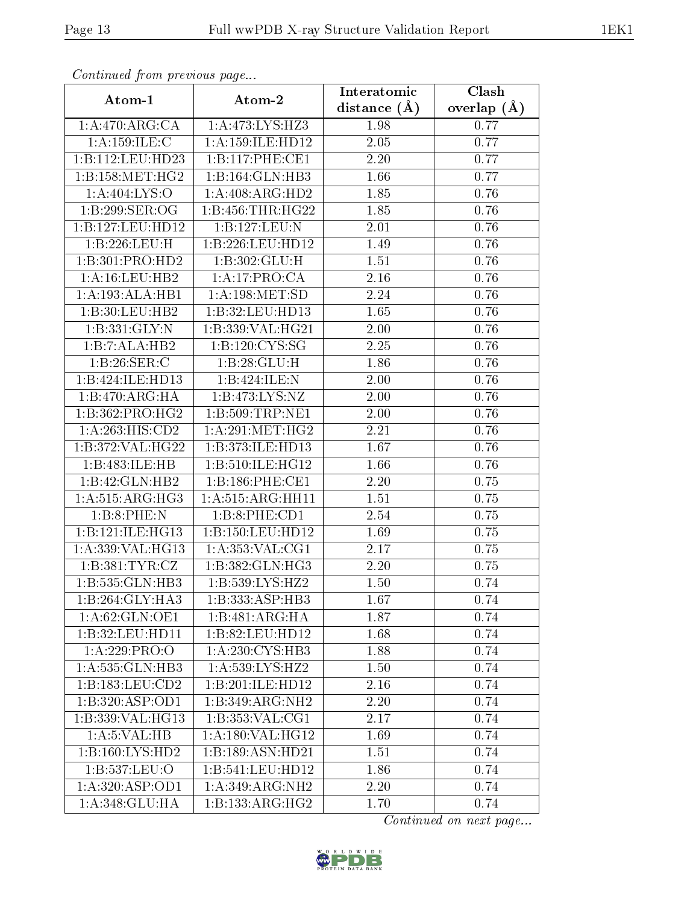| Continuea from previous page           |                      | Interatomic       | Clash         |
|----------------------------------------|----------------------|-------------------|---------------|
| Atom-1                                 | Atom-2               | distance $(\AA)$  | overlap $(A)$ |
| 1:A:470:ARG:CA                         | 1:A:473:LYS:HZ3      | 1.98              | 0.77          |
| 1: A:159: ILE:C                        | 1: A: 159: ILE: HD12 | $\overline{2.05}$ | 0.77          |
| 1:B:112:LEU:HD23                       | 1:B:117:PHE:CE1      | 2.20              | 0.77          |
| 1:B:158:MET:HG2                        | 1:B:164:GLN:HB3      | 1.66              | 0.77          |
| 1:A:404:LYS:O                          | 1:A:408:ARG:HD2      | 1.85              | 0.76          |
| 1:B:299:SER:OG                         | 1:B:456:THR:HG22     | 1.85              | 0.76          |
| 1:B:127:LEU:HD12                       | 1:B:127:LEU:N        | 2.01              | 0.76          |
| 1:B:226:LEU:H                          | 1:B:226:LEU:HD12     | 1.49              | 0.76          |
| 1:B:301:PRO:HD2                        | 1:B:302:GLU:H        | $\bar{1}.51$      | 0.76          |
| 1: A:16:LEU:HB2                        | 1:A:17:PRO:CA        | 2.16              | 0.76          |
| 1:A:193:ALA:HB1                        | 1: A:198: MET:SD     | 2.24              | 0.76          |
| 1:B:30:LEU:HB2                         | 1:B:32:LEU:HD13      | 1.65              | 0.76          |
| 1: B: 331: GLY:N                       | 1:B:339:VAL:HG21     | 2.00              | 0.76          |
| 1:B:7:ALA:HB2                          | 1:B:120:CYS:SG       | 2.25              | 0.76          |
| 1:B:26:SER:C                           | 1:B:28:GLU:H         | 1.86              | 0.76          |
| 1:B:424:ILE:HD13                       | 1:B:424:ILE:N        | 2.00              | 0.76          |
| 1:B:470:ARG:HA                         | 1: B: 473: LYS: NZ   | 2.00              | 0.76          |
| 1:B:362:PRO:HG2                        | 1: B: 509: TRP: NE1  | $2.00\,$          | 0.76          |
| 1:A:263:HIS:CD2                        | 1: A:291: MET:HG2    | 2.21              | 0.76          |
| 1:B:372:VAL:HG22                       | 1:B:373:ILE:HD13     | 1.67              | 0.76          |
| 1:B:483:ILE:HB                         | 1:B:510:ILE:HG12     | 1.66              | 0.76          |
| 1:B:42:GLN:HB2                         | 1:B:186:PHE:CE1      | 2.20              | 0.75          |
| 1: A:515: ARG: HG3                     | 1:A:515:ARG:HH11     | 1.51              | 0.75          |
| 1:B:8:PHE:N                            | 1:B:8:PHE:CD1        | $\overline{2.54}$ | 0.75          |
| 1:B:121:ILE:HG13                       | 1:B:150:LEU:HD12     | 1.69              | 0.75          |
| 1:A:339:VAL:HG13                       | 1: A: 353: VAL: CG1  | 2.17              | 0.75          |
| 1:B:381:TYR:CZ                         | 1:B:382:GLN:HG3      | $2.20\,$          | 0.75          |
| 1:B:535:GLN:HB3                        | 1: B: 539: LYS: HZ2  | 1.50              | 0.74          |
| 1:B:264:GLY:HA3                        | 1:B:333:ASP:HB3      | 1.67              | 0.74          |
| 1: A:62: GLN:OE1                       | 1:B:481:ARG:HA       | 1.87              | 0.74          |
| 1:B:32:LEU:HD11                        | 1:B:82:LEU:HD12      | 1.68              | 0.74          |
| 1:A:229:PRO:O                          | 1: A:230: CYS:HB3    | 1.88              | 0.74          |
| 1:A:535:GLN:HB3                        | 1: A:539: LYS: HZ2   | 1.50              | 0.74          |
| 1:B:183:LEU:CD2                        | 1:B:201:ILE:HD12     | 2.16              | 0.74          |
| 1:B:320:ASP:OD1                        | 1:B:349:ARG:NH2      | 2.20              | 0.74          |
| $1:B:339:\overline{\mathsf{VAL}}:HG13$ | 1: B: 353: VAL: CG1  | 2.17              | 0.74          |
| 1: A: 5: VAL: HB                       | 1:A:180:VAL:HG12     | 1.69              | 0.74          |
| 1:B:160:LYS:HD2                        | 1:B:189:ASN:HD21     | 1.51              | 0.74          |
| 1:B:537:LEU:O                          | 1:B:541:LEU:HD12     | 1.86              | 0.74          |
| 1:A:320:ASP:OD1                        | 1: A:349: ARG: NH2   | 2.20              | 0.74          |
| 1:A:348:GLU:HA                         | 1:B:133:ARG:HG2      | 1.70              | 0.74          |

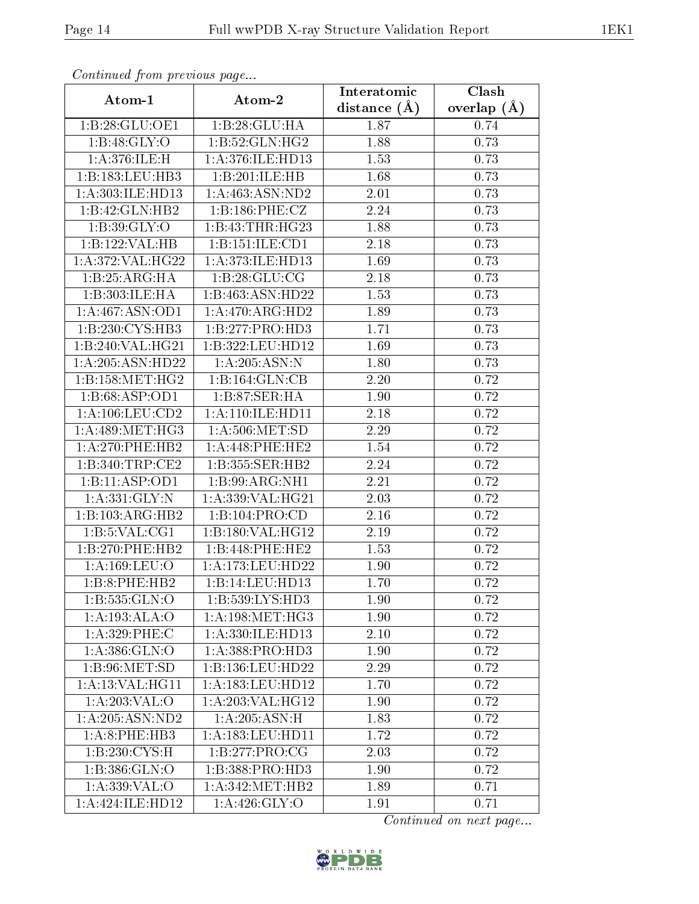| Communica from precious page            |                                     | Interatomic    | Clash           |
|-----------------------------------------|-------------------------------------|----------------|-----------------|
| Atom-1                                  | Atom-2                              | distance $(A)$ | overlap $(\AA)$ |
| 1:B:28:GLU:OE1                          | 1:B:28:GLU:HA                       | 1.87           | 0.74            |
| 1:B:48:GLY:O                            | 1:B:52:GLN:HG2                      | 1.88           | 0.73            |
| 1: A:376: ILE:H                         | 1:A:376:ILE:HD13                    | 1.53           | 0.73            |
| 1:B:183:LEU:HB3                         | 1:B:201:ILE:HB                      | 1.68           | 0.73            |
| 1:A:303:ILE:HD13                        | $1:$ A: $463:$ ASN:ND2              | 2.01           | 0.73            |
| 1:B:42:GLN:HB2                          | 1:B:186:PHE:CZ                      | 2.24           | 0.73            |
| 1:B:39:GLY:O                            | 1:B:43:THR:HG23                     | 1.88           | 0.73            |
| 1:B:122:VAL:HB                          | 1:B:151:ILE:CD1                     | 2.18           | 0.73            |
| 1:A:372:VAL:H G22                       | 1:A:373:ILE:HD13                    | 1.69           | 0.73            |
| 1:B:25:ARG:HA                           | 1: B:28: GLU:CG                     | 2.18           | 0.73            |
| 1:B:303:ILE:HA                          | 1:B:463:ASN:HD22                    | 1.53           | 0.73            |
| 1:A:467:ASN:OD1                         | 1:A:470:ARG:HD2                     | 1.89           | 0.73            |
| 1:B:230:CYS:HB3                         | 1:B:277:PRO:HD3                     | 1.71           | 0.73            |
| 1:B:240:VAL:HG21                        | 1:B:322:LEU:HD12                    | 1.69           | 0.73            |
| 1:A:205:ASN:HD22                        | 1:A:205:ASN:N                       | 1.80           | 0.73            |
| 1:B:158:MET:HG2                         | 1:B:164:GLN:CB                      | 2.20           | 0.72            |
| 1:B:68:ASP:OD1                          | 1:B:87:SER:HA                       | 1.90           | 0.72            |
| 1: A: 106: LEU: CD2                     | 1: A:110: ILE: HD11                 | 2.18           | 0.72            |
| $1: A:489: \overline{\mathrm{MET:HG3}}$ | 1: A:506: MET:SD                    | 2.29           | 0.72            |
| 1: A:270:PHE:HB2                        | 1: A:448: PHE:HE2                   | 1.54           | 0.72            |
| 1:B:340:TRP:CE2                         | $1:B:355:\overline{\text{SER:H}B2}$ | 2.24           | 0.72            |
| 1:B:11:ASP:OD1                          | 1:B:99:ARG:NH1                      | 2.21           | 0.72            |
| 1: A:331: GLY:N                         | 1: A:339: VAL:HG21                  | 2.03           | 0.72            |
| 1:B:103:ARG:HB2                         | 1:B:104:PRO:CD                      | 2.16           | 0.72            |
| 1: B: 5: VAL: CG1                       | 1:B:180:VAL:HG12                    | 2.19           | 0.72            |
| 1:B:270:PHE:HB2                         | 1:B:448:PHE:HE2                     | 1.53           | 0.72            |
| 1: A: 169: LEU: O                       | 1:A:173:LEU:HD22                    | 1.90           | 0.72            |
| 1:B:8:PHE:HB2                           | 1:B:14:LEU:HD13                     | 1.70           | 0.72            |
| 1:B:535:GLN:O                           | 1: B: 539: LYS: HD3                 | 1.90           | 0.72            |
| 1:A:193:ALA:O                           | 1: A: 198: MET:HG3                  | 1.90           | 0.72            |
| 1:A:329:PHE:C                           | 1:A:330:ILE:HD13                    | 2.10           | 0.72            |
| 1: A: 386: GLN:O                        | 1:A:388:PRO:HD3                     | 1.90           | 0.72            |
| 1: B:96: MET:SD                         | 1:B:136:LEU:HD22                    | 2.29           | 0.72            |
| 1: A:13: VAL:HGI1                       | 1:A:183:LEU:HD12                    | 1.70           | 0.72            |
| 1: A:203: VAL:O                         | 1:A:203:VAL:HG12                    | 1.90           | 0.72            |
| 1:A:205:ASN:ND2                         | 1:A:205:ASN:H                       | 1.83           | 0.72            |
| 1:A:8:PHE:HB3                           | 1: A: 183: LEU: HD11                | 1.72           | 0.72            |
| 1: B: 230: CYS:H                        | 1:B:277:PRO:CG                      | 2.03           | 0.72            |
| 1:B:386:GLN:O                           | 1:B:388:PRO:HD3                     | 1.90           | 0.72            |
| 1: A: 339: VAL: O                       | 1: A: 342: MET: HB2                 | 1.89           | 0.71            |
| 1:A:424:ILE:HD12                        | $1: A:426: \overline{GLY:O}$        | 1.91           | 0.71            |

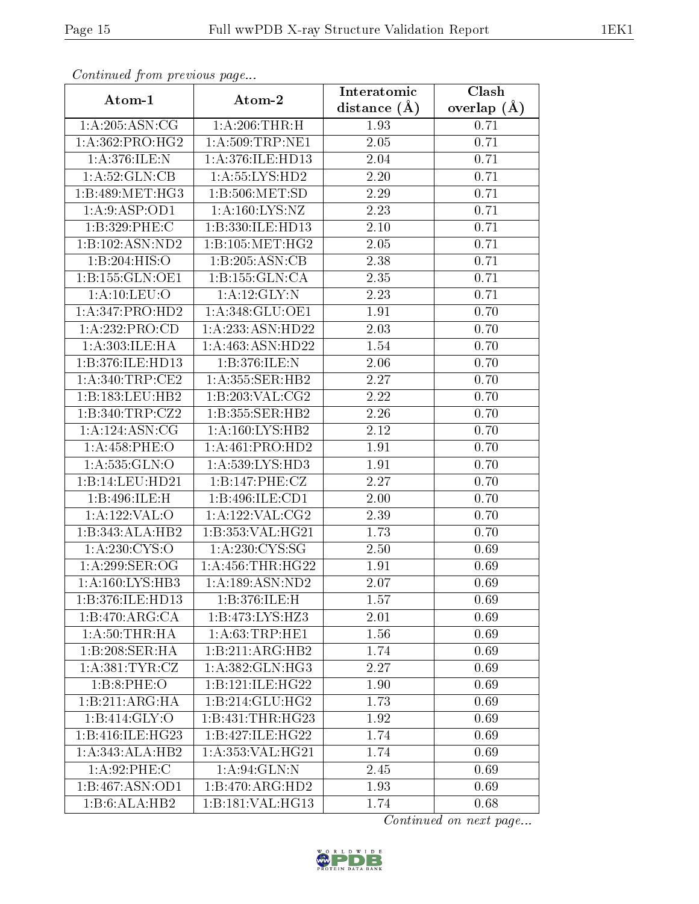| Communica from precious page |                                | Interatomic       | Clash         |
|------------------------------|--------------------------------|-------------------|---------------|
| Atom-1                       | Atom-2                         | distance $(A)$    | overlap $(A)$ |
| 1:A:205:ASN:CG               | 1: A:206:THR:H                 | 1.93              | 0.71          |
| 1: A: 362: PRO:HG2           | 1: A:509:TRP:NE1               | $\overline{2.05}$ | 0.71          |
| 1: A:376: ILE:N              | 1: A:376: ILE: HD13            | 2.04              | 0.71          |
| 1:A:52:GLN:CB                | 1: A: 55: LYS: HD2             | 2.20              | 0.71          |
| 1:B:489:MET:HG3              | 1: B:506: MET:SD               | 2.29              | 0.71          |
| 1:A:9:ASP:OD1                | 1: A: 160: LYS: NZ             | 2.23              | 0.71          |
| 1:B:329:PHE:C                | 1:B:330:ILE:HD13               | $\overline{2.10}$ | 0.71          |
| 1:B:102:ASN:ND2              | 1:B:105:MET:HG2                | 2.05              | 0.71          |
| 1:B:204:HIS:O                | 1:B:205:ASN:CB                 | 2.38              | 0.71          |
| 1:B:155:GLN:OE1              | 1:B:155:GLN:CA                 | 2.35              | 0.71          |
| 1: A: 10: LEU: O             | 1: A:12: GLY:N                 | 2.23              | 0.71          |
| 1:A:347:PRO:HD2              | 1: A:348: GLU:OE1              | 1.91              | 0.70          |
| 1:A:232:PRO:CD               | 1: A: 233: ASN: HD22           | 2.03              | 0.70          |
| 1:A:303:ILE:HA               | 1:A:463:ASN:HD22               | 1.54              | 0.70          |
| 1:B:376:ILE:HD13             | 1:B:376:ILE:N                  | 2.06              | 0.70          |
| 1: A:340:TRP:CE2             | 1: A: 355: SER: HB2            | 2.27              | 0.70          |
| 1:B:183:LEU:HB2              | 1:B:203:VAL:CG2                | 2.22              | 0.70          |
| 1:B:340:TRP:CZ2              | 1:B:355:SER:HB2                | 2.26              | 0.70          |
| 1: A: 124: ASN: CG           | 1:A:160:LYS:HB2                | 2.12              | 0.70          |
| 1: A:458: PHE:O              | 1: A:461: PRO:HD2              | 1.91              | 0.70          |
| 1:A:535:GLN:O                | 1: A:539: L <sub>YS:H</sub> D3 | 1.91              | 0.70          |
| 1:B:14:LEU:HD21              | 1:B:147:PHE:CZ                 | 2.27              | 0.70          |
| 1:B:496:ILE:H                | 1:B:496:ILE:CD1                | 2.00              | 0.70          |
| 1:A:122:VAL:O                | 1:A:122:VAL:CG2                | 2.39              | 0.70          |
| 1:B:343:ALA:HB2              | 1:B:353:VAL:HG21               | 1.73              | 0.70          |
| 1: A: 230: CYS:O             | 1: A: 230: CYS:SG              | 2.50              | 0.69          |
| 1: A:299: SER:OG             | 1: A: 456: THR: HG22           | 1.91              | 0.69          |
| 1: A:160: LYS: HB3           | $1:$ A:189:ASN:ND2             | 2.07              | 0.69          |
| 1:B:376:ILE:HD13             | 1:B:376:ILE:H                  | 1.57              | 0.69          |
| 1:B:470:ARG:CA               | 1:B:473:LYS:HZ3                | 2.01              | 0.69          |
| 1: A:50:THR:HA               | 1: A:63:TRP:HE1                | 1.56              | 0.69          |
| 1:B:208:SER:HA               | 1:B:211:ARG:HB2                | 1.74              | 0.69          |
| 1: A:381: TYR: CZ            | 1: A: 382: GLN: HG3            | 2.27              | 0.69          |
| 1:B:8:PHE:O                  | 1:B:121:ILE:HG22               | 1.90              | 0.69          |
| 1:B:211:ARG:HA               | 1:B:214:GLU:HG2                | 1.73              | 0.69          |
| 1: B:414: GLY:O              | 1:B:431:THR:HG23               | 1.92              | 0.69          |
| 1:B:416:ILE:HG23             | 1:B:427:ILE:HG22               | 1.74              | 0.69          |
| 1:A:343:ALA:HB2              | 1:A:353:VAL:HG21               | 1.74              | 0.69          |
| 1: A:92:PHE: C               | 1: A:94: GLN:N                 | 2.45              | 0.69          |
| 1:B:467:ASN:OD1              | 1:B:470:ARG:HD2                | 1.93              | 0.69          |
| 1:B:6:ALA:HB2                | 1:B:181:VAL:HG13               | 1.74              | 0.68          |

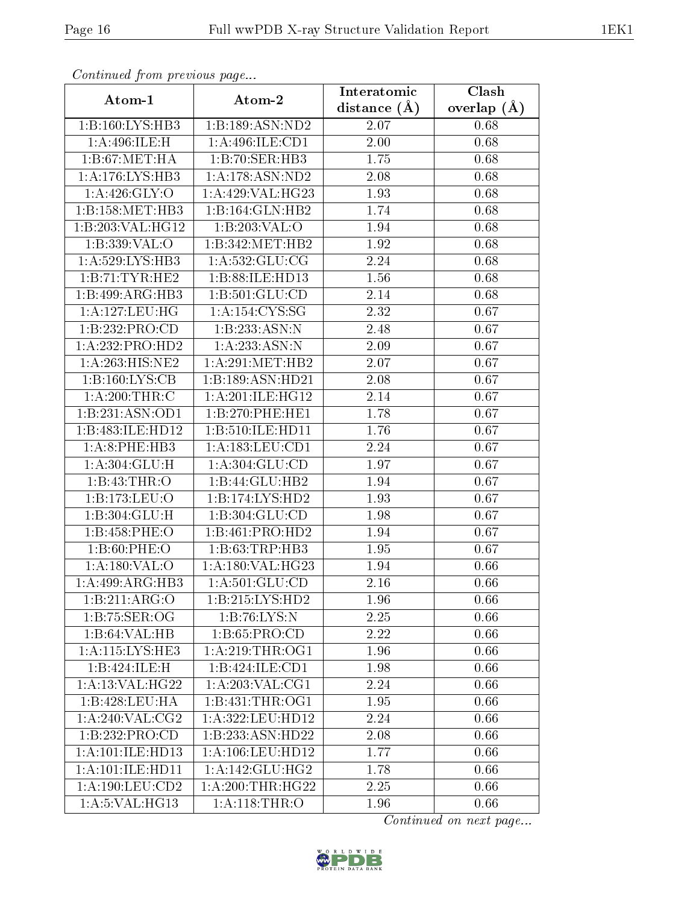| Comunaca jiom previous page  |                     | Interatomic       | Clash           |
|------------------------------|---------------------|-------------------|-----------------|
| Atom-1                       | Atom-2              | distance $(A)$    | overlap $(\AA)$ |
| 1:B:160:LYS:HB3              | 1:B:189:ASN:ND2     | 2.07              | 0.68            |
| 1:A:496:ILE:H                | 1:A:496:ILE:CD1     | 2.00              | 0.68            |
| 1: B:67: MET:HA              | 1:B:70:SER:HB3      | 1.75              | 0.68            |
| 1:A:176:LYS:HB3              | 1:A:178:ASN:ND2     | 2.08              | 0.68            |
| 1: A:426: GLY:O              | 1: A:429: VAL:HG23  | 1.93              | 0.68            |
| 1:B:158:MET:HB3              | 1:B:164:GLN:HB2     | 1.74              | 0.68            |
| 1:B:203:VAL:HG12             | 1:B:203:VAL:O       | 1.94              | 0.68            |
| 1:B:339:VAL:O                | 1:B:342:MET:HB2     | 1.92              | 0.68            |
| 1: A:529: LYS: HB3           | 1: A: 532: GLU: CG  | 2.24              | 0.68            |
| 1:B:71:TYR:HE2               | 1:B:88:ILE:HD13     | 1.56              | 0.68            |
| 1:B:499:ARG:HB3              | 1:B:501:GLU:CD      | 2.14              | 0.68            |
| 1:A:127:LEU:HG               | 1: A: 154: CYS: SG  | 2.32              | 0.67            |
| 1:B:232:PRO:CD               | 1:B:233:ASN:N       | 2.48              | 0.67            |
| 1:A:232:PRO:HD2              | 1:A:233:ASN:N       | 2.09              | 0.67            |
| 1:A:263:HIS:NE2              | 1:A:291:MET:HB2     | 2.07              | 0.67            |
| 1:B:160:LYS:CB               | 1:B:189:ASN:HD21    | 2.08              | 0.67            |
| 1: A:200:THR:C               | 1:A:201:ILE:HG12    | 2.14              | 0.67            |
| 1:B:231:ASN:OD1              | 1:B:270:PHE:HE1     | 1.78              | 0.67            |
| 1:B:483:ILE:HD12             | 1:B:510:ILE:HD11    | 1.76              | 0.67            |
| 1:A:8:PHE:HB3                | 1: A: 183: LEU: CD1 | 2.24              | 0.67            |
| 1: A:304: GLU: H             | 1: A:304: GLU:CD    | 1.97              | 0.67            |
| 1:B:43:THR:O                 | 1:B:44:GLU:HB2      | 1.94              | 0.67            |
| 1:B:173:LEU:O                | 1:B:174:LYS:HD2     | 1.93              | 0.67            |
| 1:B:304:GLU:H                | 1:B:304:GLU:CD      | 1.98              | 0.67            |
| 1:B:458:PHE:O                | 1:B:461:PRO:HD2     | 1.94              | 0.67            |
| 1: B:60: PHE:O               | 1:B:63:TRP:HB3      | 1.95              | 0.67            |
| 1: A: 180: VAL: O            | 1:A:180:VAL:HG23    | 1.94              | 0.66            |
| 1:A:499:ARG:HB3              | 1:A:501:GLU:CD      | 2.16              | 0.66            |
| 1:B:211:ARG:O                | 1:B:215:LYS:HD2     | 1.96              | 0.66            |
| 1:B:75:SER:OG                | 1:B:76:LYS:N        | 2.25              | 0.66            |
| 1:B:64:VAL:HB                | 1:B:65:PRO:CD       | 2.22              | 0.66            |
| 1: A:115: LYS: HE3           | 1: A:219:THR:OG1    | 1.96              | 0.66            |
| 1:B:424:ILE:H                | 1:B:424:ILE:CD1     | 1.98              | 0.66            |
| 1: A:13: VAL: HG22           | 1:A:203:VAL:CG1     | $\overline{2.24}$ | 0.66            |
| 1:B:428:LEU:HA               | 1:B:431:THR:OG1     | 1.95              | 0.66            |
| $1:A:240:\overline{VAL}:CG2$ | 1:A:322:LEU:HD12    | 2.24              | 0.66            |
| $1:B:232:PRO:\overline{CD}$  | 1:B:233:ASN:HD22    | 2.08              | 0.66            |
| 1:A:101:ILE:HD13             | 1:A:106:LEU:HD12    | 1.77              | 0.66            |
| 1:A:101:ILE:HD11             | 1: A:142: GLU: HG2  | 1.78              | 0.66            |
| 1: A: 190: LEU: CD2          | 1: A:200:THR:HG22   | 2.25              | 0.66            |
| 1:A:5:VAL:HG13               | 1: A:118:THR:O      | 1.96              | 0.66            |

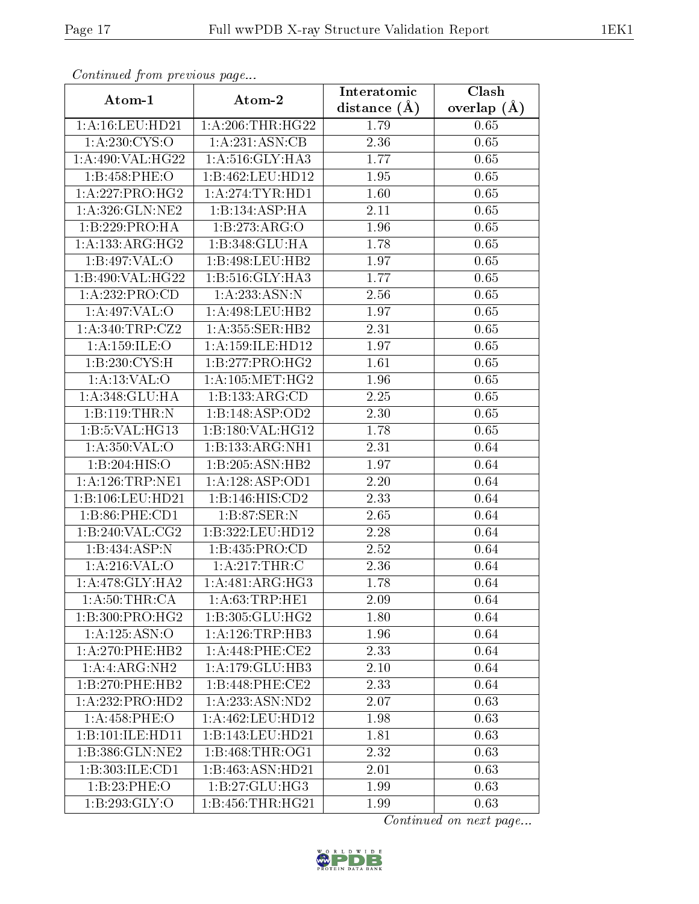| Communica from precious page |                              | Interatomic       | Clash           |
|------------------------------|------------------------------|-------------------|-----------------|
| Atom-1                       | Atom-2                       | distance $(\AA)$  | overlap $(\AA)$ |
| 1: A: 16: LEU: HD21          | 1: A:206:THR:HG22            | 1.79              | 0.65            |
| 1:A:230:CYS:O                | 1: A:231: ASN:CB             | 2.36              | 0.65            |
| 1: A:490: VAL:HG22           | $1:A:516:GLY:H\overline{A3}$ | 1.77              | 0.65            |
| 1:B:458:PHE:O                | 1:B:462:LEU:HD12             | 1.95              | 0.65            |
| 1:A:227:PRO:HG2              | 1:A:274:TYR:HDI              | 1.60              | 0.65            |
| 1:A:326:GLN:NE2              | 1:B:134:ASP:HA               | 2.11              | 0.65            |
| 1:B:229:PRO:HA               | 1:B:273:ARG:O                | 1.96              | 0.65            |
| 1: A: 133: ARG: HG2          | 1:B:348:GLU:HA               | 1.78              | 0.65            |
| 1:B:497:VAL:O                | 1:B:498:LEU:HB2              | 1.97              | 0.65            |
| 1:B:490:VAL:HG22             | 1: B: 516: GLY: HA3          | 1.77              | 0.65            |
| 1:A:232:PRO:CD               | 1:A:233:ASN:N                | 2.56              | 0.65            |
| 1:A:497:VAL:O                | 1:A:498:LEU:HB2              | 1.97              | 0.65            |
| 1:A:340:TRP:CZ2              | 1: A: 355: SER: HB2          | 2.31              | 0.65            |
| 1: A: 159: ILE: O            | 1: A: 159: ILE: HD12         | 1.97              | 0.65            |
| 1: B: 230: CYS:H             | 1:B:277:PRO:HG2              | 1.61              | 0.65            |
| 1: A: 13: VAL: O             | 1: A:105: MET:HG2            | 1.96              | 0.65            |
| 1:A:348:GLU:HA               | 1:B:133:ARG:CD               | 2.25              | 0.65            |
| 1:B:119:THR:N                | 1:B:148:ASP:OD2              | 2.30              | 0.65            |
| 1:B:5:VAL:HG13               | 1:B:180:VAL:HG12             | 1.78              | 0.65            |
| 1: A: 350: VAL: O            | 1:B:133:ARG:NH1              | 2.31              | 0.64            |
| 1:B:204:HIS:O                | 1:B:205:ASN:HB2              | 1.97              | 0.64            |
| 1: A: 126: TRP: NE1          | 1:A:128:ASP:OD1              | 2.20              | 0.64            |
| 1:B:106:LEU:HD21             | 1: B: 146: HIS: CD2          | 2.33              | 0.64            |
| 1:B:86:PHE:CD1               | 1:B:87:SER:N                 | 2.65              | 0.64            |
| 1:B:240:VAL:CG2              | 1:B:322:LEU:HD12             | 2.28              | 0.64            |
| 1:B:434:ASP:N                | 1:B:435:PRO:CD               | $\overline{2.52}$ | 0.64            |
| 1:A:216:VAL:O                | 1:A:217:THR:C                | 2.36              | 0.64            |
| 1:A:478:GLY:HA2              | 1:A:481:ARG:HG3              | 1.78              | 0.64            |
| 1: A:50:THR:CA               | 1: A:63:TRP:HE1              | 2.09              | 0.64            |
| 1:B:300:PRO:HG2              | 1:B:305:GLU:HG2              | 1.80              | 0.64            |
| $1:A:125:\overline{ASN:O}$   | 1: A:126:TRP:HB3             | 1.96              | 0.64            |
| $1:$ A:270:PHE:HB2           | 1: A:448: PHE:CE2            | 2.33              | 0.64            |
| 1:A:ARG:NH2                  | 1: A: 179: GLU: HB3          | 2.10              | 0.64            |
| 1:B:270:PHE:HB2              | 1:B:448:PHE:CE2              | 2.33              | 0.64            |
| 1:A:232:PRO:HD2              | 1: A: 233: ASN: ND2          | 2.07              | 0.63            |
| 1: A:458:PHE:O               | 1:A:462:LEU:HD12             | 1.98              | 0.63            |
| 1:B:101:ILE:HD11             | 1:B:143:LEU:HD21             | 1.81              | 0.63            |
| 1:B:386:GLN:NE2              | 1:B:468:THR:OG1              | 2.32              | 0.63            |
| 1:B:303:ILE:CD1              | 1:B:463:ASN:HD21             | 2.01              | 0.63            |
| 1:B:23:PHE:O                 | 1:B:27:GLU:HG3               | 1.99              | 0.63            |
| 1: B:293: GLY:O              | 1:B:456:THR:HG21             | 1.99              | 0.63            |

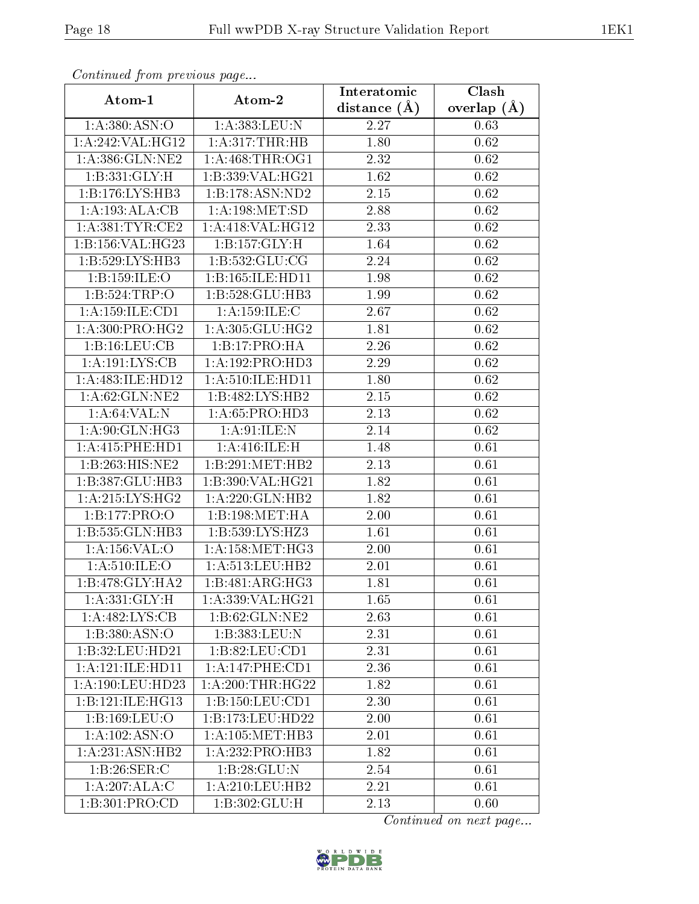| Continuea from previous page |                     | Interatomic       | Clash         |
|------------------------------|---------------------|-------------------|---------------|
| Atom-1                       | Atom-2              | distance $(\AA)$  | overlap $(A)$ |
| 1: A:380: ASN:O              | 1:A:383:LEU:N       | 2.27              | 0.63          |
| 1:A:242:VAL:HG12             | 1: A:317:THR:HB     | 1.80              | 0.62          |
| 1: A:386: GLN: NE2           | 1: A:468:THR:OG1    | 2.32              | 0.62          |
| 1: B: 331: GLY: H            | 1:B:339:VAL:HG21    | 1.62              | 0.62          |
| 1:B:176:LYS:HB3              | 1:B:178:ASN:ND2     | 2.15              | 0.62          |
| 1:A:193:ALA:CB               | 1: A:198: MET:SD    | 2.88              | 0.62          |
| 1: A:381:TYR:CE2             | 1:A:418:VAL:HG12    | $\overline{2}.33$ | 0.62          |
| 1:B:156:VAL:HG23             | 1:B:157:GLY:H       | 1.64              | 0.62          |
| 1:B:529:LYS:HB3              | 1:B:532:GLU:CG      | 2.24              | 0.62          |
| 1:B:159:ILE:O                | 1:B:165:ILE:HD11    | 1.98              | 0.62          |
| 1:B:524:TRP:O                | 1:B:528:GLU:HB3     | 1.99              | 0.62          |
| 1:A:159:ILE:CD1              | 1: A: 159: ILE:C    | 2.67              | 0.62          |
| 1: A:300: PRO:HG2            | 1: A:305: GLU: HG2  | 1.81              | 0.62          |
| 1:B:16:LEU:CB                | 1:B:17:PRO:HA       | 2.26              | 0.62          |
| 1:A:191:LYS:CB               | 1:A:192:PRO:HD3     | 2.29              | 0.62          |
| 1:A:483:ILE:HD12             | 1:A:510:ILE:HD11    | 1.80              | 0.62          |
| 1: A:62: GLN: NE2            | 1:B:482:LYS:HB2     | 2.15              | 0.62          |
| 1: A:64:VAL: N               | 1: A:65: PRO:HD3    | 2.13              | 0.62          |
| 1: A:90: GLN: HG3            | 1: A:91: ILE:N      | 2.14              | 0.62          |
| 1: A: 415: PHE: HD1          | 1: A:416: ILE:H     | 1.48              | 0.61          |
| 1:B:263:HIS:NE2              | 1:B:291:MET:HB2     | 2.13              | 0.61          |
| 1:B:387:GLU:HB3              | 1:B:390:VAL:HG21    | 1.82              | 0.61          |
| 1:A:215:LYS:HG2              | 1: A:220: GLN: HB2  | 1.82              | 0.61          |
| 1:B:177:PRO:O                | 1:B:198:MET:HA      | 2.00              | 0.61          |
| 1:B:535:GLN:HB3              | 1:B:539:LYS:HZ3     | 1.61              | 0.61          |
| 1:A:156:VAL:O                | 1: A: 158: MET:HG3  | 2.00              | 0.61          |
| 1: A:510: ILE:O              | 1:A:513:LEU:HB2     | 2.01              | 0.61          |
| 1:B:478:GLY:HA2              | 1:B:481:ARG:HG3     | 1.81              | 0.61          |
| 1: A:331: GLY: H             | 1: A: 339: VAL:HG21 | 1.65              | 0.61          |
| 1:A:482:LYS:CB               | 1:B:62:GLN:NE2      | 2.63              | 0.61          |
| 1: B: 380: ASN:O             | 1:B:383:LEU:N       | 2.31              | 0.61          |
| 1:B:32:LEU:HD21              | 1:B:82:LEU:CD1      | 2.31              | 0.61          |
| 1:A:121:ILE:HD11             | 1:A:147:PHE:CD1     | 2.36              | 0.61          |
| 1: A:190:LEU:HD23            | 1: A:200:THR:HG22   | 1.82              | 0.61          |
| 1:B:121:ILE:HG13             | 1:B:150:LEU:CD1     | 2.30              | 0.61          |
| 1:B:169:LEU:O                | 1:B:173:LEU:HD22    | 2.00              | 0.61          |
| 1:A:102:ASN:O                | 1: A: 105: MET: HB3 | 2.01              | 0.61          |
| 1:A:231:ASN:HB2              | 1:A:232:PRO:HB3     | 1.82              | 0.61          |
| 1:B:26:SER:C                 | 1:B:28:GLU:N        | 2.54              | 0.61          |
| 1:A:207:ALA:C                | 1: A:210:LEU:HB2    | 2.21              | 0.61          |
| $1:B:301:P\overline{RO:CD}$  | 1:B:302:GLU:H       | 2.13              | 0.60          |

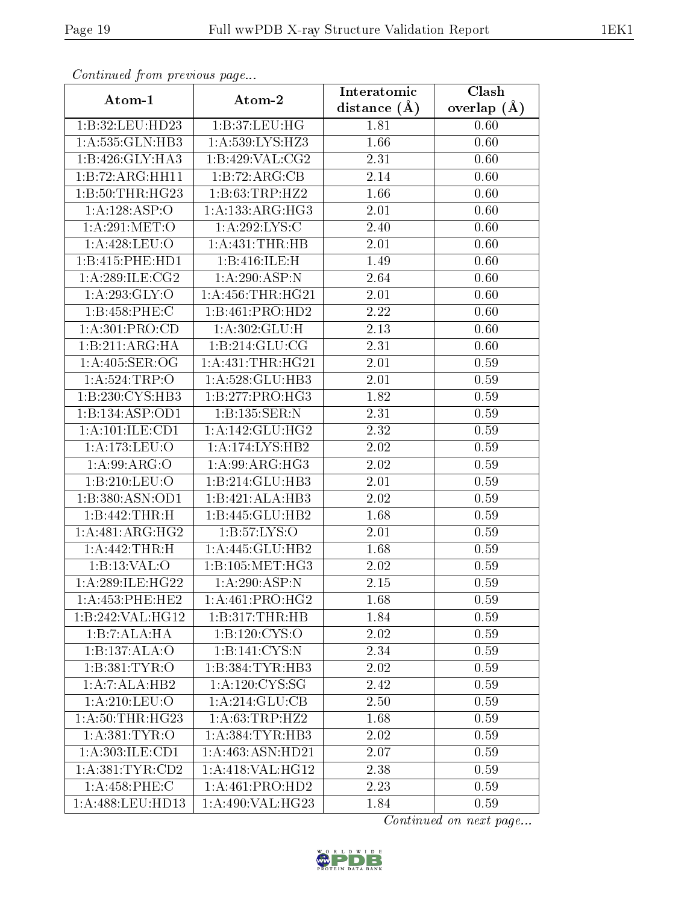| Comunaca jiom previous page  |                               | Interatomic      | $\overline{\text{Clash}}$ |
|------------------------------|-------------------------------|------------------|---------------------------|
| Atom-1                       | Atom-2                        | distance $(\AA)$ | overlap $(A)$             |
| 1:B:32:LEU:HD23              | 1:B:37:LEU:HG                 | 1.81             | 0.60                      |
| 1:A:535:GLN:HB3              | 1:A:539:LYS:HZ3               | 1.66             | 0.60                      |
| $1:B:426:GLY:H\overline{A3}$ | 1:B:429:VAL:CG2               | 2.31             | 0.60                      |
| 1:B:72:ARG:HH11              | 1:B:72:ARG:CB                 | 2.14             | 0.60                      |
| 1:B:50:THR:HG23              | 1:B:63:TRP:HZ2                | 1.66             | 0.60                      |
| 1:A:128:ASP:O                | 1:A:133:ARG:HG3               | 2.01             | 0.60                      |
| 1:A:291:MET:O                | 1: A:292:LYS:C                | 2.40             | 0.60                      |
| 1: A:428: LEU:O              | 1: A: 431: THE: HB            | 2.01             | 0.60                      |
| 1:B:415:PHE:HD1              | 1:B:416:ILE:H                 | 1.49             | 0.60                      |
| 1: A:289: ILE: CG2           | 1:A:290:ASP:N                 | 2.64             | 0.60                      |
| 1: A:293: GLY:O              | 1: A: 456: THR: HG21          | 2.01             | 0.60                      |
| 1:B:458:PHE:C                | 1:B:461:PRO:HD2               | 2.22             | 0.60                      |
| 1:A:301:PRO:CD               | 1:A:302:GLU:H                 | 2.13             | 0.60                      |
| 1:B:211:ARG:HA               | 1: B:214: GLU:CG              | 2.31             | 0.60                      |
| 1:A:405:SER:OG               | 1: A: 431: THR: HG21          | 2.01             | 0.59                      |
| 1: A:524:TRP:O               | 1:A:528:GLU:HB3               | 2.01             | 0.59                      |
| 1:B:230:CYS:HB3              | 1:B:277:PRO:HG3               | 1.82             | 0.59                      |
| 1:B:134:ASP:OD1              | 1:B:135:SER:N                 | 2.31             | 0.59                      |
| 1:A:101:ILE:CD1              | 1: A:142: GLU: HG2            | 2.32             | 0.59                      |
| 1: A:173: LEU:O              | 1:A:174:LYS:HB2               | 2.02             | 0.59                      |
| $1:A:99: \overline{ARG:O}$   | 1: A:99: ARG: HG3             | 2.02             | 0.59                      |
| 1:B:210:LEU:O                | 1:B:214:GLU:HB3               | 2.01             | 0.59                      |
| 1:B:380:ASN:OD1              | 1:B:421:ALA:HB3               | 2.02             | 0.59                      |
| 1:B:442:THR:H                | 1:B:445:GLU:HB2               | 1.68             | 0.59                      |
| 1:A:481:ARG:HG2              | 1:B:57:LYS:O                  | 2.01             | 0.59                      |
| 1:A:442:THR:H                | 1:A:445:GLU:HB2               | 1.68             | 0.59                      |
| 1:B:13:VAL:O                 | 1: B: 105: MET:HG3            | 2.02             | 0.59                      |
| 1: A:289: ILE: HG22          | 1:A:290:ASP:N                 | 2.15             | 0.59                      |
| 1: A: 453: PHE: HE2          | 1: A:461: PRO:HG2             | 1.68             | 0.59                      |
| 1:B:242:VAL:HG12             | 1:B:317:THR:HB                | 1.84             | 0.59                      |
| 1:B:7:ALA:HA                 | 1:B:120:CYS:O                 | 2.02             | 0.59                      |
| 1:B:137:ALA:O                | 1:B:141:CYS:N                 | 2.34             | 0.59                      |
| 1: B: 381: TYR: O            | 1:B:384:TYR:HB3               | 2.02             | 0.59                      |
| 1:A:7:ALA:HB2                | 1: A: 120: CYS: SG            | 2.42             | 0.59                      |
| 1: A:210:LEU:O               | 1:A:214:GLU:CB                | 2.50             | 0.59                      |
| 1:A:50:THR:HG23              | 1: A:63:TRP:HZ2               | 1.68             | 0.59                      |
| 1: A: 381: TYR: O            | 1:A:384:TYR:HB3               | 2.02             | 0.59                      |
| 1:A:303:ILE:CD1              | $1:A:463:A\overline{SN:HD21}$ | 2.07             | 0.59                      |
| 1: A: 381: TYR: CD2          | 1:A:418:VAL:HG12              | 2.38             | 0.59                      |
| 1:A:458:PHE:C                | 1: A:461: PRO:HD2             | 2.23             | 0.59                      |
| 1:A:488:LEU:HD13             | 1: A:490: VAL:HG23            | 1.84             | 0.59                      |

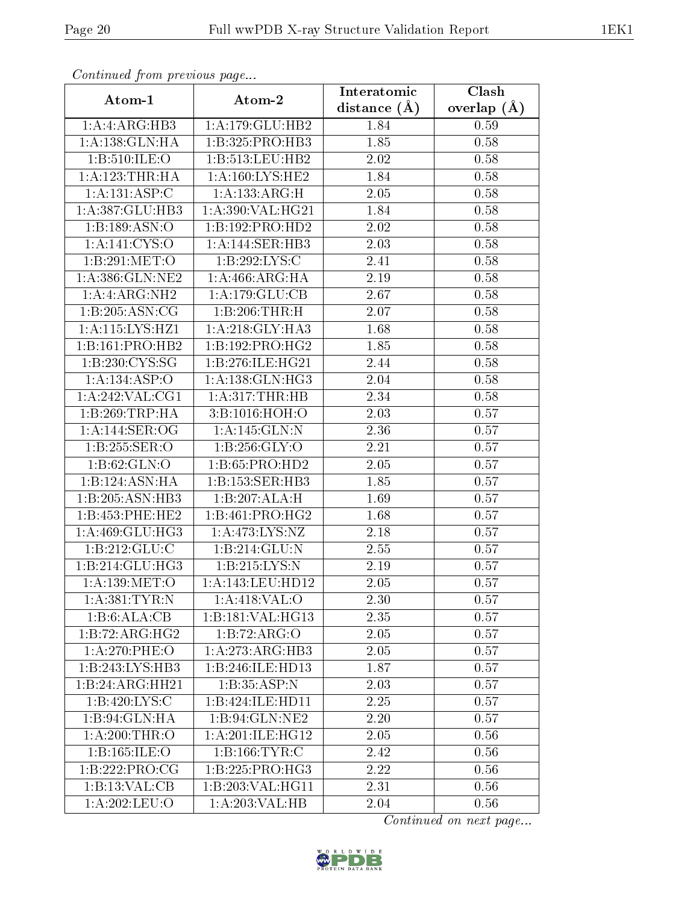| Continuea from previous page |                     | Interatomic    | Clash           |
|------------------------------|---------------------|----------------|-----------------|
| Atom-1                       | Atom-2              | distance $(A)$ | overlap $(\AA)$ |
| 1:A:ARG:HB3                  | 1: A: 179: GLU: HB2 | 1.84           | 0.59            |
| 1:A:138:GLN:HA               | 1:B:325:PRO:HB3     | 1.85           | 0.58            |
| 1:B:510:ILE:O                | 1:B:513:LEU:HB2     | 2.02           | 0.58            |
| 1: A: 123: THR: HA           | 1:A:160:LYS:HE2     | 1.84           | 0.58            |
| 1:A:131:ASP:C                | 1:A:133:ARG:H       | 2.05           | 0.58            |
| 1:A:387:GLU:HB3              | 1: A:390: VAL:HG21  | 1.84           | 0.58            |
| 1:B:189:ASN:O                | 1:B:192:PRO:HD2     | 2.02           | 0.58            |
| 1: A:141: CYS:O              | 1:A:144:SER:HB3     | 2.03           | 0.58            |
| 1:B:291:MET:O                | 1:B:292:LYS:C       | 2.41           | 0.58            |
| 1:A:386:GLN:NE2              | 1: A:466:ARG:HA     | 2.19           | 0.58            |
| 1:A:ARG:NH2                  | 1:A:179:GLU:CB      | 2.67           | 0.58            |
| 1:B:205:ASN:CG               | 1:B:206:THR:H       | 2.07           | 0.58            |
| 1:A:115:LYS:HZ1              | 1: A:218: GLY:HA3   | 1.68           | 0.58            |
| 1:B:161:PRO:HB2              | 1:B:192:PRO:HG2     | 1.85           | 0.58            |
| 1:B:230:CYS:SG               | 1:B:276:ILE:HG21    | 2.44           | 0.58            |
| 1:A:134:ASP:O                | 1:A:138:GLN:HG3     | 2.04           | 0.58            |
| 1:A:242:VAL:CG1              | 1: A:317:THR:HB     | 2.34           | 0.58            |
| 1:B:269:TRP:HA               | 3:B:1016:HOH:O      | 2.03           | 0.57            |
| 1:A:144:SER:OG               | 1:A:145:GLN:N       | 2.36           | 0.57            |
| 1:B:255:SER:O                | 1:B:256:GLY:O       | 2.21           | 0.57            |
| 1: B:62: GLN:O               | 1:B:65:PRO:HD2      | 2.05           | 0.57            |
| 1:B:124:ASN:HA               | 1:B:153:SER:HB3     | 1.85           | 0.57            |
| 1:B:205:ASN:HB3              | 1:B:207:ALA:H       | 1.69           | 0.57            |
| 1:B:453:PHE:HE2              | 1:B:461:PRO:HG2     | 1.68           | 0.57            |
| 1: A:469: GLU:HG3            | 1:A:473:LYS:NZ      | 2.18           | 0.57            |
| 1: B: 212: GLU: C            | 1:B:214:GLU:N       | 2.55           | 0.57            |
| 1:B:214:GLU:HG3              | 1:B:215:LYS:N       | 2.19           | 0.57            |
| 1: A: 139: MET:O             | 1: A:143:LEU:HD12   | 2.05           | 0.57            |
| 1:A:381:TYR:N                | 1:A:418:VAL:O       | 2.30           | 0.57            |
| 1:B:6:ALA:CB                 | 1:B:181:VAL:HG13    | 2.35           | 0.57            |
| 1:B:72:ARG:HG2               | 1:B:72:ARG:O        | 2.05           | 0.57            |
| 1:A:270:PHE:O                | 1:A:273:ARG:HB3     | 2.05           | 0.57            |
| 1:B:243:LYS:HB3              | 1:B:246:ILE:HD13    | 1.87           | 0.57            |
| 1:B:24:ARG:HH21              | 1:B:35:ASP:N        | 2.03           | 0.57            |
| 1:B:420:LYS:C                | 1:B:424:ILE:HD11    | 2.25           | 0.57            |
| 1:B:94:GLN:HA                | 1:B:94:GLN:NE2      | 2.20           | 0.57            |
| 1: A:200:THR:O               | 1: A:201: ILE: HG12 | 2.05           | 0.56            |
| 1:B:165:ILE:O                | 1: B: 166: TYR: C   | 2.42           | 0.56            |
| 1:B:222:PRO:CG               | 1:B:225:PRO:HG3     | 2.22           | 0.56            |
| 1:B:13:VAL:CB                | 1:B:203:VAL:HG11    | 2.31           | 0.56            |
| 1:A:202:LEU:O                | 1: A:203: VAL:HB    | 2.04           | 0.56            |

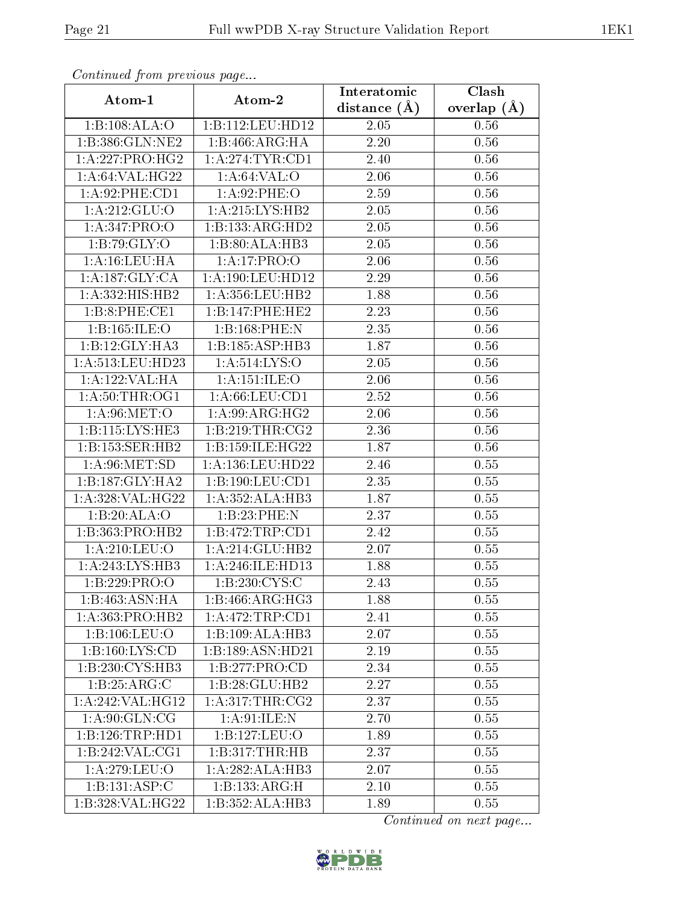| Continuea from pretious page |                            | Interatomic       | Clash         |
|------------------------------|----------------------------|-------------------|---------------|
| Atom-1                       | Atom-2                     | distance $(A)$    | overlap $(A)$ |
| 1:B:108:ALA:O                | 1:B:112:LEU:HD12           | $2.05\,$          | 0.56          |
| 1:B:386:GLN:NE2              | 1:B:466:ARG:HA             | 2.20              | 0.56          |
| 1: A:227: PRO:HG2            | 1: A:274:TYR:CD1           | 2.40              | 0.56          |
| 1: A:64:VAL:HG22             | 1: A:64:VAL:O              | 2.06              | 0.56          |
| 1:A:92:PHE:CD1               | 1: A:92:PHE:O              | 2.59              | 0.56          |
| 1: A:212: GLU:O              | 1: A:215: LYS: HB2         | 2.05              | 0.56          |
| 1:A:347:PRO:O                | 1:B:133:ARG:HD2            | $\overline{2.05}$ | 0.56          |
| 1:B:79:GLY:O                 | 1:B:80:ALA:HB3             | 2.05              | 0.56          |
| 1: A: 16: LEU: HA            | 1:A:17:PRO:O               | 2.06              | 0.56          |
| 1:A:187:GLY:CA               | 1:A:190:LEU:HD12           | 2.29              | 0.56          |
| 1:A:332:HIS:HB2              | 1:A:356:LEU:HB2            | 1.88              | 0.56          |
| 1:B:8:PHE:CE1                | 1:B:147:PHE:HE2            | 2.23              | 0.56          |
| 1:B:165:ILE:O                | 1:B:168:PHE:N              | 2.35              | 0.56          |
| 1:B:12:GLY:HA3               | 1:B:185:ASP:HB3            | 1.87              | 0.56          |
| 1:A:513:LEU:HD23             | 1:A:514:LYS:O              | 2.05              | 0.56          |
| $1:$ A:122:VAL:HA            | 1: A: 151: ILE: O          | 2.06              | 0.56          |
| 1: A:50:THR:OG1              | 1: A:66: LEU:CD1           | 2.52              | 0.56          |
| 1: A:96: MET:O               | 1:A:99:ARG:HG2             | 2.06              | 0.56          |
| 1:B:115:LYS:HE3              | 1:B:219:THR:CG2            | 2.36              | 0.56          |
| 1:B:153:SER:HB2              | 1:B:159:ILE:HG22           | 1.87              | 0.56          |
| 1: A:96: MET:SD              | 1:A:136:LEU:HD22           | 2.46              | 0.55          |
| 1:B:187:GLY:HA2              | 1:B:190:LEU:CD1            | 2.35              | 0.55          |
| 1:A:328:VAL:HG22             | 1:A:352:ALA:HB3            | 1.87              | 0.55          |
| 1:B:20:ALA:O                 | 1:B:23:PHE:N               | 2.37              | 0.55          |
| 1:B:363:PRO:HB2              | 1:B:472:TRP:CD1            | 2.42              | 0.55          |
| 1: A:210:LEU:O               | 1: A:214: GLU:HB2          | 2.07              | 0.55          |
| 1: A:243: LYS:HB3            | 1:A:246:ILE:HD13           | 1.88              | 0.55          |
| 1:B:229:PRO:O                | $1:B:230:C\overline{YS:C}$ | 2.43              | 0.55          |
| 1:B:463:ASN:HA               | 1:B:466:ARG:HG3            | 1.88              | 0.55          |
| 1: A: 363: PRO: HB2          | 1:A:472:TRP:CD1            | 2.41              | 0.55          |
| 1:B:106:LEU:O                | 1:B:109:ALA:HB3            | 2.07              | 0.55          |
| 1:B:160:LYS:CD               | 1:B:189:ASN:HD21           | 2.19              | 0.55          |
| 1:B:230:CYS:HB3              | 1:B:277:PRO:CD             | 2.34              | 0.55          |
| 1:B:25:ARG:C                 | 1:B:28:GLU:HB2             | 2.27              | 0.55          |
| 1:A:242:VAL:HG12             | 1: A:317:THR:CG2           | 2.37              | 0.55          |
| 1: A:90: GLN: CG             | 1: A:91: ILE:N             | 2.70              | 0.55          |
| 1:B:126:TRP:HD1              | 1:B:127:LEU:O              | 1.89              | 0.55          |
| 1:B:242:VAL:CG1              | 1:B:317:THR:HB             | 2.37              | 0.55          |
| 1: A:279: LEU:O              | 1:A:282:ALA:HB3            | 2.07              | 0.55          |
| 1:B:131:ASP:C                | 1:B:133:ARG:H              | 2.10              | 0.55          |
| 1:B:328:VAL:HG22             | 1:B:352:ALA:HB3            | 1.89              | 0.55          |

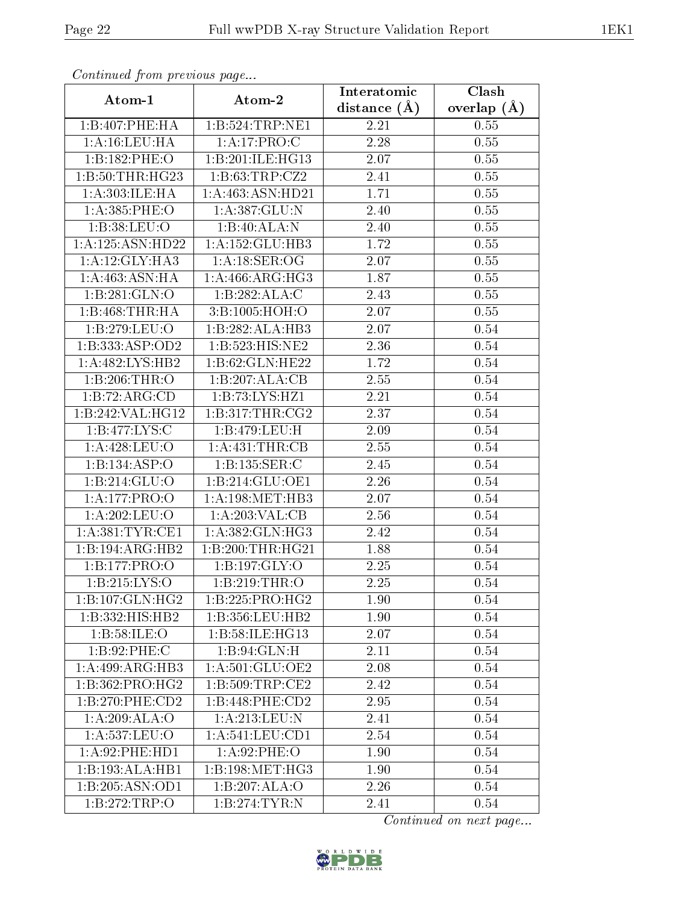| Communa from previous page |                      | Interatomic       | Clash         |
|----------------------------|----------------------|-------------------|---------------|
| Atom-1                     | Atom-2               | distance $(\AA)$  | overlap $(A)$ |
| 1:B:407:PHE:HA             | 1:B:524:TRP:NE1      | 2.21              | 0.55          |
| 1: A: 16: LEU: HA          | 1:A:17:PRO:C         | 2.28              | 0.55          |
| 1:B:182:PHE:O              | 1:B:201:ILE:HG13     | 2.07              | 0.55          |
| 1:B:50:THR:HG23            | 1:B:63:TRP:CZ2       | 2.41              | 0.55          |
| 1: A:303: ILE: HA          | 1: A: 463: ASN: HD21 | 1.71              | 0.55          |
| 1:A:385:PHE:O              | 1:A:387:GLU:N        | 2.40              | 0.55          |
| 1:B:38:LEU:O               | 1:B:40:ALA:N         | 2.40              | 0.55          |
| 1:A:125:ASN:HD22           | 1: A: 152: GLU: HB3  | 1.72              | 0.55          |
| 1:A:12:GLY:HA3             | 1: A:18: SER:OG      | 2.07              | 0.55          |
| 1: A:463:ASN:HA            | 1:A:466:ARG:HG3      | 1.87              | 0.55          |
| 1:B:281:GLN:O              | 1:B:282:ALA:C        | 2.43              | 0.55          |
| 1:B:468:THR:HA             | 3:B:1005:HOH:O       | 2.07              | 0.55          |
| 1:B:279:LEU:O              | 1:B:282:ALA:HB3      | 2.07              | 0.54          |
| 1:B:333:ASP:OD2            | 1:B:523:HIS:NE2      | 2.36              | $0.54\,$      |
| 1:A:482:LYS:HB2            | 1:B:62:GLN:HE22      | 1.72              | 0.54          |
| 1:B:206:THR:O              | 1:B:207:ALA:CB       | 2.55              | 0.54          |
| 1:B:72:ARG:CD              | 1:B:73:LYS:HZ1       | $\overline{2.21}$ | 0.54          |
| 1:B:242:VAL:HG12           | 1: B: 317: THR: CG2  | 2.37              | 0.54          |
| 1:B:477:LYS:C              | 1: B: 479: LEU: H    | 2.09              | 0.54          |
| 1: A:428: LEU:O            | 1: A: 431: THR: CB   | 2.55              | 0.54          |
| 1:B:134:ASP:O              | 1:B:135:SER:C        | 2.45              | 0.54          |
| 1: B: 214: GLU: O          | 1:B:214:GLU:OE1      | 2.26              | 0.54          |
| 1:A:177:PRO:O              | 1: A: 198: MET: HB3  | 2.07              | 0.54          |
| 1:A:202:LEU:O              | 1:A:203:VAL:CB       | 2.56              | 0.54          |
| 1: A:381:TYR:CE1           | 1:A:382:GLN:HG3      | 2.42              | 0.54          |
| 1:B:194:ARG:HB2            | 1:B:200:THR:HG21     | 1.88              | 0.54          |
| 1:B:177:PRO:O              | 1:B:197:GLY:O        | 2.25              | 0.54          |
| 1:B:215:LYS:O              | 1:B:219:THR:O        | 2.25              | 0.54          |
| $1:B:107:$ GLN:HG2         | 1:B:225:PRO:HG2      | 1.90              | 0.54          |
| 1:B:332:HIS:HB2            | 1:B:356:LEU:HB2      | 1.90              | 0.54          |
| 1:B:58:ILE:O               | 1:B:58:ILE:HG13      | 2.07              | 0.54          |
| 1:B:92:PHE:C               | 1: B:94: GLN: H      | 2.11              | 0.54          |
| 1: A:499:ARG:HB3           | 1:A:501:GLU:OE2      | 2.08              | 0.54          |
| 1:B:362:PRO:HG2            | 1: B: 509: TRP: CE2  | 2.42              | 0.54          |
| 1:B:270:PHE:CD2            | 1:B:448:PHE:CD2      | 2.95              | 0.54          |
| 1:A:209:ALA:O              | 1:A:213:LEU:N        | 2.41              | 0.54          |
| 1:A:537:LEU:O              | 1: A:541:LEU:CD1     | 2.54              | 0.54          |
| 1:A:92:PHE:HD1             | 1:A:92:PHE:O         | 1.90              | 0.54          |
| 1:B:193:ALA:HB1            | 1:B:198:MET:HG3      | 1.90              | 0.54          |
| 1:B:205:ASN:OD1            | 1:B:207:ALA:O        | 2.26              | 0.54          |
| 1:B:272:TRP:O              | 1:B:274:TYR:N        | 2.41              | 0.54          |

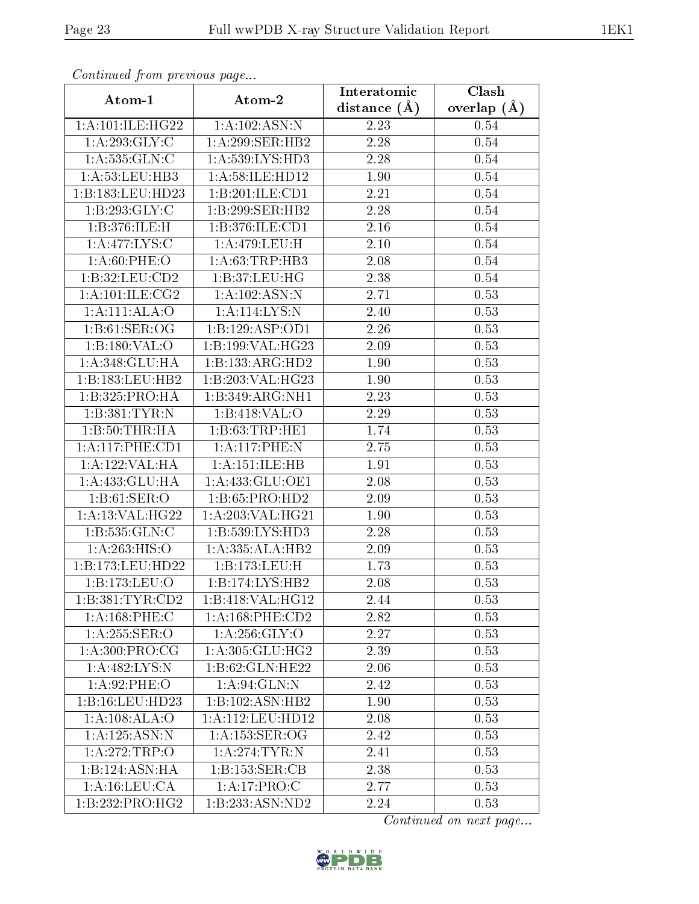| Continuea from previous page   |                            | Interatomic    | $\overline{\text{Clash}}$ |
|--------------------------------|----------------------------|----------------|---------------------------|
| Atom-1                         | Atom-2                     | distance $(A)$ | overlap $(\AA)$           |
| 1:A:101:ILE:HG22               | 1:A:102:ASN:N              | 2.23           | 0.54                      |
| 1: A:293: GLY: C               | 1:A:299:SER:HB2            | 2.28           | 0.54                      |
| 1: A: 535: GLN: C              | 1: A: 539: LYS: HD3        | 2.28           | 0.54                      |
| 1: A:53: LEU:HB3               | 1:A:58:ILE:HD12            | 1.90           | 0.54                      |
| 1:B:183:LEU:HD23               | 1:B:201:ILE:CD1            | 2.21           | 0.54                      |
| 1:B:293:GLY:C                  | 1:B:299:SER:HB2            | 2.28           | 0.54                      |
| 1:B:376:ILE:H                  | 1:B:376:ILE:CD1            | 2.16           | 0.54                      |
| 1:A:477:LYS:C                  | 1:A:479:LEU:H              | 2.10           | 0.54                      |
| 1: A:60: PHE:O                 | 1: A:63:TRP:HB3            | 2.08           | 0.54                      |
| 1:B:32:LEU:CD2                 | 1: B:37:LEU:HG             | 2.38           | 0.54                      |
| 1: A:101: ILE: C <sub>G2</sub> | 1:A:102:ASN:N              | 2.71           | 0.53                      |
| 1: A:111:ALA:O                 | 1: A:114: LYS: N           | 2.40           | 0.53                      |
| 1: B:61: SER:OG                | 1:B:129:ASP:OD1            | 2.26           | 0.53                      |
| 1:B:180:VAL:O                  | 1:B:199:VAL:HG23           | 2.09           | 0.53                      |
| 1:A:348:GLU:HA                 | 1:B:133:ARG:HD2            | 1.90           | 0.53                      |
| 1:B:183:LEU:HB2                | 1:B:203:VAL:HG23           | 1.90           | 0.53                      |
| 1:B:325:PRO:HA                 | 1:B:349:ARG:NH1            | 2.23           | 0.53                      |
| 1:B:381:TYR:N                  | 1:B:418:VAL:O              | 2.29           | 0.53                      |
| 1:B:50:THR:HA                  | 1:B:63:TRP:HE1             | 1.74           | 0.53                      |
| 1:A:117:PHE:CD1                | 1:A:117:PHE:N              | 2.75           | 0.53                      |
| 1:A:122:VAL:HA                 | 1:A:151:ILE:HB             | 1.91           | 0.53                      |
| 1:A:433:GLU:HA                 | 1: A: 433: GLU: OE1        | 2.08           | 0.53                      |
| 1: B:61: SER:O                 | 1:B:65:PRO:H <sub>D2</sub> | 2.09           | 0.53                      |
| 1: A:13: VAL:HG22              | 1:A:203:VAL:HG21           | 1.90           | 0.53                      |
| 1:B:535:GLN:C                  | 1:B:539:LYS:HD3            | 2.28           | 0.53                      |
| 1: A:263:HIS:O                 | 1:A:335:ALA:HB2            | 2.09           | 0.53                      |
| 1:B:173:LEU:HD22               | 1:B:173:LEU:H              | 1.73           | 0.53                      |
| 1:B:173:LEU:O                  | 1:B:174:LYS:HB2            | 2.08           | 0.53                      |
| 1:B:381:TYR:CD2                | 1:B:418:VAL:HG12           | 2.44           | 0.53                      |
| 1:A:168:PHE:C                  | 1: A: 168: PHE: CD2        | 2.82           | 0.53                      |
| 1:A:255:SER:O                  | 1: A:256: GLY:O            | 2.27           | 0.53                      |
| 1: A:300: PRO:CG               | 1: A:305: GLU: HG2         | 2.39           | 0.53                      |
| $1: A:482: L\overline{YS:N}$   | 1:B:62:GLN:HE22            | 2.06           | 0.53                      |
| 1:A:92:PHE:O                   | 1: A:94: GLN:N             | 2.42           | 0.53                      |
| 1:B:16:LEU:HD23                | 1:B:102:ASN:HB2            | 1.90           | 0.53                      |
| 1: A:108:ALA:O                 | 1: A: 112: LEU: HD12       | 2.08           | 0.53                      |
| 1:A:125:ASN:N                  | 1: A: 153: SER: OG         | 2.42           | 0.53                      |
| 1:A:272:TRP:O                  | 1: A:274:TYR:N             | 2.41           | 0.53                      |
| 1:B:124:ASN:HA                 | 1:B:153:SER:CB             | 2.38           | 0.53                      |
| 1: A: 16: LEU: CA              | 1:A:17:PRO:C               | 2.77           | 0.53                      |
| 1:B:232:PRO:HG2                | 1:B:233:ASN:ND2            | 2.24           | 0.53                      |

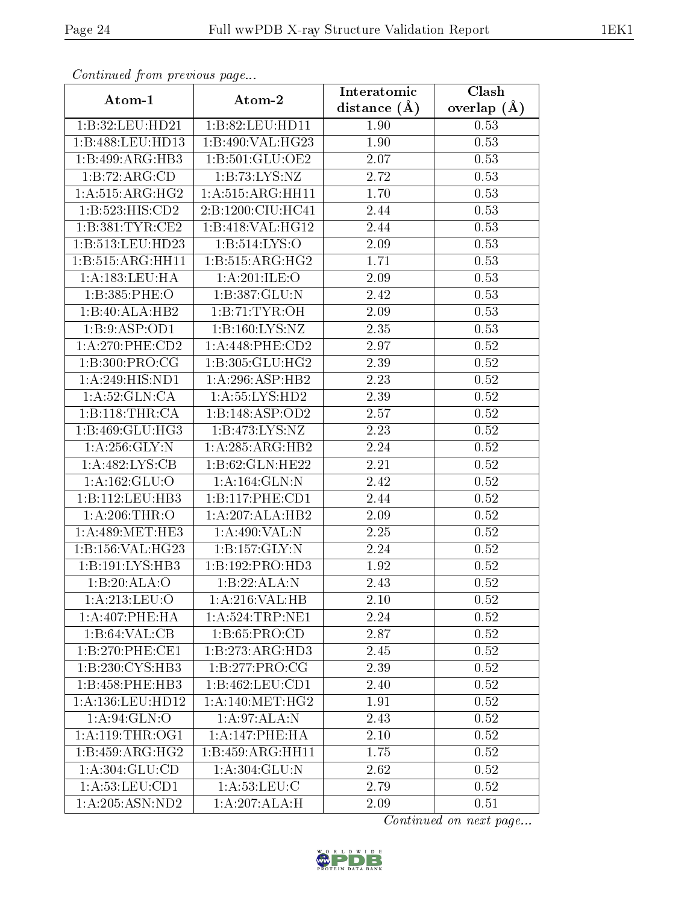| Communica from precious page        |                               | Interatomic    | Clash           |
|-------------------------------------|-------------------------------|----------------|-----------------|
| Atom-1                              | Atom-2                        | distance $(A)$ | overlap $(\AA)$ |
| 1:B:32:LEU:HD21                     | 1:B:82:LEU:HD11               | 1.90           | 0.53            |
| 1:B:488:LEU:HD13                    | 1:B:490:VAL:HG23              | 1.90           | 0.53            |
| 1:B:499:ARG:HB3                     | 1: B:501: GLU:OE2             | 2.07           | 0.53            |
| 1:B:72:ARG:CD                       | 1:B:73:LYS:NZ                 | 2.72           | 0.53            |
| 1:A:515:ARG:HG2                     | 1:A:515:ARG:HH11              | 1.70           | 0.53            |
| 1:B:523:HIS:CD2                     | 2:B:1200:CIU:HC41             | 2.44           | 0.53            |
| 1:B:381:TYR:CE2                     | 1:B:418:VAL:HG12              | 2.44           | 0.53            |
| 1:B:513:LEU:HD23                    | 1: B: 514: LYS: O             | 2.09           | 0.53            |
| 1:B:515:ARG:HH11                    | 1:B:515:ARG:HG2               | 1.71           | 0.53            |
| 1: A: 183: LEU: HA                  | 1: A:201: ILE:O               | 2.09           | 0.53            |
| 1:B:385:PHE:O                       | 1:B:387:GLU:N                 | 2.42           | 0.53            |
| 1:B:40:ALA:HB2                      | 1:B:71:TYR:OH                 | 2.09           | 0.53            |
| 1:B:9:ASP:OD1                       | 1: B: 160: LYS: NZ            | 2.35           | 0.53            |
| $1: A:270:$ PHE: $CD2$              | 1: A:448: PHE:CD2             | 2.97           | 0.52            |
| 1:B:300:PRO:CG                      | 1:B:305:GLU:HG2               | 2.39           | 0.52            |
| 1: A:249: HIS: ND1                  | 1:A:296:ASP:HB2               | 2.23           | 0.52            |
| 1: A:52: GLN:CA                     | 1:A:55:LYS:HD2                | 2.39           | 0.52            |
| 1:B:118:THR:CA                      | 1:B:148:ASP:OD2               | 2.57           | 0.52            |
| 1:B:469:GLU:HG3                     | 1: B: 473: LYS: NZ            | 2.23           | 0.52            |
| 1: A:256: GLY:N                     | 1:A:285:ARG:HB2               | 2.24           | 0.52            |
| 1:A:482:LYS:CB                      | 1:B:62:GLN:HE22               | 2.21           | 0.52            |
| 1:A:162:GLU:O                       | 1: A: 164: GLN:N              | 2.42           | 0.52            |
| 1:B:112:LEU:HB3                     | 1:B:117:PHE:CD1               | 2.44           | 0.52            |
| 1: A:206:THR:O                      | 1:A:207:ALA:HB2               | 2.09           | 0.52            |
| 1: A:489:MET:HE3                    | 1:A:490:VAL:N                 | 2.25           | 0.52            |
| 1:B:156:VAL:HG23                    | 1:B:157:GLY:N                 | 2.24           | 0.52            |
| 1:B:191:LYS:HB3                     | 1:B:192:PRO:HD3               | 1.92           | 0.52            |
| 1:B:20:ALA:O                        | 1:B:22:ALA:N                  | 2.43           | 0.52            |
| 1: A:213: LEU:O                     | 1:A:216:VAL:HB                | 2.10           | 0.52            |
| 1: A:407:PHE:HA                     | 1: A:524:TRP:NE1              | 2.24           | 0.52            |
| $1:B:64:\overline{\mathrm{VAL:CB}}$ | 1: B:65: PRO:CD               | 2.87           | 0.52            |
| 1:B:270:PHE:CE1                     | 1:B:273:ARG:HD3               | 2.45           | 0.52            |
| 1:B:230:CYS:HB3                     | 1:B:277:PRO:CG                | 2.39           | 0.52            |
| 1:B:458:PHE:HB3                     | 1:B:462:LEU:CD1               | 2.40           | 0.52            |
| 1: A: 136: LEU: HD12                | 1: A:140: MET:HG2             | 1.91           | 0.52            |
| 1: A:94: GLN:O                      | 1: A:97: ALA: N               | 2.43           | 0.52            |
| 1: A:119:THR:OG1                    | 1: A:147:PHE:HA               | 2.10           | 0.52            |
| 1:B:459:ARG:HG2                     | $1:B:459:A\overline{RG:HH11}$ | 1.75           | 0.52            |
| 1: A:304: GLU:CD                    | 1:A:304:GLU:N                 | 2.62           | 0.52            |
| $1:$ A:53:LEU:CD1                   | 1: A:53:LEU:C                 | 2.79           | 0.52            |
| 1: A:205: ASN:ND2                   | 1:A:207:ALA:H                 | 2.09           | 0.51            |

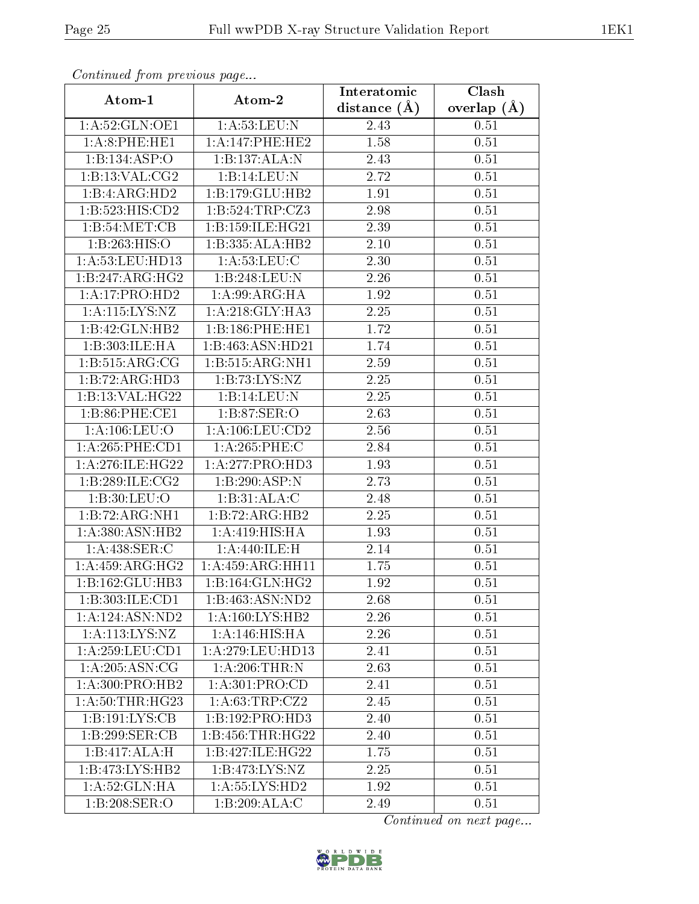| Communica from precious page |                     | Interatomic    | Clash           |
|------------------------------|---------------------|----------------|-----------------|
| Atom-1                       | Atom-2              | distance $(A)$ | overlap $(\AA)$ |
| 1:A:52:GLN:OE1               | 1: A:53:LEU: N      | 2.43           | 0.51            |
| 1: A:8:PHE:HE1               | 1: A:147:PHE:HE2    | 1.58           | 0.51            |
| 1:B:134:ASP:O                | 1:B:137:ALA:N       | 2.43           | 0.51            |
| 1: B: 13: VAL: CG2           | 1:B:14:LEU:N        | 2.72           | 0.51            |
| 1:B:4:ARG:HD2                | 1:B:179:GLU:HB2     | 1.91           | 0.51            |
| 1:B:523:HIS:CD2              | 1:B:524:TRP:CZ3     | 2.98           | 0.51            |
| 1:B:54:MET:CB                | 1:B:159:ILE:HG21    | 2.39           | 0.51            |
| 1:B:263:HIS:O                | 1:B:335:ALA:HB2     | 2.10           | 0.51            |
| 1:A:53:LEU:HD13              | 1: A:53:LEU: C      | 2.30           | 0.51            |
| 1:B:247:ARG:HG2              | 1:B:248:LEU:N       | 2.26           | 0.51            |
| 1:A:17:PRO:HD2               | 1: A:99: ARG: HA    | 1.92           | 0.51            |
| 1: A:115: LYS:NZ             | 1: A:218: GLY:HA3   | 2.25           | 0.51            |
| 1:B:42:GLN:HB2               | 1:B:186:PHE:HE1     | 1.72           | 0.51            |
| 1:B:303:ILE:HA               | 1:B:463:ASN:HD21    | 1.74           | 0.51            |
| 1: B:515: ARG: CG            | 1:B:515:ARG:NH1     | 2.59           | 0.51            |
| 1:B:72:ARG:HD3               | 1:B:73:LYS:NZ       | 2.25           | 0.51            |
| 1:B:13:VAL:HG22              | 1:B:14:LEU:N        | 2.25           | 0.51            |
| 1:B:86:PHE:CE1               | 1: B:87: SER:O      | 2.63           | 0.51            |
| 1: A: 106: LEU: O            | 1: A: 106: LEU: CD2 | 2.56           | 0.51            |
| 1:A:265:PHE:CD1              | $1: A:265:$ PHE:C   | 2.84           | 0.51            |
| 1:A:276:ILE:HG22             | 1:A:277:PRO:HD3     | 1.93           | 0.51            |
| 1:B:289:ILE:CG2              | 1:B:290:ASP:N       | 2.73           | 0.51            |
| 1: B:30: LEU:O               | 1:B:31:ALA:C        | 2.48           | 0.51            |
| 1:B:72:ARG:NH1               | 1:B:72:ARG:HB2      | 2.25           | 0.51            |
| 1:A:380:ASN:HB2              | 1:A:419:HIS:HA      | 1.93           | 0.51            |
| 1:A:438:SER:C                | 1:A:440:ILE:H       | 2.14           | 0.51            |
| 1: A: 459: ARG: HG2          | 1:A:459:ARG:HH11    | 1.75           | 0.51            |
| 1:B:162:GLU:HB3              | 1:B:164:GLN:HG2     | 1.92           | 0.51            |
| 1:B:303:ILE:CD1              | 1:B:463:ASN:ND2     | 2.68           | 0.51            |
| 1:A:124:ASN:ND2              | 1: A: 160: LYS: HB2 | 2.26           | 0.51            |
| 1:A:113:LYS:NZ               | 1: A:146: HIS: HA   | 2.26           | 0.51            |
| 1:A:259:LEU:CD1              | 1:A:279:LEU:HD13    | 2.41           | 0.51            |
| 1: A:205: ASN:CG             | 1: A:206:THR:N      | 2.63           | 0.51            |
| 1: A:300: PRO:HB2            | 1:A:301:PRO:CD      | 2.41           | 0.51            |
| 1: A:50:THR:HG23             | 1: A:63:TRP:CZ2     | 2.45           | 0.51            |
| 1:B:191:LYS:CB               | 1:B:192:PRO:HD3     | 2.40           | 0.51            |
| 1:B:299:SER:CB               | 1:B:456:THR:HG22    | 2.40           | 0.51            |
| 1:B:417:ALA:H                | 1:B:427:ILE:HG22    | 1.75           | 0.51            |
| 1:B:473:LYS:HB2              | 1: B:473: LYS: NZ   | 2.25           | 0.51            |
| 1: A:52: GLN: HA             | 1:A:55:LYS:HD2      | 1.92           | 0.51            |
| 1:B:208:SER:O                | 1:B:209:ALA:C       | 2.49           | 0.51            |

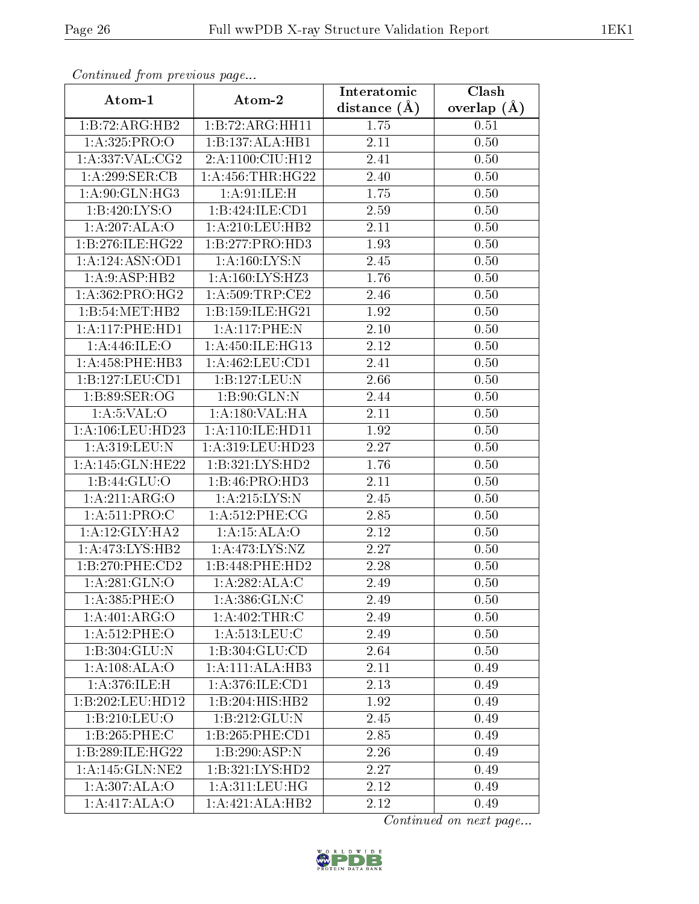| Continued from previous page      |                              | Interatomic      | Clash             |
|-----------------------------------|------------------------------|------------------|-------------------|
| Atom-1                            | Atom-2                       | distance $(\AA)$ | overlap $(A)$     |
| 1:B:72:ARG:HB2                    | 1:B:72:ARG:HH11              | 1.75             | 0.51              |
| 1: A:325: PRO:O                   | 1:B:137:ALA:HB1              | 2.11             | $\overline{0}.50$ |
| 1: A: 337: VAL: CG2               | 2:A:1100:CIU:H12             | 2.41             | 0.50              |
| 1:A:299:SER:CB                    | 1: A: 456: THR: HG22         | 2.40             | 0.50              |
| 1: A:90: GLN: HG3                 | 1: A:91: ILE:H               | 1.75             | 0.50              |
| 1:B:420:LYS:O                     | 1:B:424:ILE:CD1              | 2.59             | 0.50              |
| 1:A:207:ALA:O                     | 1:A:210:LEU:HB2              | 2.11             | 0.50              |
| 1:B:276:ILE:HG22                  | 1: B: 277: PRO: HD3          | 1.93             | 0.50              |
| 1:A:124:ASN:OD1                   | 1: A: 160: LYS: N            | 2.45             | 0.50              |
| 1:A:9:ASP:HB2                     | 1:A:160:LYS:HZ3              | 1.76             | 0.50              |
| 1: A: 362: PRO: HG2               | 1: A:509:TRP:CE2             | 2.46             | 0.50              |
| 1:B:54:MET:HB2                    | 1:B:159:ILE:HG21             | 1.92             | 0.50              |
| 1: A:117: PHE: HD1                | 1:A:117:PHE:N                | 2.10             | 0.50              |
| 1: A:446: ILE:O                   | 1:A:450:ILE:HG13             | 2.12             | 0.50              |
| 1: A: 458: PHE: HB3               | 1:A:462:LEU:CD1              | 2.41             | 0.50              |
| 1:B:127:LEU:CD1                   | 1:B:127:LEU:N                | 2.66             | 0.50              |
| 1:B:89:SER:OG                     | 1: B:90: GLN:N               | 2.44             | 0.50              |
| 1: A: 5: VAL: O                   | 1:A:180:VAL:HA               | 2.11             | 0.50              |
| 1: A:106:LEU:HD23                 | 1: A:110: ILE: HD11          | 1.92             | 0.50              |
| 1: A:319: LEU: N                  | 1: A:319: LEU: HD23          | 2.27             | 0.50              |
| 1:A:145:GLN:HE22                  | 1:B:321:LYS:HD2              | 1.76             | $\overline{0}.50$ |
| 1:B:44:GLU:O                      | 1:B:46:PRO:HD3               | 2.11             | 0.50              |
| 1:A:211:ARG:O                     | 1: A:215:LYS:N               | 2.45             | 0.50              |
| 1: A:511: PRO:C                   | $1: A:512:$ PHE:CG           | 2.85             | 0.50              |
| 1: A:12: GLY: HA2                 | 1:A:15:ALA:O                 | 2.12             | 0.50              |
| 1: A:473: LYS: HB2                | 1:A:473:LYS:NZ               | 2.27             | 0.50              |
| 1:B:270:PHE:CD2                   | 1:B:448:PHE:HD2              | 2.28             | 0.50              |
| 1: A:281: GLN:O                   | 1: A:282:ALA:C               | 2.49             | 0.50              |
| 1:A:385:PHE:O                     | 1: A:386: GLN: C             | 2.49             | 0.50              |
| 1:A:401:ARG:O                     | 1: A:402:THR:C               | 2.49             | 0.50              |
| 1:A:512:PHE:O                     | 1: A:513: LEU: C             | 2.49             | 0.50              |
| $1:B:304:G\overline{\text{LU}:N}$ | 1:B:304:GLU:CD               | 2.64             | 0.50              |
| 1: A:108: ALA:O                   | 1:A:111:ALA:HB3              | 2.11             | 0.49              |
| 1: A:376: ILE:H                   | 1:A:376:ILE:CD1              | 2.13             | 0.49              |
| 1:B:202:LEU:HD12                  | $1:B:204:HIS:H\overline{B2}$ | 1.92             | 0.49              |
| 1:B:210:LEU:O                     | 1:B:212:GLU:N                | 2.45             | 0.49              |
| 1:B:265:PHE:C                     | 1:B:265:PHE:CD1              | 2.85             | 0.49              |
| 1:B:289:ILE:HG22                  | 1:B:290:ASP:N                | 2.26             | 0.49              |
| 1: A:145: GLN:NE2                 | 1:B:321:LYS:HD2              | 2.27             | 0.49              |
| 1: A:307: ALA:O                   | 1: A:311:LEU:HG              | 2.12             | 0.49              |
| 1:A:417:ALA:O                     | 1:A:421:ALA:HB2              | 2.12             | 0.49              |

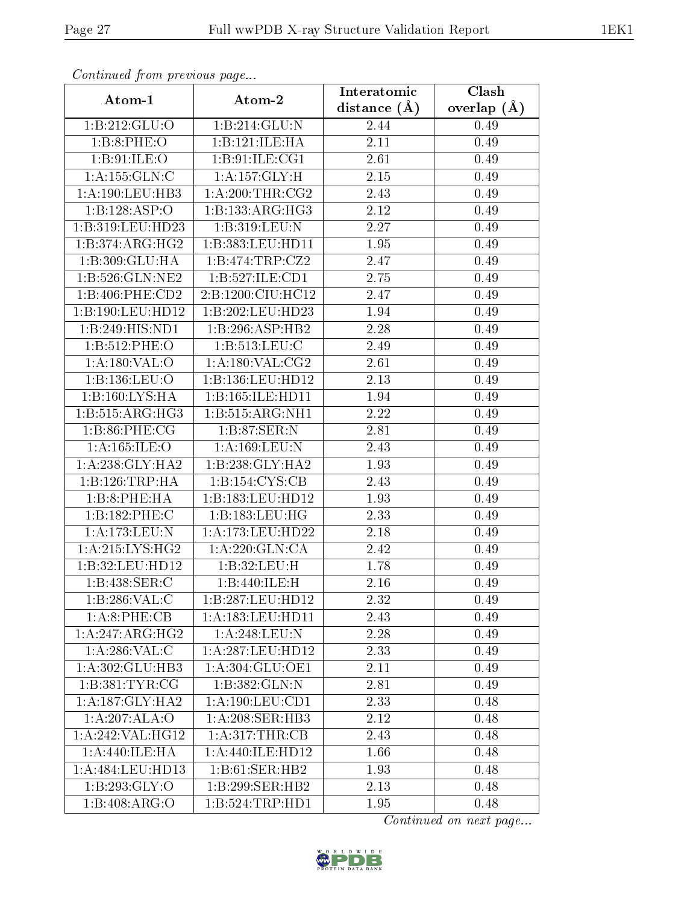| Contentaca promo provious pago            |                            | Interatomic       | $\overline{\text{Clash}}$ |
|-------------------------------------------|----------------------------|-------------------|---------------------------|
| Atom-1                                    | Atom-2                     | distance $(A)$    | overlap $(A)$             |
| 1:B:212:GLU:O                             | 1:B:214:GLU:N              | 2.44              | 0.49                      |
| 1:B:8:PHE:O                               | 1:B:121:ILE:HA             | 2.11              | 0.49                      |
| 1:B:91:ILE:O                              | 1: B: 91: ILE: CG1         | 2.61              | 0.49                      |
| 1:A:155:GLN:C                             | 1: A:157: GLY: H           | 2.15              | 0.49                      |
| 1:A:190:LEU:HB3                           | 1: A:200:THR:CG2           | 2.43              | 0.49                      |
| 1:B:128:ASP:O                             | 1:B:133:ARG:HG3            | 2.12              | 0.49                      |
| 1:B:319:LEU:HD23                          | 1:B:319:LEU:N              | $\overline{2.27}$ | 0.49                      |
| $1:B:374:ARG:H\overline{G2}$              | 1:B:383:LEU:HD11           | 1.95              | 0.49                      |
| 1:B:309:GLU:HA                            | 1:B:474:TRP:CZ2            | 2.47              | 0.49                      |
| 1:B:526:GLN:NE2                           | 1:B:527:ILE:CD1            | 2.75              | 0.49                      |
| 1:B:406:PHE:CD2                           | 2:B:1200:CIU:HC12          | 2.47              | 0.49                      |
| 1:B:190:LEU:HD12                          | 1:B:202:LEU:HD23           | 1.94              | 0.49                      |
| 1:B:249:HIS:ND1                           | 1:B:296:ASP:HB2            | 2.28              | 0.49                      |
| 1:B:512:PHE:O                             | $1: B:513:$ LEU:C          | 2.49              | 0.49                      |
| 1: A: 180: VAL: O                         | 1: A: 180: VAL: CG2        | 2.61              | 0.49                      |
| 1:B:136:LEU:O                             | 1:B:136:LEU:HD12           | 2.13              | 0.49                      |
| $1:B:160:\overline{\text{LYS:H}\text{A}}$ | 1:B:165:ILE:HD11           | 1.94              | 0.49                      |
| 1:B:515:ARG:HG3                           | 1:B:515:ARG:NH1            | 2.22              | 0.49                      |
| 1:B:86:PHE:CG                             | 1:B:87:SER:N               | 2.81              | 0.49                      |
| 1: A: 165: ILE: O                         | 1: A: 169: LEU: N          | 2.43              | 0.49                      |
| 1: A:238: GLY:HA2                         | 1:B:238:GLY:HA2            | $\overline{1}.93$ | 0.49                      |
| 1:B:126:TRP:HA                            | 1: B: 154: CYS: CB         | 2.43              | 0.49                      |
| 1:B:8:PHE:HA                              | 1:B:183:LEU:HD12           | 1.93              | 0.49                      |
| 1:B:182:PHE:C                             | 1:B:183:LEU:HG             | 2.33              | 0.49                      |
| 1:A:173:LEU:N                             | 1: A:173: LEU: HD22        | 2.18              | 0.49                      |
| 1:A:215:LYS:HG2                           | 1: A:220: GLN:CA           | $\overline{2.42}$ | 0.49                      |
| 1:B:32:LEU:HD12                           | 1:B:32:LEU:H               | 1.78              | 0.49                      |
| 1:B:438:SER:C                             | $1:B:440:ILE:\overline{H}$ | 2.16              | 0.49                      |
| 1:B:286:VAL:C                             | 1:B:287:LEU:HD12           | 2.32              | 0.49                      |
| 1:A:8:PHE:CB                              | 1:A:183:LEU:HD11           | 2.43              | 0.49                      |
| 1:A:247:ARG:HG2                           | 1:A:248:LEU:N              | 2.28              | 0.49                      |
| 1: A:286: VAL:C                           | 1:A:287:LEU:HD12           | 2.33              | 0.49                      |
| 1:A:302:GLU:HB3                           | 1:A:304:GLU:OE1            | 2.11              | 0.49                      |
| 1: B: 381: TYR: CG                        | 1:B:382:GLN:N              | 2.81              | 0.49                      |
| 1: A:187: GLY:HA2                         | 1: A:190:LEU:CD1           | 2.33              | 0.48                      |
| 1:A:207:ALA:O                             | 1:A:208:SER:HB3            | 2.12              | 0.48                      |
| 1:A:242:VAL:HG12                          | 1:A:317:THR:CB             | 2.43              | 0.48                      |
| $1:A:440:ILE:H\overline{A}$               | 1:A:440:ILE:HD12           | 1.66              | 0.48                      |
| 1: A:484:LEU:HD13                         | 1:B:61:SER:HB2             | 1.93              | 0.48                      |
| 1:B:293:GLY:O                             | 1:B:299:SER:HB2            | 2.13              | 0.48                      |
| 1:B:408:ARG:O                             | 1:B:524:TRP:HD1            | 1.95              | 0.48                      |

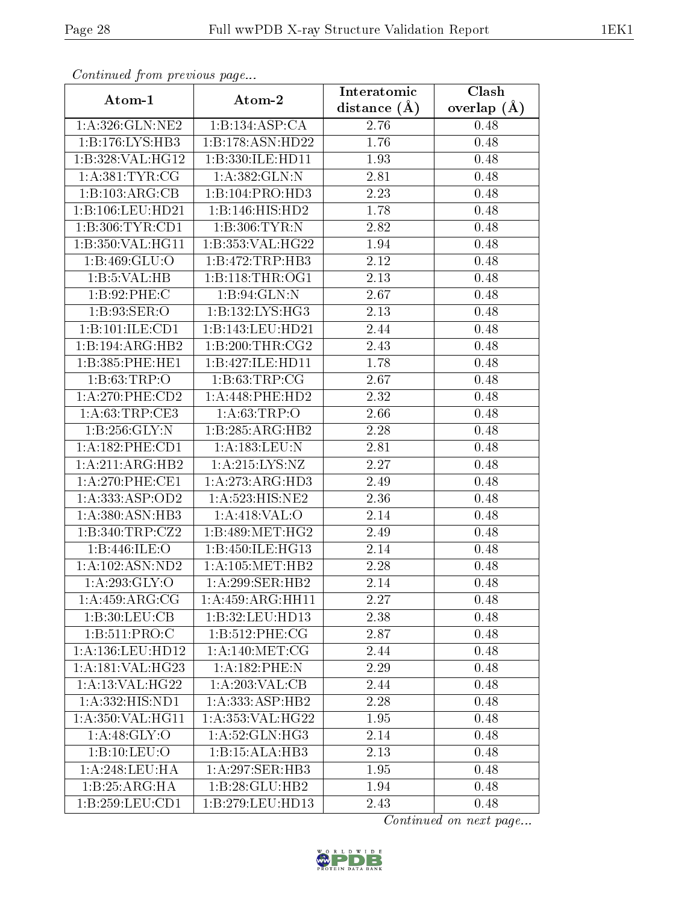| Continued from previous page   |                              | Interatomic       | Clash           |
|--------------------------------|------------------------------|-------------------|-----------------|
| Atom-1                         | Atom-2                       | distance $(A)$    | overlap $(\AA)$ |
| 1:A:326:GLN:NE2                | 1:B:134:ASP:CA               | 2.76              | 0.48            |
| 1: B: 176: LYS: HB3            | 1:B:178:ASN:HD22             | 1.76              | 0.48            |
| 1:B:328:VAL:HG12               | 1:B:330:ILE:HD11             | 1.93              | 0.48            |
| 1: A: 381: TYR: CG             | 1: A: 382: GLN:N             | 2.81              | 0.48            |
| 1:B:103:ARG:CB                 | 1:B:104:PRO:HD3              | 2.23              | 0.48            |
| 1:B:106:LEU:HD21               | 1:B:146:HIS:HD2              | 1.78              | 0.48            |
| 1:B:306:TYR:CD1                | 1: B:306: TYR:N              | 2.82              | 0.48            |
| 1:B:350:VAL:HG11               | 1:B:353:VAL:HG22             | 1.94              | 0.48            |
| $1: B: 469: \overline{GLU:O}$  | 1:B:472:TRP:HB3              | $\overline{2.12}$ | 0.48            |
| 1:B:5:VAL:HB                   | 1: B: 118: THR: OG1          | 2.13              | 0.48            |
| 1:B:92:PHE:C                   | 1:B:94:GLN:N                 | 2.67              | 0.48            |
| 1: B:93: SER:O                 | $1:B:132:LYS:\overline{HG3}$ | 2.13              | 0.48            |
| 1:B:101:ILE:CD1                | 1:B:143:LEU:HD21             | 2.44              | 0.48            |
| 1:B:194:ARG:HB2                | 1:B:200:THR:CG2              | 2.43              | 0.48            |
| 1:B:385:PHE:HE1                | 1:B:427:ILE:HD11             | 1.78              | 0.48            |
| 1: B:63:TRP:O                  | 1: B:63:TRP:CG               | 2.67              | 0.48            |
| $1:A:270:$ PHE:CD2             | 1:A:448:PHE:HD2              | 2.32              | 0.48            |
| 1: A:63:TRP:CE3                | 1:A:63:TRP:O                 | $2.66\,$          | 0.48            |
| $1: B: 256: \overline{GLY: N}$ | 1:B:285:ARG:HB2              | 2.28              | 0.48            |
| 1:A:182:PHE:CD1                | 1:A:183:LEU:N                | 2.81              | 0.48            |
| 1:A:211:ARG:HB2                | 1: A:215:LYS:NZ              | 2.27              | 0.48            |
| $1: A:270:$ PHE:CE1            | 1:A:273:ARG:HD3              | 2.49              | 0.48            |
| 1: A: 333: ASP: OD2            | 1:A:523:HIS:NE2              | 2.36              | 0.48            |
| 1:A:380:ASN:HB3                | 1:A:418:VAL:O                | 2.14              | 0.48            |
| 1:B:340:TRP:CZ2                | 1:B:489:MET:HG2              | 2.49              | 0.48            |
| 1:B:446:ILE:O                  | 1:B:450:ILE:HG13             | 2.14              | 0.48            |
| 1: A: 102: ASN: ND2            | 1: A: 105: MET: HB2          | 2.28              | 0.48            |
| 1: A:293: GLY:O                | 1: A:299: SER: HB2           | 2.14              | 0.48            |
| 1: A:459: ARG:CG               | 1:A:459:ARG:HH11             | 2.27              | 0.48            |
| 1:B:30:LEU:CB                  | 1:B:32:LEU:HD13              | 2.38              | 0.48            |
| 1: B: 511: PRO:C               | 1:B:512:PHE:CG               | 2.87              | 0.48            |
| 1:A:136:LEU:HD12               | 1: A:140:MET:CG              | 2.44              | 0.48            |
| 1:A:181:VAL:HG23               | 1:A:182:PHE:N                | 2.29              | 0.48            |
| 1: A:13: VAL:HG22              | 1:A:203:VAL:CB               | 2.44              | 0.48            |
| 1:A:332:HIS:ND1                | 1: A: 333:ASP: HB2           | 2.28              | 0.48            |
| 1: A:350: VAL:HGI1             | 1:A:353:VAL:HG22             | 1.95              | 0.48            |
| 1: A:48: GLY:O                 | 1: A:52: GLN: HG3            | 2.14              | 0.48            |
| 1:B:10:LEU:O                   | 1:B:15:ALA:HB3               | 2.13              | 0.48            |
| 1: A:248:LEU:HA                | 1: A:297: SER:HB3            | 1.95              | 0.48            |
| 1:B:25:ARG:HA                  | 1:B:28:GLU:HB2               | 1.94              | 0.48            |
| 1: B: 259: LEU: CD1            | 1:B:279:LEU:HD13             | 2.43              | 0.48            |

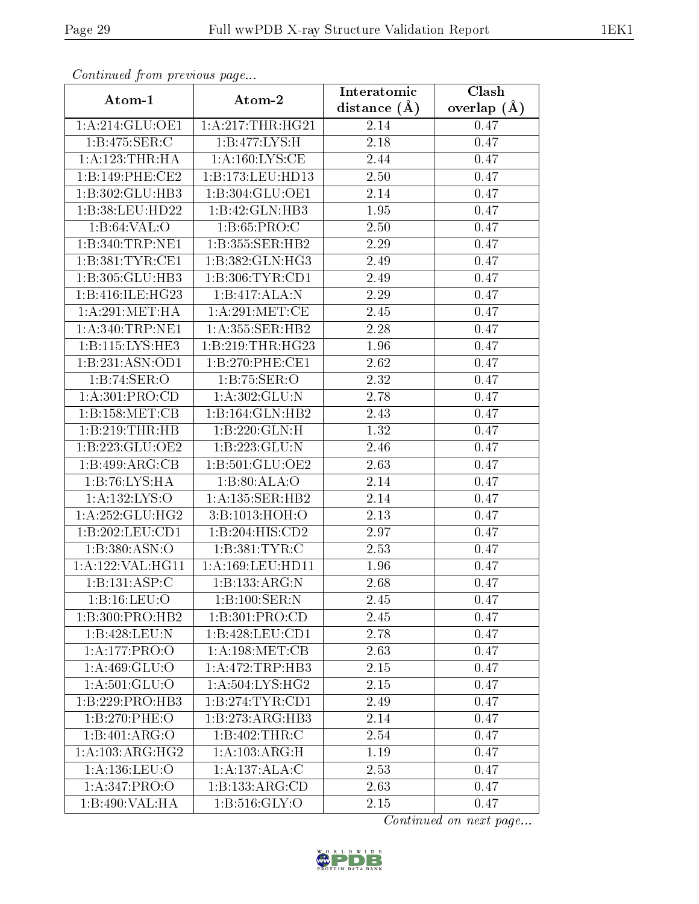| Comunaca jiom previous page |                      | Interatomic    | Clash           |
|-----------------------------|----------------------|----------------|-----------------|
| Atom-1                      | Atom-2               | distance $(A)$ | overlap $(\AA)$ |
| 1:A:214:GLU:OE1             | 1:A:217:THR:HG21     | 2.14           | 0.47            |
| 1: B:475: SER:C             | 1:B:477:LYS:H        | 2.18           | 0.47            |
| 1:A:123:THR:HA              | 1:A:160:LYS:CE       | 2.44           | 0.47            |
| 1:B:149:PHE:CE2             | 1:B:173:LEU:HD13     | 2.50           | 0.47            |
| 1:B:302:GLU:HB3             | 1:B:304:GLU:OE1      | 2.14           | 0.47            |
| 1:B:38:LEU:HD22             | 1:B:42:GLN:HB3       | 1.95           | 0.47            |
| 1:B:64:VAL:O                | 1: B:65: PRO:C       | 2.50           | 0.47            |
| 1:B:340:TRP:NE1             | 1:B:355:SER:HB2      | 2.29           | 0.47            |
| 1:B:381:TYR:CE1             | 1:B:382:GLN:HG3      | 2.49           | 0.47            |
| 1:B:305:GLU:HB3             | 1:B:306:TYR:CD1      | 2.49           | 0.47            |
| 1:B:416:ILE:HG23            | 1:B:417:ALA:N        | 2.29           | 0.47            |
| 1: A:291: MET:HA            | 1: A:291:MET:CE      | 2.45           | 0.47            |
| 1: A:340:TRP:NE1            | 1: A: 355: SER: HB2  | 2.28           | 0.47            |
| 1:B:115:LYS:HE3             | 1:B:219:THR:HG23     | 1.96           | 0.47            |
| 1:B:231:ASN:OD1             | 1:B:270:PHE:CE1      | 2.62           | 0.47            |
| 1:B:74:SER:O                | 1:B:75:SER:O         | 2.32           | 0.47            |
| 1:A:301:PRO:CD              | 1:A:302:GLU:N        | 2.78           | 0.47            |
| 1: B: 158: MET: CB          | 1:B:164:GLN:HB2      | 2.43           | 0.47            |
| 1:B:219:THR:HB              | 1:B:220:GLN:H        | 1.32           | 0.47            |
| 1:B:223:GLU:OE2             | 1:B:223:GLU:N        | 2.46           | 0.47            |
| 1:B:499:ARG:CB              | 1:B:501:GLU:OE2      | 2.63           | 0.47            |
| 1:B:76:LYS:HA               | 1:B:80:ALA:O         | 2.14           | 0.47            |
| 1: A: 132: LYS: O           | 1: A: 135: SER: HB2  | 2.14           | 0.47            |
| 1:A:252:GLU:HG2             | 3:B:1013:HOH:O       | 2.13           | 0.47            |
| 1:B:202:LEU:CD1             | 1:B:204:HIS:CD2      | 2.97           | 0.47            |
| 1: B: 380: ASN:O            | 1:B:381:TYR:C        | 2.53           | 0.47            |
| 1: A: 122: VAL: HG11        | 1: A: 169: LEU: HD11 | 1.96           | 0.47            |
| 1:B:131:ASP:C               | 1:B:133:ARG:N        | 2.68           | 0.47            |
| 1:B:16:LEU:O                | 1:B:100:SER:N        | 2.45           | 0.47            |
| 1:B:300:PRO:HB2             | 1:B:301:PRO:CD       | 2.45           | 0.47            |
| 1:B:428:LEU:N               | 1:B:428:LEU:CD1      | 2.78           | 0.47            |
| 1:A:177:PRO:O               | 1: A:198:MET:CB      | 2.63           | 0.47            |
| 1:A:469:GLU:O               | 1:A:472:TRP:HB3      | 2.15           | 0.47            |
| 1: A:501: GLU:O             | 1: A:504: LYS:HG2    | 2.15           | 0.47            |
| 1:B:229:PRO:HB3             | 1:B:274:TYR:CD1      | 2.49           | 0.47            |
| 1:B:270:PHE:O               | 1:B:273:ARG:HB3      | 2.14           | 0.47            |
| 1:B:401:ARG:O               | 1:B:402:THR:C        | 2.54           | 0.47            |
| 1:A:103:ARG:HG2             | 1:A:103:ARG:H        | 1.19           | 0.47            |
| 1:A:136:LEU:O               | 1:A:137:ALA:C        | 2.53           | 0.47            |
| 1:A:347:PRO:O               | 1:B:133:ARG:CD       | 2.63           | 0.47            |
| 1:B:490:VAL:HA              | 1: B:516: GLY:O      | 2.15           | 0.47            |

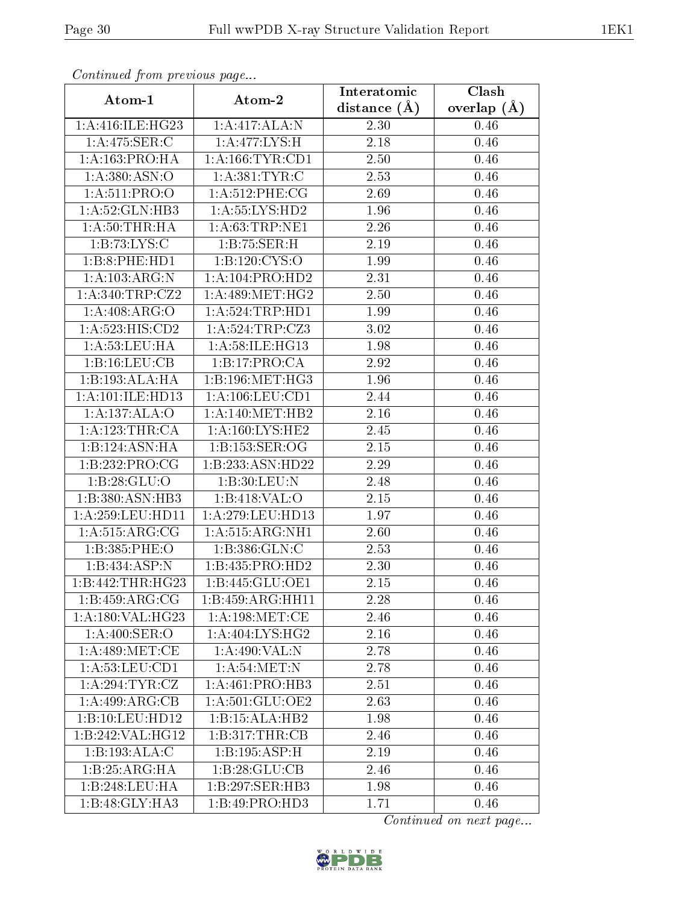| Continued from previous page          |                                     | Interatomic       | Clash           |
|---------------------------------------|-------------------------------------|-------------------|-----------------|
| Atom-1                                | Atom-2                              | distance $(\AA)$  | overlap $(\AA)$ |
| 1:A:416:ILE:HG23                      | 1:A:417:ALA:N                       | 2.30              | 0.46            |
| 1:A:475:SER:C                         | 1: A:477: LYS:H                     | 2.18              | 0.46            |
| 1:A:163:PRO:HA                        | 1: A: 166: TYR: CD1                 | 2.50              | 0.46            |
| 1:A:380:ASN:O                         | 1:A:381:TYR:C                       | 2.53              | 0.46            |
| 1: A:511: PRO:O                       | 1:A:512:PHE:CG                      | 2.69              | 0.46            |
| 1:A:52:GLN:HB3                        | 1:A:55:LYS:HD2                      | 1.96              | 0.46            |
| 1: A:50:THR:HA                        | 1: A:63:TRP:NE1                     | 2.26              | 0.46            |
| 1: B: 73: LYS: C                      | 1:B:75:SER:H                        | 2.19              | 0.46            |
| 1:B:8:PHE:HD1                         | 1:B:120:CYS:O                       | $\overline{1}.99$ | 0.46            |
| 1:A:103:ARG:N                         | 1:A:104:PRO:HD2                     | 2.31              | 0.46            |
| 1: A:340:TRP: CZ2                     | 1: A:489:MET:HG2                    | 2.50              | 0.46            |
| 1:A:408:ARG:O                         | 1:A:524:TRP:HD1                     | 1.99              | 0.46            |
| 1:A:523:HIS:CD2                       | 1: A:524:TRP:CZ3                    | 3.02              | 0.46            |
| 1: A: 53: LEU: HA                     | 1:A:58:ILE:HG13                     | 1.98              | 0.46            |
| 1:B:16:LEU:CB                         | 1:B:17:PRO:CA                       | 2.92              | 0.46            |
| 1:B:193:ALA:HA                        | 1: B: 196: MET:HG3                  | 1.96              | 0.46            |
| 1:A:101:ILE:HD13                      | 1: A: 106: LEU: CD1                 | 2.44              | 0.46            |
| 1:A:137:ALA:O                         | 1: A:140:MET:HB2                    | 2.16              | 0.46            |
| 1: A: 123: THR: CA                    | $1:A:160:\overline{\text{LYS:HE2}}$ | 2.45              | 0.46            |
| 1:B:124:ASN:HA                        | 1:B:153:SER:OG                      | 2.15              | 0.46            |
| 1:B:232:PRO:CG                        | 1:B:233:ASN:HD22                    | 2.29              | 0.46            |
| 1:B:28:GLU:O                          | 1:B:30:LEU:N                        | 2.48              | 0.46            |
| 1:B:380:ASN:HB3                       | 1:B:418:VAL:O                       | 2.15              | 0.46            |
| 1:A:259:LEU:HD11                      | 1:A:279:LEU:HD13                    | 1.97              | 0.46            |
| 1: A:515: ARG: CG                     | 1: A: 515: ARG: NH1                 | 2.60              | 0.46            |
| 1:B:385:PHE:O                         | 1:B:386:GLN:C                       | 2.53              | 0.46            |
| 1:B:434:ASP:N                         | 1:B:435:PRO:HD2                     | 2.30              | 0.46            |
| 1:B:442:THR:HG23                      | 1:B:445:GLU:OE1                     | 2.15              | 0.46            |
| 1:B:459:ARG:CG                        | 1:B:459:ARG:HH11                    | 2.28              | 0.46            |
| 1:A:180:VAL:HG23                      | 1: A:198:MET:CE                     | 2.46              | 0.46            |
| 1: A:400: SER:O                       | 1: A:404: LYS:HG2                   | 2.16              | 0.46            |
| 1: A:489:MET:CE                       | 1:A:490:VAL:N                       | 2.78              | 0.46            |
| 1: A: 53: LEU: CD1                    | 1: A:54:MET:N                       | 2.78              | 0.46            |
| 1:A:294:TYR:CZ                        | 1: A:461: PRO:HB3                   | 2.51              | 0.46            |
| 1:A:499:ARG:CB                        | 1:A:501:GLU:OE2                     | 2.63              | 0.46            |
| $1:B:10:L\overline{\mathrm{EU:HD}12}$ | 1:B:15:ALA:HB2                      | 1.98              | 0.46            |
| 1:B:242:VAL:HG12                      | 1:B:317:THR:CB                      | 2.46              | 0.46            |
| 1:B:193:ALA:C                         | 1:B:195:ASP:H                       | 2.19              | 0.46            |
| 1:B:25:ARG:HA                         | 1:B:28:GLU:CB                       | 2.46              | 0.46            |
| 1:B:248:LEU:HA                        | 1:B:297:SER:HB3                     | 1.98              | 0.46            |
| 1:B:48:GLY:HA3                        | 1:B:49:PRO:HD3                      | 1.71              | 0.46            |

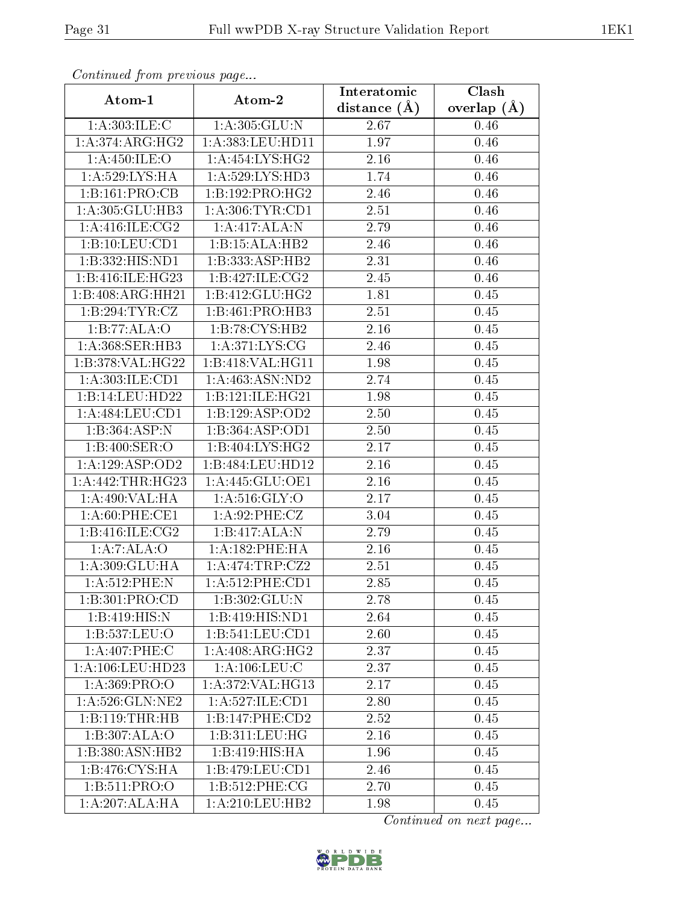| Commuca from previous page |                              | Interatomic       | Clash           |
|----------------------------|------------------------------|-------------------|-----------------|
| Atom-1                     | Atom-2                       | distance $(A)$    | overlap $(\AA)$ |
| 1: A:303: ILE:C            | 1:A:305:GLU:N                | 2.67              | 0.46            |
| 1:A:374:ARG:HG2            | 1:A:383:LEU:HD11             | 1.97              | $0.46\,$        |
| 1: A:450: ILE: O           | 1: A: 454: LYS: HG2          | 2.16              | 0.46            |
| 1:A:529:LYS:HA             | 1:A:529:LYS:HD3              | 1.74              | 0.46            |
| 1:B:161:PRO:CB             | 1:B:192:PRO:HG2              | 2.46              | 0.46            |
| 1:A:305:GLU:HB3            | 1: A:306: TYR: CD1           | 2.51              | 0.46            |
| 1: A:416: ILE:CG2          | $1:A:417:ALA:\overline{X}$   | 2.79              | 0.46            |
| 1:B:10:LEU:CD1             | 1:B:15:ALA:HB2               | 2.46              | 0.46            |
| 1:B:332:HIS:ND1            | 1:B:333:ASP:HB2              | 2.31              | 0.46            |
| 1:B:416:ILE:HG23           | 1: B:427: ILE: CG2           | 2.45              | 0.46            |
| 1:B:408:ARG:HH21           | 1:B:412:GLU:HG2              | 1.81              | $0.45\,$        |
| 1:B:294:TYR:CZ             | 1:B:461:PRO:HB3              | 2.51              | 0.45            |
| 1:B:77:ALA:O               | 1:B:78:CYS:HB2               | 2.16              | 0.45            |
| 1:A:368:SER:HB3            | 1: A:371: LYS: CG            | 2.46              | 0.45            |
| 1:B:378:VAL:HG22           | 1:B:418:VAL:HG11             | 1.98              | 0.45            |
| 1:A:303:ILE:CD1            | 1:A:463:ASN:ND2              | 2.74              | 0.45            |
| 1:B:14:LEU:HD22            | 1:B:121:ILE:HG21             | 1.98              | 0.45            |
| 1:A:484:LEU:CD1            | 1:B:129:ASP:OD2              | 2.50              | 0.45            |
| 1:B:364:ASP:N              | 1:B:364:ASP:OD1              | 2.50              | 0.45            |
| 1:B:400:SER:O              | 1:B:404:LYS:HG2              | 2.17              | 0.45            |
| 1:A:129:ASP:OD2            | 1:B:484:LEU:HD12             | 2.16              | 0.45            |
| 1:A:442:THR:HG23           | 1: A:445: GLU:OE1            | 2.16              | 0.45            |
| 1:A:490:VAL:HA             | $1: A:516: \overline{GLY:O}$ | $\overline{2.17}$ | 0.45            |
| 1: A:60: PHE:CE1           | 1:A:92:PHE:CZ                | 3.04              | 0.45            |
| 1:B:416:ILE:CG2            | 1:B:417:ALA:N                | 2.79              | 0.45            |
| 1:A:7:ALA:O                | 1: A: 182: PHE: HA           | $\overline{2}.16$ | 0.45            |
| 1:A:309:GLU:HA             | 1: A:474:TRP: CZ2            | 2.51              | 0.45            |
| 1:A:512:PHE:N              | 1:A:512:PHE:CD1              | 2.85              | 0.45            |
| 1:B:301:PRO:CD             | 1:B:302:GLU:N                | 2.78              | 0.45            |
| 1:B:419:HIS:N              | 1:B:419:HIS:ND1              | 2.64              | 0.45            |
| 1:B:537:LEU:O              | 1:B:541:LEU:CD1              | 2.60              | 0.45            |
| 1:A:407:PHE:C              | 1:A:408:ARG:HG2              | 2.37              | 0.45            |
| 1: A:106:LEU:HD23          | 1: A: 106: LEU: C            | 2.37              | 0.45            |
| 1: A: 369: PRO:            | 1:A:372:VAL:H <sub>G13</sub> | 2.17              | 0.45            |
| 1: A:526: GLN: NE2         | 1: A:527: ILE: CD1           | 2.80              | 0.45            |
| 1:B:119:THR:HB             | 1:B:147:PHE:CD2              | 2.52              | 0.45            |
| 1:B:307:ALA:O              | 1:B:311:LEU:HG               | 2.16              | 0.45            |
| 1:B:380:ASN:HB2            | 1:B:419:HIS:HA               | 1.96              | 0.45            |
| 1:B:476:CYS:HA             | 1:B:479:LEU:CD1              | 2.46              | 0.45            |
| 1:B:511:PRO:O              | 1:B:512:PHE:CG               | 2.70              | 0.45            |
| 1:A:207:ALA:HA             | 1: A:210:LEU:HB2             | 1.98              | 0.45            |

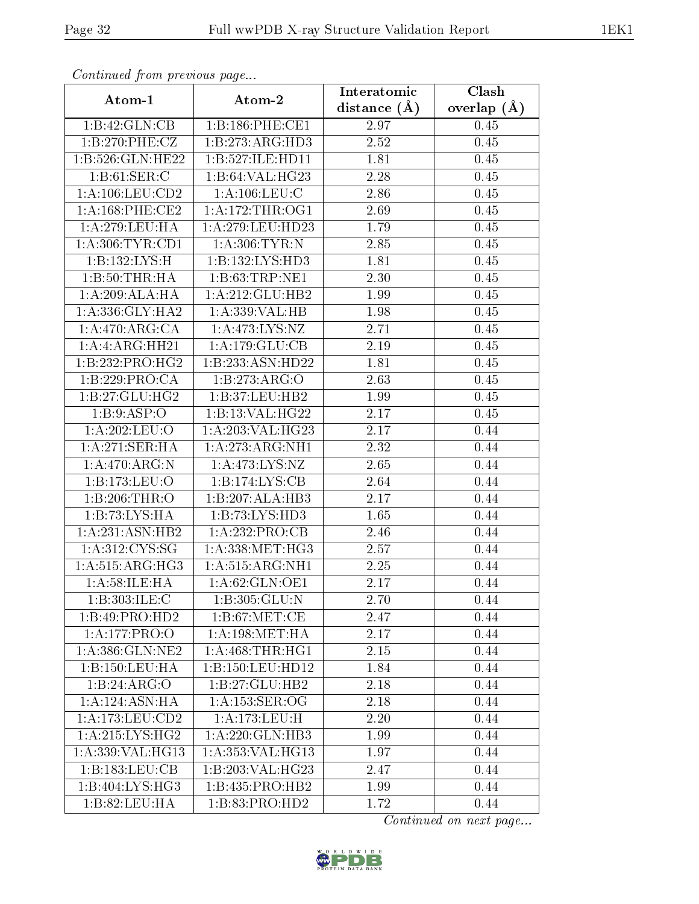| Continuati pom previous page      |                     | Interatomic    | Clash           |  |
|-----------------------------------|---------------------|----------------|-----------------|--|
| Atom-1                            | Atom-2              | distance $(A)$ | overlap $(\AA)$ |  |
| 1:B:42:GLN:CB                     | 1:B:186:PHE:CE1     | 2.97           | 0.45            |  |
| 1:B:270:PHE:CZ                    | 1:B:273:ARG:HD3     | 2.52           | 0.45            |  |
| 1:B:526:GLN:HE22                  | 1:B:527:ILE:HD11    | 1.81           | 0.45            |  |
| 1: B:61: SER:C                    | 1:B:64:VAL:HG23     | 2.28           | 0.45            |  |
| 1: A: 106: LEU: CD2               | 1: A: 106: LEU: C   | 2.86           | 0.45            |  |
| 1: A: 168: PHE: CE2               | 1: A:172:THR:OG1    | 2.69           | 0.45            |  |
| 1: A:279:LEU:HA                   | 1:A:279:LEU:HD23    | 1.79           | 0.45            |  |
| 1: A:306:TYR:CD1                  | 1: A:306:TYR:N      | 2.85           | 0.45            |  |
| 1:B:132:LYS:H                     | 1:B:132:LYS:HD3     | 1.81           | 0.45            |  |
| 1: B:50:THR:HA                    | 1: B:63:TRP:NE1     | 2.30           | 0.45            |  |
| 1:A:209:ALA:HA                    | 1:A:212:GLU:HB2     | 1.99           | 0.45            |  |
| 1: A: 336: GLY: HA2               | 1:A:339:VAL:HB      | 1.98           | 0.45            |  |
| 1:A:470:ARG:CA                    | 1: A:473: LYS: NZ   | 2.71           | 0.45            |  |
| 1:A:ARG:HH21                      | 1: A:179: GLU:CB    | 2.19           | 0.45            |  |
| 1:B:232:PRO:HG2                   | 1:B:233:ASN:HD22    | 1.81           | 0.45            |  |
| 1:B:229:PRO:CA                    | 1:B:273:ARG:O       | 2.63           | 0.45            |  |
| 1:B:27:GLU:HG2                    | 1:B:37:LEU:HB2      | 1.99           | 0.45            |  |
| 1: B:9: ASP:O                     | 1:B:13:VAL:HG22     | 2.17           | 0.45            |  |
| 1:A:202:LEU:O                     | 1:A:203:VAL:HG23    | 2.17           | 0.44            |  |
| 1: A:271:SER:HA                   | 1: A:273:ARG:NH1    | 2.32           | 0.44            |  |
| 1:A:470:ARG:N                     | 1:A:473:LYS:NZ      | 2.65           | 0.44            |  |
| $1:B:173:\overline{\text{LEU}:O}$ | 1:B:174:LYS:CB      | 2.64           | 0.44            |  |
| 1:B:206:THR:O                     | 1:B:207:ALA:HB3     | 2.17           | 0.44            |  |
| 1:B:73:LYS:HA                     | 1:B:73:LYS:HD3      | 1.65           | 0.44            |  |
| 1: A:231: ASN:HB2                 | 1:A:232:PRO:CB      | 2.46           | 0.44            |  |
| 1: A:312:CYS:SG                   | 1: A: 338: MET:HG3  | 2.57           | 0.44            |  |
| 1: A: 515: ARG: HG3               | 1: A: 515: ARG: NH1 | 2.25           | 0.44            |  |
| 1: A:58: ILE: HA                  | 1: A:62: GLN: OE1   | 2.17           | 0.44            |  |
| 1:B:303:ILE:C                     | 1:B:305:GLU:N       | 2.70           | 0.44            |  |
| 1:B:49:PRO:HD2                    | 1: B:67: MET:CE     | 2.47           | 0.44            |  |
| 1:A:177:PRO:O                     | 1: A:198: MET:HA    | 2.17           | 0.44            |  |
| 1: A: 386: GLN: NE2               | 1: A:468:THR:HG1    | 2.15           | 0.44            |  |
| 1: B: 150: LEU: HA                | 1:B:150:LEU:HD12    | 1.84           | 0.44            |  |
| 1:B:24:ARG:O                      | 1:B:27:GLU:HB2      | 2.18           | 0.44            |  |
| 1: A: 124: ASN: HA                | 1: A: 153: SER: OG  | 2.18           | 0.44            |  |
| $1:\overline{A:173:LEU:CD2}$      | 1:A:173:LEU:H       | 2.20           | 0.44            |  |
| 1:A:215:LYS:HG2                   | 1: A:220: GLN:HB3   | 1.99           | 0.44            |  |
| 1:A:339:VAL:HG13                  | 1:A:353:VAL:HG13    | 1.97           | 0.44            |  |
| 1:B:183:LEU:CB                    | 1:B:203:VAL:HG23    | 2.47           | 0.44            |  |
| 1:B:404:LYS:HG3                   | 1:B:435:PRO:HB2     | 1.99           | 0.44            |  |
| 1:B:82:LEU:HA                     | 1:B:83:PRO:HD2      | 1.72           | 0.44            |  |

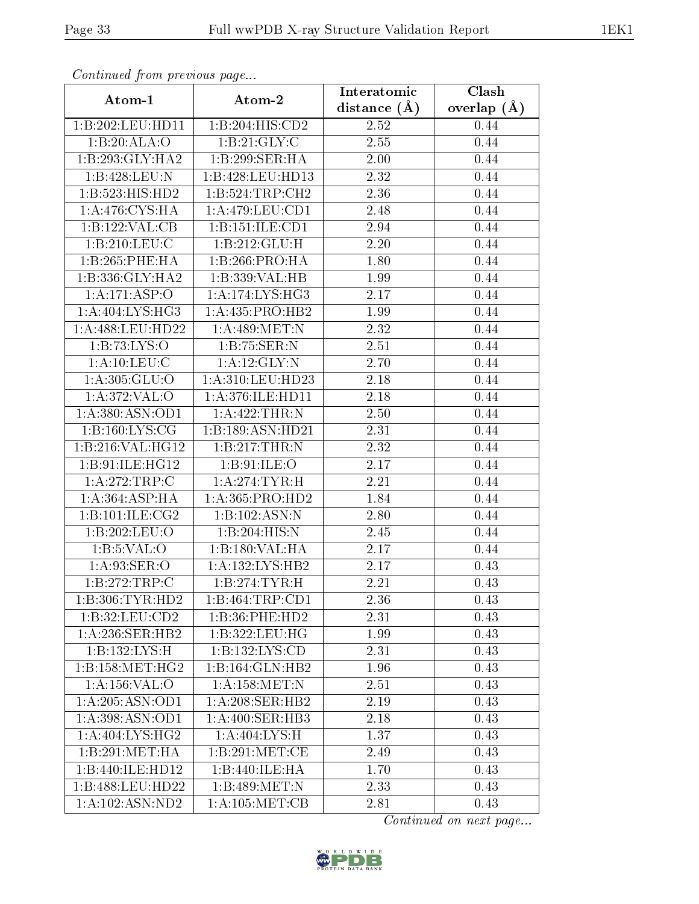| Continuati pont previous page |                     | Interatomic      | Clash           |  |
|-------------------------------|---------------------|------------------|-----------------|--|
| Atom-1                        | Atom-2              | distance $(\AA)$ | overlap $(\AA)$ |  |
| 1:B:202:LEU:HD11              | 1:B:204:HIS:CD2     | 2.52             | 0.44            |  |
| 1:B:20:ALA:O                  | 1: B:21: GLY: C     | 2.55             | 0.44            |  |
| 1:B:293:GLY:HA2               | 1:B:299:SER:HA      | 2.00             | 0.44            |  |
| 1:B:428:LEU:N                 | 1:B:428:LEU:HD13    | 2.32             | 0.44            |  |
| 1:B:523:HIS:HD2               | 1: B:524:TRP:CH2    | 2.36             | 0.44            |  |
| 1: A:476: CYS: HA             | 1: A:479: LEU: CD1  | 2.48             | 0.44            |  |
| 1:B:122:VAL:CB                | 1:B:151:ILE:CD1     | 2.94             | 0.44            |  |
| 1:B:210:LEU:C                 | 1:B:212:GLU:H       | 2.20             | 0.44            |  |
| 1:B:265:PHE:HA                | 1:B:266:PRO:HA      | 1.80             | 0.44            |  |
| 1:B:336:GLY:HA2               | 1:B:339:VAL:HB      | 1.99             | 0.44            |  |
| 1:A:171:ASP:O                 | 1:A:174:LYS:HG3     | 2.17             | 0.44            |  |
| 1: A:404: LYS: HG3            | 1: A:435: PRO:HB2   | 1.99             | 0.44            |  |
| 1:A:488:LEU:HD22              | 1:A:489:MET:N       | 2.32             | 0.44            |  |
| 1:B:73:LYS:O                  | 1:B:75:SER:N        | 2.51             | 0.44            |  |
| 1: A: 10: LEU: C              | 1:A:12:GLY:N        | 2.70             | 0.44            |  |
| 1:A:305:GLU:O                 | 1:A:310:LEU:HD23    | 2.18             | 0.44            |  |
| 1:A:372:VAL:O                 | 1:A:376:ILE:HD11    | 2.18             | 0.44            |  |
| 1:A:380:ASN:OD1               | 1:A:422:THR:N       | 2.50             | 0.44            |  |
| 1: B: 160: LYS: CG            | 1:B:189:ASN:HD21    | 2.31             | 0.44            |  |
| 1:B:216:VAL:HG12              | 1:B:217:THR:N       | 2.32             | 0.44            |  |
| 1:B:91:ILE:HG12               | 1: B:91: ILE: O     | 2.17             | 0.44            |  |
| 1:A:272:TRP:C                 | 1: A:274:TYR:H      | 2.21             | 0.44            |  |
| 1: A:364: ASP:HA              | 1: A: 365: PRO: HD2 | 1.84             | 0.44            |  |
| 1:B:101:ILE:CG2               | 1:B:102:ASN:N       | 2.80             | 0.44            |  |
| 1:B:202:LEU:O                 | 1:B:204:HIS:N       | 2.45             | 0.44            |  |
| 1: B: 5: VAL: O               | 1:B:180:VAL:HA      | 2.17             | 0.44            |  |
| 1: A:93: SER:O                | 1: A: 132: LYS: HB2 | 2.17             | 0.43            |  |
| 1:B:272:TRP:C                 | 1:B:274:TYR:H       | 2.21             | 0.43            |  |
| 1:B:306:TYR:HD2               | 1:B:464:TRP:CD1     | 2.36             | 0.43            |  |
| 1:B:32:LEU:CD2                | 1:B:36:PHE:HD2      | 2.31             | 0.43            |  |
| 1: A:236: SER: HB2            | 1:B:322:LEU:HG      | 1.99             | 0.43            |  |
| 1:B:132:LYS:H                 | 1:B:132:LYS:CD      | 2.31             | 0.43            |  |
| 1: B: 158: MET:HG2            | 1:B:164:GLN:HB2     | 1.96             | 0.43            |  |
| 1:A:156:VAL:O                 | 1: A: 158: MET: N   | 2.51             | 0.43            |  |
| 1:A:205:ASN:OD1               | $1: A:208:$ SER:HB2 | 2.19             | 0.43            |  |
| 1:A:398:ASN:OD1               | 1: A:400: SER:HB3   | 2.18             | 0.43            |  |
| 1: A:404: LYS: HG2            | 1: A:404: LYS:H     | 1.37             | 0.43            |  |
| 1:B:291:MET:HA                | 1:B:291:MET:CE      | 2.49             | 0.43            |  |
| 1:B:440:ILE:HD12              | 1:B:440:ILE:HA      | 1.70             | 0.43            |  |
| 1:B:488:LEU:HD22              | 1:B:489:MET:N       | 2.33             | 0.43            |  |
| 1: A: 102: ASN: ND2           | 1: A: 105: MET: CB  | 2.81             | 0.43            |  |

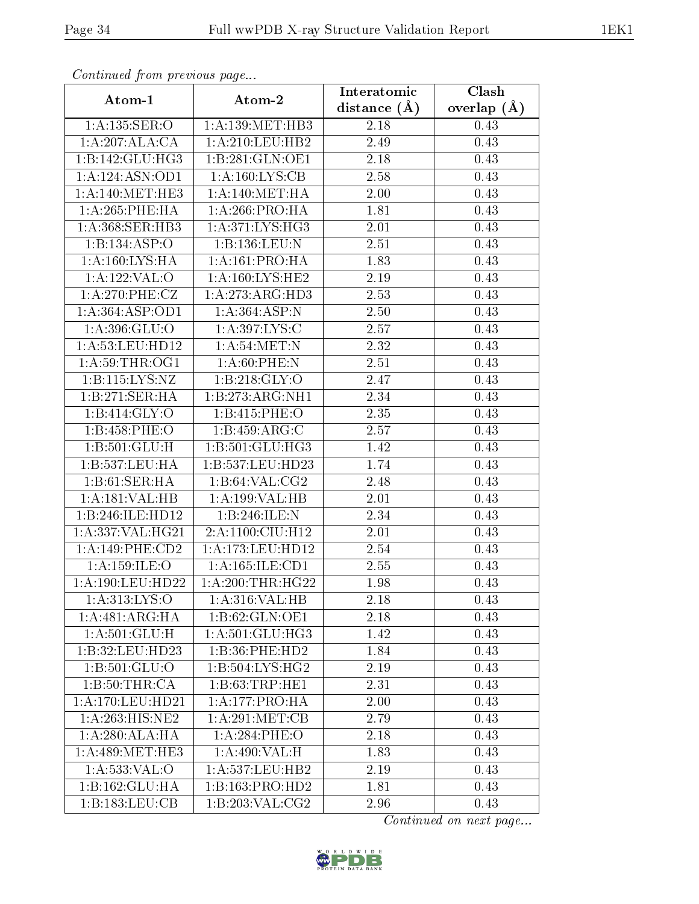| Communa from previous page   |                                                | Interatomic      | Clash           |  |
|------------------------------|------------------------------------------------|------------------|-----------------|--|
| Atom-1                       | Atom-2                                         | distance $(\AA)$ | overlap $(\AA)$ |  |
| 1:A:135:SER:O                | 1: A: 139: MET: HB3                            | 2.18             | 0.43            |  |
| 1:A:207:ALA:CA               | $1:A:210:\overline{\textrm{LEU}:\textrm{HB2}}$ | 2.49             | 0.43            |  |
| $1:B:142:GLU:H\overline{G3}$ | 1:B:281:GLN:OE1                                | 2.18             | 0.43            |  |
| 1:A:124:ASN:OD1              | 1: A: 160: LYS: CB                             | 2.58             | 0.43            |  |
| 1: A:140:MET:HE3             | 1: A:140:MET:HA                                | 2.00             | 0.43            |  |
| 1: A:265:PHE:HA              | 1: A:266:PRO:HA                                | 1.81             | 0.43            |  |
| 1:A:368:SER:HB3              | 1: A:371: LYS:HG3                              | 2.01             | 0.43            |  |
| 1:B:134:ASP:O                | 1:B:136:LEU:N                                  | 2.51             | 0.43            |  |
| 1: A:160: LYS: HA            | 1:A:161:PRO:HA                                 | 1.83             | 0.43            |  |
| 1:A:122:VAL:O                | 1:A:160:LYS:HE2                                | 2.19             | 0.43            |  |
| 1:A:270:PHE:CZ               | 1:A:273:ARG:HD3                                | 2.53             | 0.43            |  |
| 1: A: 364: ASP: OD1          | 1:A:364:ASP:N                                  | 2.50             | 0.43            |  |
| 1:A:396:GLU:O                | 1: A:397: LYS:C                                | 2.57             | 0.43            |  |
| 1: A: 53: LEU: HD12          | 1: A:54:MET:N                                  | 2.32             | 0.43            |  |
| 1: A:59:THR:OG1              | 1: A:60:PHE:N                                  | 2.51             | 0.43            |  |
| 1:B:115:LYS:NZ               | 1:B:218:GLY:O                                  | 2.47             | 0.43            |  |
| 1:B:271:SER:HA               | 1:B:273:ARG:NH1                                | 2.34             | 0.43            |  |
| 1: B:414: GLY:O              | 1:B:415:PHE:O                                  | 2.35             | 0.43            |  |
| 1:B:458:PHE:O                | 1:B:459:ARG:C                                  | 2.57             | 0.43            |  |
| 1: B: 501: GLU: H            | 1: B: 501: GLU: HG3                            | 1.42             | 0.43            |  |
| 1:B:537:LEU:HA               | 1:B:537:LEU:HD23                               | 1.74             | 0.43            |  |
| 1:B:61:SER:HA                | 1:B:64:VAL:CG2                                 | 2.48             | 0.43            |  |
| 1:A:181:VAL:HB               | 1: A: 199: VAL: HB                             | 2.01             | 0.43            |  |
| 1:B:246:ILE:HD12             | 1:B:246:ILE:N                                  | 2.34             | 0.43            |  |
| 1:A:337:VAL:HG21             | 2:A:1100:CIU:H12                               | 2.01             | 0.43            |  |
| 1:A:149:PHE:CD2              | 1:A:173:LEU:HD12                               | 2.54             | 0.43            |  |
| 1: A: 159: ILE: O            | 1:A:165:ILE:CD1                                | 2.55             | 0.43            |  |
| $1: A: 190:$ LEU:HD22        | 1: A:200:THR:HG22                              | 1.98             | 0.43            |  |
| 1:A:313:LYS:O                | 1: A:316: VAL:HB                               | 2.18             | 0.43            |  |
| 1:A:481:ARG:HA               | 1:B:62:GLN:OE1                                 | 2.18             | 0.43            |  |
| 1: A:501: GLU: H             | 1: A:501: GLU:HG3                              | 1.42             | 0.43            |  |
| 1:B:32:LEU:HD23              | 1:B:36:PHE:HD2                                 | 1.84             | 0.43            |  |
| $1: B: 501: GLU:$ O          | $1: B: 504: LYS: H\overline{G2}$               | 2.19             | 0.43            |  |
| 1:B:50:THR:CA                | 1:B:63:TRP:HE1                                 | 2.31             | 0.43            |  |
| 1: A:170: LEU: HD21          | 1: A: 177: PRO: HA                             | 2.00             | 0.43            |  |
| 1: A:263: HIS: NE2           | 1:A:291:MET:CB                                 | 2.79             | 0.43            |  |
| 1: A:280:ALA:HA              | 1: A:284:PHE:O                                 | 2.18             | 0.43            |  |
| 1: A:489:MET:HE3             | 1: A:490: VAL:H                                | 1.83             | 0.43            |  |
| 1: A: 533: VAL: O            | 1: A: 537: LEU: HB2                            | 2.19             | 0.43            |  |
| 1:B:162:GLU:HA               | 1:B:163:PRO:HD2                                | 1.81             | 0.43            |  |
| 1:B:183:LEU:CB               | 1:B:203:VAL:CG2                                | 2.96             | 0.43            |  |

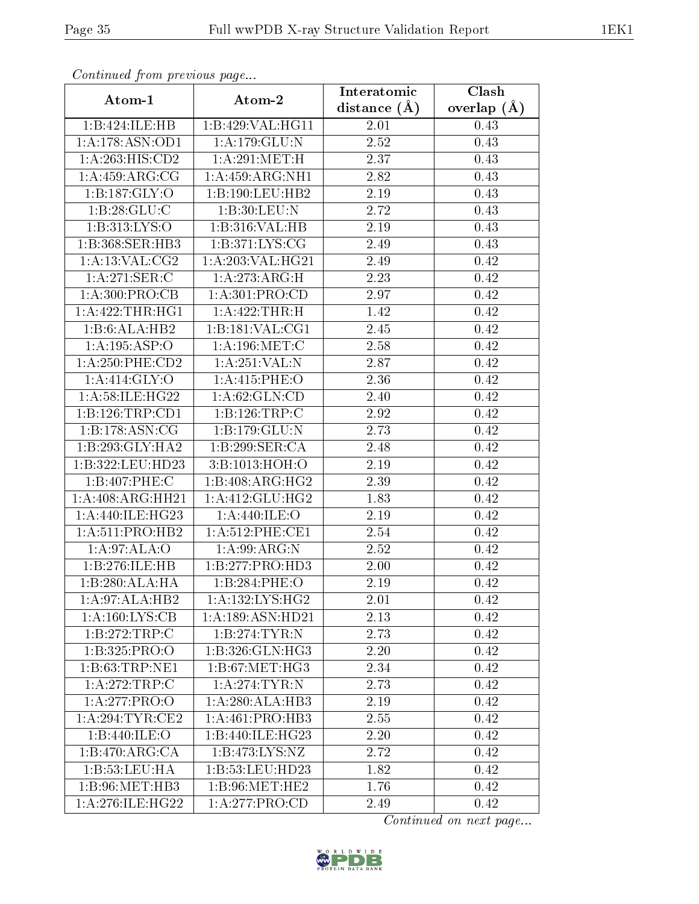| Continued from previous page       |                     | Interatomic       | Clash         |  |
|------------------------------------|---------------------|-------------------|---------------|--|
| Atom-1                             | Atom-2              | distance $(A)$    | overlap $(A)$ |  |
| 1:B:424:ILE:HB                     | 1:B:429:VAL:HG11    | $2.01\,$          | 0.43          |  |
| 1: A:178: ASN:OD1                  | 1: A:179: GLU:N     | 2.52              | 0.43          |  |
| 1:A:263:HIS:CD2                    | 1: A:291:MET:H      | 2.37              | 0.43          |  |
| 1: A: 459: ARG: CG                 | 1: A: 459: ARG: NH1 | 2.82              | 0.43          |  |
| 1:B:187:GLY:O                      | 1:B:190:LEU:HB2     | 2.19              | 0.43          |  |
| 1:B:28:GLU:C                       | 1:B:30:LEU:N        | 2.72              | 0.43          |  |
| 1:B:313:LYS:O                      | 1:B:316:VAL:HB      | 2.19              | 0.43          |  |
| $1:B:368:SER:\overline{HB3}$       | 1:B:371:LYS:CG      | 2.49              | 0.43          |  |
| 1: A: 13: VAL: CG2                 | 1: A:203:VAL:HG21   | $\overline{2.49}$ | 0.42          |  |
| 1:A:271:SER:C                      | 1:A:273:ARG:H       | 2.23              | 0.42          |  |
| 1:A:300:PRO:CB                     | 1:A:301:PRO:CD      | 2.97              | 0.42          |  |
| 1:A:422:THR:HGI                    | 1:A:422:THR:H       | 1.42              | 0.42          |  |
| 1:B:6:ALA:HB2                      | 1:B:181:VAL:CG1     | 2.45              | 0.42          |  |
| 1:A:195:ASP:O                      | 1: A: 196: MET: C   | 2.58              | 0.42          |  |
| $1: A:250:$ PHE: $CD2$             | 1:A:251:VAL:N       | 2.87              | 0.42          |  |
| 1: A:414: GLY:O                    | 1: A:415: PHE:O     | 2.36              | 0.42          |  |
| 1: A:58: ILE:HG22                  | 1: A:62: GLN:CD     | 2.40              | 0.42          |  |
| 1:B:126:TRP:CD1                    | 1:B:126:TRP:C       | 2.92              | 0.42          |  |
| $1:B:178:\overline{\text{ASN}:CG}$ | 1:B:179:GLU:N       | 2.73              | 0.42          |  |
| 1:B:293:GLY:HA2                    | 1:B:299:SER:CA      | 2.48              | 0.42          |  |
| 1:B:322:LEU:HD23                   | 3:B:1013:HOH:O      | 2.19              | 0.42          |  |
| 1:B:407:PHE:C                      | 1:B:408:ARG:HG2     | 2.39              | 0.42          |  |
| 1:A:408:ARG:HH21                   | 1: A:412: GLU: HG2  | 1.83              | 0.42          |  |
| 1: A:440: ILE: HG23                | 1: A:440: ILE:O     | 2.19              | 0.42          |  |
| 1: A:511: PRO:HB2                  | 1: A:512: PHE:CE1   | 2.54              | 0.42          |  |
| 1: A:97: ALA:O                     | 1:A:99:ARG:N        | 2.52              | 0.42          |  |
| 1:B:276:ILE:HB                     | 1:B:277:PRO:HD3     | 2.00              | 0.42          |  |
| 1:B:280:ALA:HA                     | 1:B:284:PHE:O       | 2.19              | 0.42          |  |
| 1:A:97:ALA:HB2                     | 1: A: 132: LYS: HG2 | 2.01              | 0.42          |  |
| $1:A:160:\overline{\text{LYS:CB}}$ | 1:A:189:ASN:HD21    | 2.13              | 0.42          |  |
| 1:B:272:TRP:C                      | 1:B:274:TYR:N       | 2.73              | 0.42          |  |
| 1:B:325:PRO:O                      | 1:B:326:GLN:HG3     | 2.20              | 0.42          |  |
| 1:B:63:TRP:NE1                     | 1: B:67: MET:HG3    | 2.34              | 0.42          |  |
| 1: A:272:TRP:C                     | 1: A:274:TTTR: N    | 2.73              | 0.42          |  |
| 1:A:277:PRO:O                      | 1:A:280:ALA:HB3     | 2.19              | 0.42          |  |
| 1:A:294:TYR:CE2                    | 1: A:461:PRO:HB3    | 2.55              | 0.42          |  |
| 1:B:440:ILE:O                      | 1:B:440:ILE:HG23    | 2.20              | 0.42          |  |
| 1: B:470: ARG: CA                  | 1: B: 473: LYS: NZ  | 2.72              | 0.42          |  |
| 1:B:53:LEU:HA                      | 1:B:53:LEU:HD23     | 1.82              | 0.42          |  |
| 1: B:96:MET:HB3                    | 1:B:96:MET:HE2      | 1.76              | 0.42          |  |
| 1:A:276:ILE:HG22                   | 1:A:277:PRO:CD      | 2.49              | 0.42          |  |

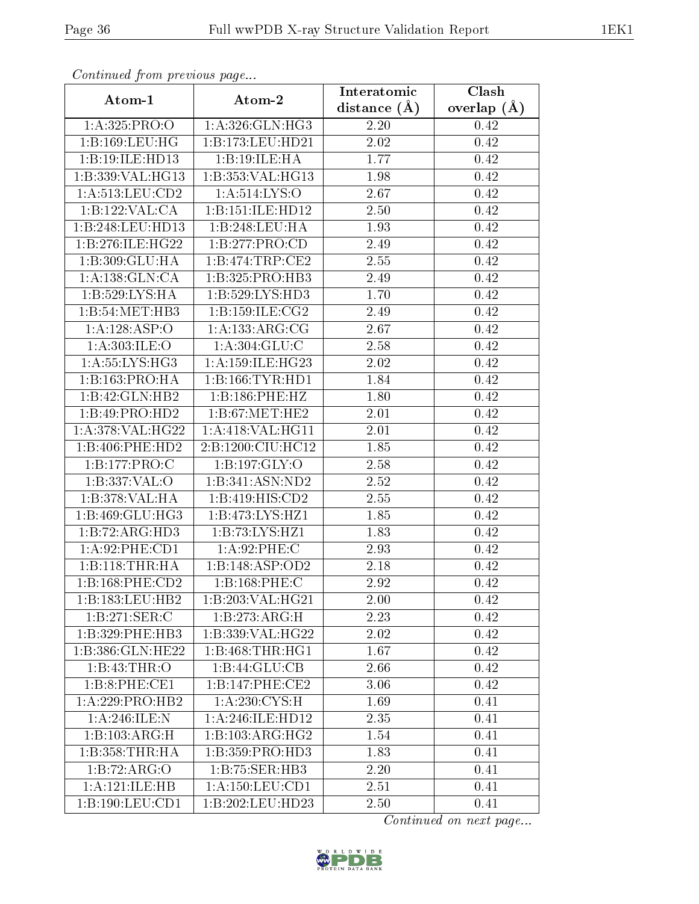| Continued from previous page |                                  | Interatomic    | Clash         |
|------------------------------|----------------------------------|----------------|---------------|
| Atom-1                       | Atom-2                           | distance $(A)$ | overlap $(A)$ |
| 1: A:325: PRO:O              | 1: A:326: GLN: HG3               | 2.20           | 0.42          |
| 1:B:169:LEU:HG               | 1:B:173:LEU:HD21                 | 2.02           | 0.42          |
| 1:B:19:ILE:HD13              | 1:B:19:ILE:HA                    | 1.77           | 0.42          |
| 1:B:339:VAL:HG13             | 1:B:353:VAL:HG13                 | 1.98           | 0.42          |
| 1:A:513:LEU:CD2              | 1:A:514:LYS:O                    | 2.67           | 0.42          |
| 1:B:122:VAL:CA               | 1:B:151:ILE:HD12                 | 2.50           | 0.42          |
| 1:B:248:LEU:HD13             | 1:B:248:LEU:HA                   | 1.93           | 0.42          |
| 1:B:276:ILE:HG22             | 1:B:277:PRO:CD                   | 2.49           | 0.42          |
| 1:B:309:GLU:HA               | 1: B:474:TRP:CE2                 | 2.55           | 0.42          |
| 1:A:138:GLN:CA               | 1:B:325:PRO:HB3                  | 2.49           | 0.42          |
| 1:B:529:LYS:HA               | 1:B:529:LYS:HD3                  | 1.70           | 0.42          |
| 1:B:54:MET:HB3               | 1: B: 159: ILE: CG2              | 2.49           | 0.42          |
| 1:A:128:ASP:O                | 1:A:133:ARG:CG                   | 2.67           | 0.42          |
| 1: A:303: ILE:O              | 1: A:304: GLU: C                 | 2.58           | 0.42          |
| 1:A:55:LYS:HG3               | 1: A: 159: ILE: HG <sub>23</sub> | 2.02           | 0.42          |
| 1:B:163:PRO:HA               | 1:B:166:TYR:HDI                  | 1.84           | 0.42          |
| 1:B:42:GLN:HB2               | 1:B:186:PHE:HZ                   | 1.80           | 0.42          |
| 1:B:49:PRO:HD2               | 1: B:67: MET:HE2                 | 2.01           | 0.42          |
| 1:A:378:VAL:HG22             | 1: A:418: VAL:HGI1               | 2.01           | 0.42          |
| 1:B:406:PHE:HD2              | 2:B:1200:CIU:HC12                | 1.85           | 0.42          |
| 1:B:177:PRO:C                | 1:B:197:GLY:O                    | 2.58           | 0.42          |
| 1:B:337:VAL:O                | 1:B:341:ASN:ND2                  | 2.52           | 0.42          |
| 1:B:378:VAL:HA               | 1:B:419:HIS:CD2                  | 2.55           | 0.42          |
| 1:B:469:GLU:HG3              | 1:B:473:LYS:HZ1                  | 1.85           | 0.42          |
| 1:B:72:ARG:HD3               | 1:B:73:LYS:HZ1                   | 1.83           | 0.42          |
| 1:A:92:PHE:CD1               | 1: A:92:PHE: C                   | 2.93           | 0.42          |
| 1:B:118:THR:HA               | 1:B:148:ASP:OD2                  | 2.18           | 0.42          |
| 1:B:168:PHE:CD2              | 1:B:168:PHE:C                    | 2.92           | 0.42          |
| 1:B:183:LEU:HB2              | 1:B:203:VAL:HG21                 | 2.00           | 0.42          |
| 1:B:271:SER:C                | 1:B:273:ARG:H                    | 2.23           | 0.42          |
| 1:B:329:PHE:HB3              | 1:B:339:VAL:HG22                 | 2.02           | 0.42          |
| 1:B:386:GLN:HE22             | 1:B:468:THR:HGI                  | 1.67           | 0.42          |
| 1:B:43:THR:O                 | 1:B:44:GLU:CB                    | 2.66           | 0.42          |
| 1:B:8:PHE:CE1                | 1:B:147:PHE:CE2                  | 3.06           | 0.42          |
| 1: A:229:PRO:HB2             | 1: A:230: CYS:H                  | 1.69           | 0.41          |
| 1:A:246:ILE:N                | 1: A:246: ILE: HD12              | 2.35           | 0.41          |
| 1:B:103:ARG:H                | 1:B:103:ARG:HG2                  | 1.54           | 0.41          |
| 1: B: 358: THR: HA           | 1:B:359:PRO:HD3                  | 1.83           | 0.41          |
| 1:B:72:ARG:O                 | 1:B:75:SER:HB3                   | 2.20           | 0.41          |
| 1:A:121:ILE:HB               | 1: A: 150: LEU: CD1              | 2.51           | 0.41          |
| 1:B:190:LEU:CD1              | 1:B:202:LEU:HD23                 | 2.50           | 0.41          |

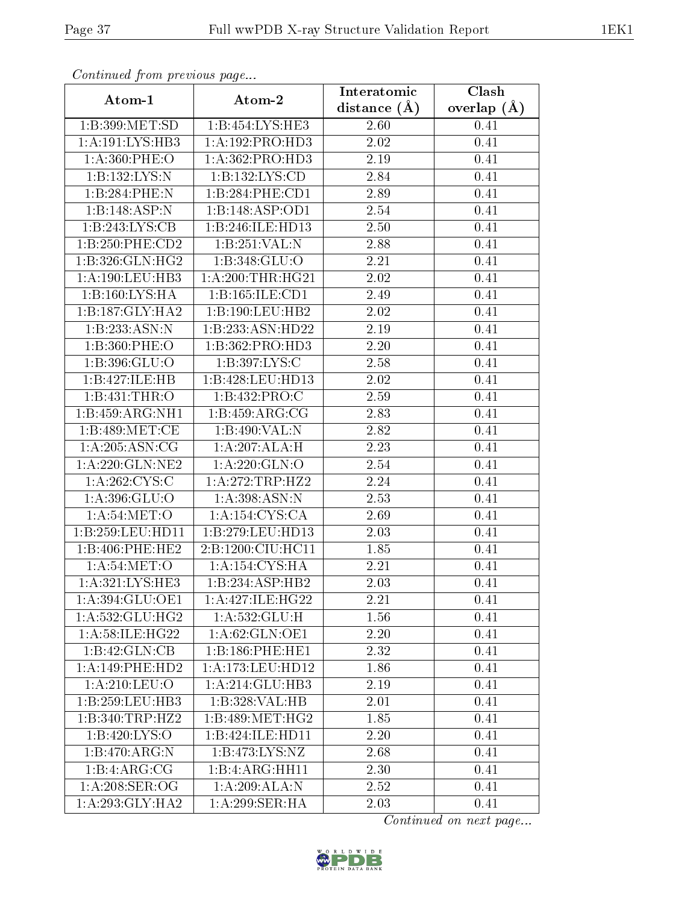| Continued from previous page          |                     | Interatomic       | Clash         |  |
|---------------------------------------|---------------------|-------------------|---------------|--|
| Atom-1                                | Atom-2              | distance $(A)$    | overlap $(A)$ |  |
| 1:B:399:MET:SD                        | 1:B:454:LYS:HE3     | 2.60              | 0.41          |  |
| 1: A: 191: LYS: HB3                   | 1: A: 192: PRO: HD3 | 2.02              | 0.41          |  |
| 1: A:360: PHE:O                       | 1:A:362:PRO:HD3     | 2.19              | 0.41          |  |
| 1:B:132:LYS:N                         | 1:B:132:LYS:CD      | 2.84              | 0.41          |  |
| 1:B:284:PHE:N                         | 1:B:284:PHE:CD1     | 2.89              | 0.41          |  |
| 1:B:148:ASP:N                         | 1:B:148:ASP:OD1     | 2.54              | 0.41          |  |
| 1:B:243:LYS:CB                        | 1:B:246:ILE:HD13    | 2.50              | 0.41          |  |
| 1:B:250:PHE:CD2                       | 1:B:251:VAL:N       | 2.88              | 0.41          |  |
| 1: B:326: GLN: HG2                    | 1:B:348:GLU:O       | 2.21              | 0.41          |  |
| 1:A:190:LEU:HB3                       | 1: A:200:THR:HG21   | 2.02              | 0.41          |  |
| 1:B:160:LYS:HA                        | 1:B:165:ILE:CD1     | 2.49              | 0.41          |  |
| 1:B:187:GLY:HA2                       | 1:B:190:LEU:HB2     | 2.02              | 0.41          |  |
| 1:B:233:ASN:N                         | 1:B:233:ASN:HD22    | 2.19              | 0.41          |  |
| 1:B:360:PHE:O                         | 1:B:362:PRO:HD3     | 2.20              | 0.41          |  |
| 1:B:396:GLU:O                         | 1:B:397:LYS:C       | 2.58              | 0.41          |  |
| 1:B:427:ILE:HB                        | 1:B:428:LEU:HD13    | 2.02              | 0.41          |  |
| 1:B:431:THR:O                         | 1:B:432:PRO:C       | 2.59              | 0.41          |  |
| 1:B:459:ARG:NH1                       | 1:B:459:ARG:CG      | 2.83              | 0.41          |  |
| 1:B:489:MET:CE                        | 1:B:490:VAL:N       | 2.82              | 0.41          |  |
| 1: A:205: ASN:CG                      | 1:A:207:ALA:H       | 2.23              | 0.41          |  |
| $1: A:220: GLN:\overline{\text{NE2}}$ | 1: A:220: GLN:O     | 2.54              | 0.41          |  |
| 1:A:262:CYS:C                         | 1: A:272:TRP:HZ2    | 2.24              | 0.41          |  |
| 1:A:396:GLU:O                         | 1:A:398:ASN:N       | 2.53              | 0.41          |  |
| 1: A:54: MET:O                        | 1: A: 154: CYS: CA  | 2.69              | 0.41          |  |
| 1:B:259:LEU:HD11                      | 1:B:279:LEU:HD13    | 2.03              | 0.41          |  |
| 1:B:406:PHE:HE2                       | 2:B:1200:CIU:HC11   | 1.85              | 0.41          |  |
| 1: A:54: MET:O                        | 1:A:154:CYS:HA      | 2.21              | 0.41          |  |
| 1:A:321:LYS:HE3                       | 1:B:234:ASP:HB2     | 2.03              | 0.41          |  |
| 1:A:394:GLU:OE1                       | 1:A:427:ILE:HG22    | 2.21              | 0.41          |  |
| 1:A:532:GLU:HG2                       | 1: A: 532: GLU: H   | 1.56              | 0.41          |  |
| 1:A:58:ILE:HG22                       | 1:A:62:GLN:OE1      | $\overline{2}.20$ | 0.41          |  |
| 1:B:42:GLN:CB                         | 1:B:186:PHE:HE1     | 2.32              | 0.41          |  |
| 1: A:149: PHE:HD2                     | 1:A:173:LEU:HD12    | 1.86              | 0.41          |  |
| 1: A:210:LEU:O                        | 1:A:214:GLU:HB3     | 2.19              | 0.41          |  |
| 1:B:259:LEU:HB3                       | 1:B:328:VAL:HB      | 2.01              | 0.41          |  |
| 1:B:340:TRP:HZ2                       | 1:B:489:MET:HG2     | 1.85              | 0.41          |  |
| 1:B:420:LYS:O                         | 1:B:424:ILE:HD11    | 2.20              | 0.41          |  |
| 1:B:470:ARG:N                         | 1: B: 473: LYS: NZ  | 2.68              | 0.41          |  |
| 1:B:4:ARG:CG                          | 1:B:4:ARG:HH11      | 2.30              | 0.41          |  |
| 1:A:208:SER:OG                        | 1:A:209:ALA:N       | 2.52              | 0.41          |  |
| 1:A:293:GLY:HA2                       | 1:A:299:SER:HA      | 2.03              | 0.41          |  |

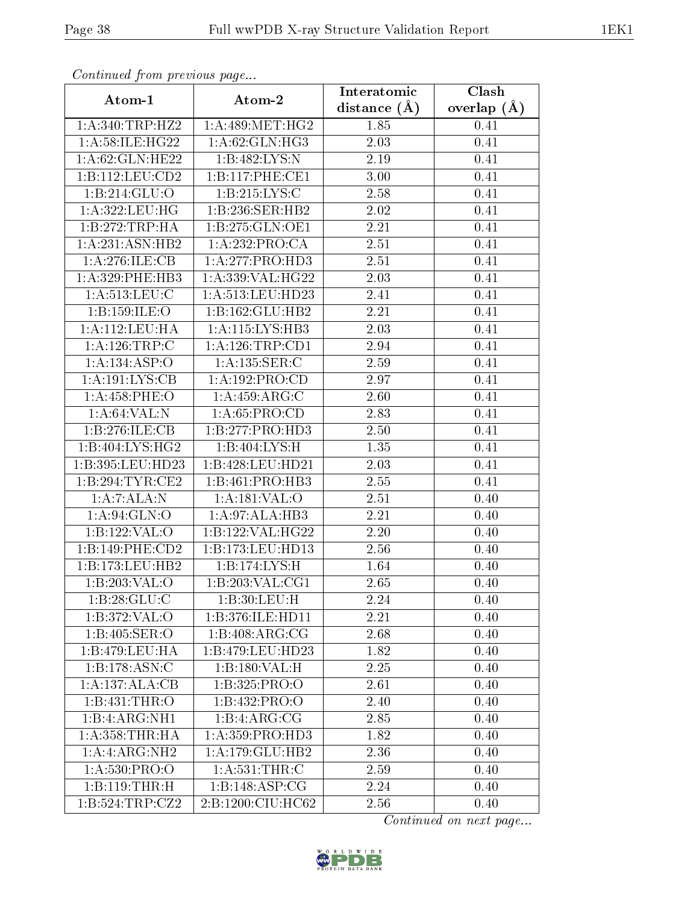| Communaca from previous page |                     | Interatomic       | $\overline{\text{Clash}}$ |  |
|------------------------------|---------------------|-------------------|---------------------------|--|
| Atom-1                       | Atom-2              | distance $(\AA)$  | overlap $(\AA)$           |  |
| 1: A:340:TRP:HZ2             | 1: A:489:MET:HG2    | 1.85              | 0.41                      |  |
| 1:A:58:ILE:HG22              | 1: A:62: GLN: HG3   | $\overline{2.03}$ | 0.41                      |  |
| 1: A:62: GLN: HE22           | 1: B: 482: LYS: N   | 2.19              | 0.41                      |  |
| 1:B:112:LEU:CD2              | 1:B:117:PHE:CE1     | 3.00              | 0.41                      |  |
| 1:B:214:GLU:O                | 1:B:215:LYS:C       | 2.58              | 0.41                      |  |
| 1:A:322:LEU:HG               | 1:B:236:SER:HB2     | 2.02              | 0.41                      |  |
| 1:B:272:TRP:HA               | 1:B:275:GLN:OE1     | 2.21              | 0.41                      |  |
| 1:A:231:ASN:HB2              | 1:A:232:PRO:CA      | 2.51              | 0.41                      |  |
| 1:A:276:ILE:CB               | 1: A: 277: PRO: HD3 | 2.51              | 0.41                      |  |
| $1: A:329:$ PHE:HB3          | 1:A:339:VAL:HG22    | 2.03              | 0.41                      |  |
| 1:A:513:LEU:C                | 1:A:513:LEU:HD23    | 2.41              | 0.41                      |  |
| 1:B:159:ILE:O                | 1:B:162:GLU:HB2     | 2.21              | 0.41                      |  |
| 1:A:112:LEU:HA               | 1:A:115:LYS:HB3     | 2.03              | 0.41                      |  |
| 1:A:126:TRP:C                | 1: A:126:TRP:CD1    | 2.94              | 0.41                      |  |
| 1:A:134:ASP:O                | 1:A:135:SER:C       | 2.59              | 0.41                      |  |
| 1: A: 191: LYS: CB           | 1:A:192:PRO:CD      | 2.97              | 0.41                      |  |
| 1:A:458:PHE:O                | 1:A:459:ARG:C       | 2.60              | 0.41                      |  |
| 1: A:64:VAL: N               | 1: A:65: PRO:CD     | 2.83              | 0.41                      |  |
| 1:B:276:ILE:CB               | 1:B:277:PRO:HD3     | 2.50              | 0.41                      |  |
| 1:B:404:LYS:HG2              | 1: B:404: LYS:H     | 1.35              | 0.41                      |  |
| 1:B:395:LEU:HD23             | 1:B:428:LEU:HD21    | 2.03              | 0.41                      |  |
| 1:B:294:TYR:CE2              | 1:B:461:PRO:HB3     | 2.55              | 0.41                      |  |
| 1:A:7:ALA:N                  | 1:A:181:VAL:O       | 2.51              | 0.40                      |  |
| 1: A:94: GLN:O               | 1:A:97:ALA:HB3      | 2.21              | 0.40                      |  |
| 1:B:122:VAL:O                | 1:B:122:VAL:HG22    | 2.20              | 0.40                      |  |
| 1:B:149:PHE:CD2              | 1:B:173:LEU:HD13    | 2.56              | 0.40                      |  |
| 1:B:173:LEU:HB2              | 1:B:174:LYS:H       | 1.64              | 0.40                      |  |
| 1:B:203:VAL:O                | 1:B:203:VAL:CG1     | 2.65              | 0.40                      |  |
| 1:B:28:GLU:C                 | 1:B:30:LEU:H        | 2.24              | 0.40                      |  |
| 1:B:372:VAL:O                | 1:B:376:ILE:HD11    | 2.21              | 0.40                      |  |
| 1:B:405:SER:O                | 1:B:408:ARG:CG      | 2.68              | 0.40                      |  |
| 1:B:479:LEU:HA               | 1:B:479:LEU:HD23    | 1.82              | 0.40                      |  |
| 1: B: 178: ASN: C            | 1:B:180:VAL:H       | 2.25              | 0.40                      |  |
| 1:A:137:ALA:CB               | 1:B:325:PRO:O       | 2.61              | 0.40                      |  |
| 1:B:431:THR:O                | 1:B:432:PRO:O       | 2.40              | 0.40                      |  |
| 1:B:4:ARG:NH1                | 1:B:4:ARG:CG        | 2.85              | 0.40                      |  |
| 1: A: 358: THR: HA           | 1: A: 359: PRO: HD3 | 1.82              | 0.40                      |  |
| 1:A:ARG:NH2                  | 1:A:179:GLU:HB2     | 2.36              | 0.40                      |  |
| 1: A:530: PRO:O              | 1: A: 531:THR: C    | 2.59              | 0.40                      |  |
| 1:B:119:THR:H                | 1:B:148:ASP:CG      | 2.24              | 0.40                      |  |
| 1:B:524:TRP:CZ2              | 2:B:1200:CIU:HC62   | 2.56              | 0.40                      |  |

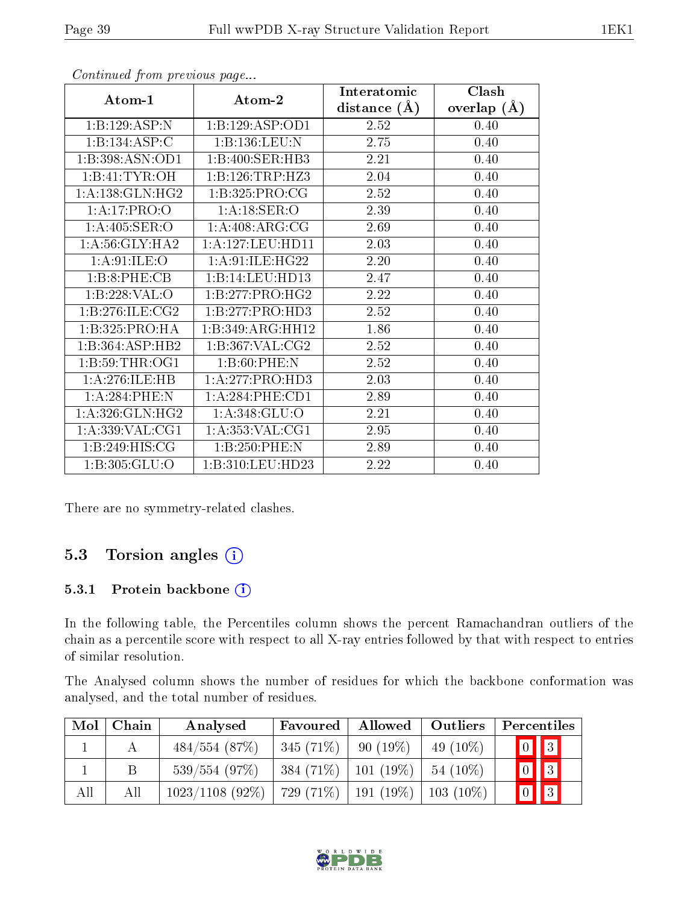|                     |                     | Interatomic    | Clash         |
|---------------------|---------------------|----------------|---------------|
| Atom-1              | Atom-2              | distance $(A)$ | overlap $(A)$ |
| 1:B:129:ASP:N       | 1:B:129:ASP:OD1     | 2.52           | 0.40          |
| 1:B:134:ASP:C       | 1:B:136:LEU:N       | 2.75           | 0.40          |
| 1:B:398:ASN:OD1     | 1:B:400:SER:HB3     | 2.21           | 0.40          |
| 1:B:41:TYR:OH       | 1:B:126:TRP:HZ3     | 2.04           | 0.40          |
| 1: A: 138: GLN: HG2 | 1:B:325:PRO:CG      | 2.52           | 0.40          |
| 1:A:17:PRO:O        | 1: A:18: SER:O      | 2.39           | 0.40          |
| 1: A:405: SER:O     | 1: A:408: ARG:CG    | 2.69           | 0.40          |
| 1: A:56: GLY: HA2   | 1:A:127:LEU:HD11    | 2.03           | 0.40          |
| 1: A:91:ILE:O       | 1: A:91: ILE: HG22  | 2.20           | 0.40          |
| 1:B:8:PHE:CB        | 1:B:14:LEU:HD13     | 2.47           | 0.40          |
| 1:B:228:VAL:O       | 1:B:277:PRO:HG2     | 2.22           | 0.40          |
| 1: B: 276: ILE: CG2 | 1:B:277:PRO:HD3     | 2.52           | 0.40          |
| 1:B:325:PRO:HA      | 1:B:349:ARG:HH12    | 1.86           | 0.40          |
| 1:B:364:ASP:HB2     | 1:B:367:VAL:CG2     | 2.52           | 0.40          |
| 1: B:59:THR:OG1     | 1: B:60: PHE: N     | 2.52           | 0.40          |
| 1:A:276:ILE:HB      | 1: A:277: PRO:HD3   | 2.03           | 0.40          |
| 1: A:284:PHE:N      | 1:A:284:PHE:CD1     | 2.89           | 0.40          |
| 1: A:326: GLN: HG2  | 1: A:348: GLU:O     | 2.21           | 0.40          |
| 1: A: 339: VAL: CG1 | 1: A: 353: VAL: CG1 | 2.95           | 0.40          |
| 1:B:249:HIS:CG      | 1:B:250:PHE:N       | 2.89           | 0.40          |
| 1:B:305:GLU:O       | 1:B:310:LEU:HD23    | 2.22           | 0.40          |

There are no symmetry-related clashes.

#### 5.3 Torsion angles (i)

#### 5.3.1 Protein backbone (i)

In the following table, the Percentiles column shows the percent Ramachandran outliers of the chain as a percentile score with respect to all X-ray entries followed by that with respect to entries of similar resolution.

The Analysed column shows the number of residues for which the backbone conformation was analysed, and the total number of residues.

| Mol | Chain | Analysed          | Favoured    | Allowed               | Outliers    | Percentiles             |
|-----|-------|-------------------|-------------|-----------------------|-------------|-------------------------|
|     |       | $484/554$ (87\%)  | $345(71\%)$ | $90(19\%)$            | 49 $(10\%)$ | $\boxed{0}$ $\boxed{3}$ |
|     |       | 539/554 (97%)     | $384(71\%)$ | $101(19\%)$           | $54(10\%)$  | $\boxed{0}$ $\boxed{3}$ |
| All | All   | $1023/1108$ (92%) | $729(71\%)$ | $^{\prime}$ 191 (19%) | $103(10\%)$ | $\boxed{0}$ $\boxed{3}$ |

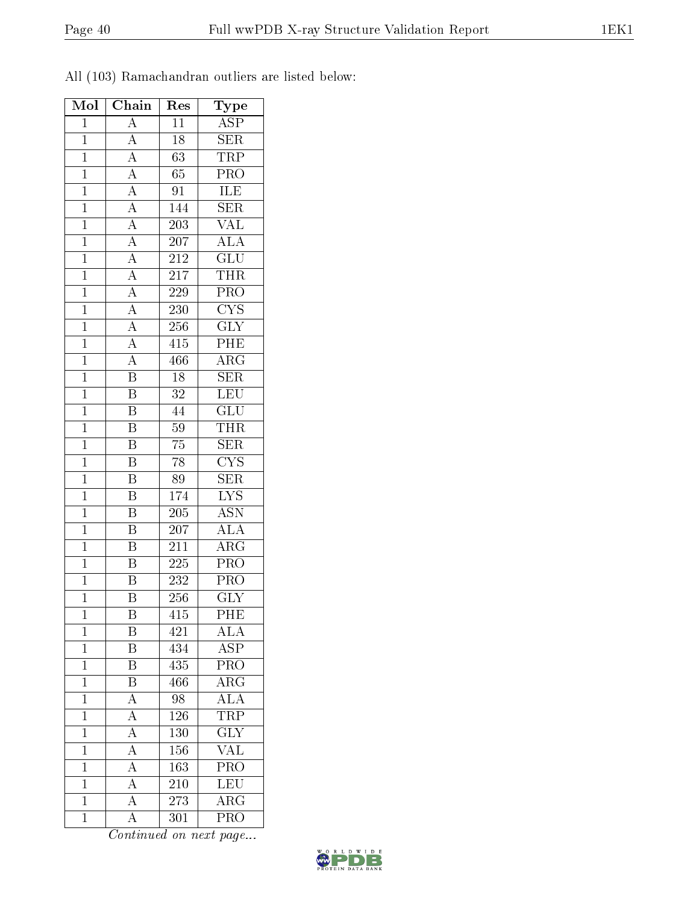All (103) Ramachandran outliers are listed below:

| Mol            | $\overline{\text{Chain}}$                                                                                                                                                           | Res              | Type                      |
|----------------|-------------------------------------------------------------------------------------------------------------------------------------------------------------------------------------|------------------|---------------------------|
| $\mathbf{1}$   | $\overline{A}$                                                                                                                                                                      | $\overline{11}$  | $\overline{\text{ASP}}$   |
| $\overline{1}$ | $\overline{A}$                                                                                                                                                                      | 18               | SER                       |
| $\overline{1}$ | $\overline{A}$                                                                                                                                                                      | $\overline{63}$  | <b>TRP</b>                |
| $\overline{1}$ |                                                                                                                                                                                     | 65               | $\overline{\text{PRO}}$   |
| $\mathbf 1$    | $\frac{\overline{A}}{\overline{A}}$                                                                                                                                                 | 91               | ILE                       |
| $\overline{1}$ |                                                                                                                                                                                     | 144              | $\overline{\text{SER}}$   |
| $\overline{1}$ |                                                                                                                                                                                     | $203\,$          | $\overline{\text{VAL}}$   |
| $\overline{1}$ |                                                                                                                                                                                     | 207              | ALA                       |
| $\mathbf{1}$   |                                                                                                                                                                                     | $21\overline{2}$ | $\overline{\text{GLU}}$   |
| $\mathbf{1}$   |                                                                                                                                                                                     | $\overline{217}$ | <b>THR</b>                |
| $\overline{1}$ |                                                                                                                                                                                     | 229              | $\overline{\text{PRO}}$   |
| $\mathbf{1}$   |                                                                                                                                                                                     | 230              | $\overline{\text{CYS}}$   |
| $\overline{1}$ | $\frac{\overline{A}}{\overline{A}}$ $\frac{\overline{A}}{\overline{A}}$ $\frac{\overline{A}}{\overline{A}}$ $\frac{\overline{A}}{\overline{A}}$ $\frac{\overline{A}}{\overline{A}}$ | 256              | $\overline{\text{GLY}}$   |
| $\mathbf{1}$   |                                                                                                                                                                                     | 415              | $\overline{\text{PHE}}$   |
| $\overline{1}$ |                                                                                                                                                                                     | 466              | $\overline{\rm{ARG}}$     |
| $\mathbf{1}$   | $\overline{\mathbf{B}}$                                                                                                                                                             | $18\,$           | <b>SER</b>                |
| $\overline{1}$ | $\overline{\text{B}}$                                                                                                                                                               | $\overline{32}$  | LEU                       |
| $\overline{1}$ | $\overline{\mathbf{B}}$                                                                                                                                                             | 44               | $\overline{{\rm GLU}}$    |
| $\mathbf 1$    | $\overline{\mathrm{B}}$                                                                                                                                                             | $\overline{59}$  | <b>THR</b>                |
| $\mathbf{1}$   | $\overline{\mathrm{B}}$                                                                                                                                                             | $\overline{75}$  | $\overline{\text{SER}}$   |
| $\mathbf 1$    | $\overline{\mathrm{B}}$                                                                                                                                                             | 78               | $\overline{\text{CYS}}$   |
| $\mathbf 1$    | $\overline{\mathrm{B}}$                                                                                                                                                             | 89               | $\overline{\text{SER}}$   |
| $\overline{1}$ | $\overline{\mathrm{B}}$                                                                                                                                                             | 174              | $\overline{\text{LYS}}$   |
| $\mathbf 1$    | $\overline{\mathrm{B}}$                                                                                                                                                             | 205              | <b>ASN</b>                |
| $\mathbf 1$    | $\overline{\mathrm{B}}$                                                                                                                                                             | 207              | $\overline{\text{ALA}}$   |
| $\overline{1}$ | $\overline{\text{B}}$                                                                                                                                                               | $\overline{211}$ | $\overline{\rm{ARG}}$     |
| $\overline{1}$ | $\overline{\mathrm{B}}$                                                                                                                                                             | $225\,$          | $\overline{\text{PRO}}$   |
| $\mathbf{1}$   | $\overline{\mathbf{B}}$                                                                                                                                                             | 232              | $\overline{\text{PRO}}$   |
| $\mathbf{1}$   | $\overline{\mathrm{B}}$                                                                                                                                                             | 256              | $\overline{\text{GLY}}$   |
| $\mathbf 1$    | Β                                                                                                                                                                                   | 415              | PHE                       |
| $\mathbf{1}$   | Β                                                                                                                                                                                   | 421              | $\widehat{\text{ALA}}$    |
| $\mathbf{1}$   | $\overline{\mathrm{B}}$                                                                                                                                                             | 434              | <b>ASP</b>                |
| $\mathbf{1}$   | Β                                                                                                                                                                                   | 435              | PRO                       |
| $\mathbf{1}$   | $\overline{\mathrm{B}}$                                                                                                                                                             | 466              | $\overline{\rm ARG}$      |
| $\mathbf{1}$   | $\overline{A}$                                                                                                                                                                      | 98               | $\overline{\text{ALA}}$   |
| $\mathbf{1}$   | $\overline{A}$                                                                                                                                                                      | 126              | <b>TRP</b>                |
| $\mathbf 1$    | $\overline{A}$                                                                                                                                                                      | 130              | $\overline{\text{GLY}}$   |
| $\mathbf{1}$   | $\overline{\rm A}$                                                                                                                                                                  | 156              | <b>VAL</b>                |
| $\mathbf 1$    | $\overline{A}$                                                                                                                                                                      | 163              | $\overline{\text{PRO}}$   |
| $\overline{1}$ | $\overline{A}$                                                                                                                                                                      | 210              | LEU                       |
| $\mathbf{1}$   | $\overline{\rm A}$                                                                                                                                                                  | 273              | $\rm{ARG}$                |
| $\mathbf{1}$   | $\overline{A}$                                                                                                                                                                      | 301              | $\overline{\mathrm{PRO}}$ |

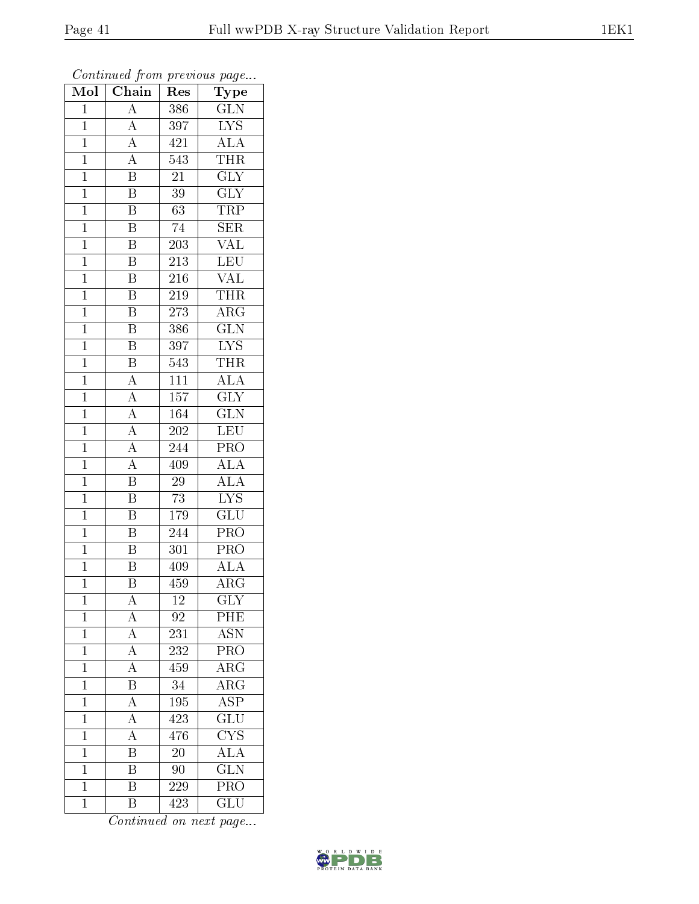| Mol            | $\overline{\text{Chain}}$           | Res              | Type                                       |
|----------------|-------------------------------------|------------------|--------------------------------------------|
| $\mathbf{1}$   | $\overline{\rm A}$                  | 386              | <b>GLN</b>                                 |
| $\mathbf{1}$   | $\overline{A}$                      | 397              | $\overline{\text{LYS}}$                    |
| $\mathbf{1}$   | $\overline{A}$                      | $42\overline{1}$ | $\overline{\rm ALA}$                       |
| $\overline{1}$ | $\overline{A}$                      | $\overline{543}$ | <b>THR</b>                                 |
| $\overline{1}$ | $\overline{\mathbf{B}}$             | $\overline{21}$  | $\overline{\text{GLY}}$                    |
| $\mathbf{1}$   | $\overline{\mathrm{B}}$             | $\overline{3}9$  | <b>GLY</b>                                 |
| $\mathbf{1}$   | $\overline{B}$                      | $\overline{63}$  | <b>TRP</b>                                 |
| $\mathbf{1}$   | $\overline{\mathrm{B}}$             | 74               | <b>SER</b>                                 |
| $\mathbf{1}$   | $\overline{\mathrm{B}}$             | 203              | <b>VAL</b>                                 |
| $\overline{1}$ | $\overline{\mathrm{B}}$             | $\overline{213}$ | LEU                                        |
| $\mathbf{1}$   | B                                   | 216              | <b>VAL</b>                                 |
| $\mathbf{1}$   | $\overline{\mathrm{B}}$             | $21\overline{9}$ | <b>THR</b>                                 |
| $\mathbf{1}$   | $\overline{\mathrm{B}}$             | $\overline{273}$ | $\overline{\rm ARG}$                       |
| $\overline{1}$ | B                                   | 386              | $\overline{\text{GLN}}$                    |
| $\overline{1}$ | $\overline{\mathrm{B}}$             | 397              | $\overline{\text{LYS}}$                    |
| $\mathbf{1}$   | $\overline{\mathbf{B}}$             | 543              | <b>THR</b>                                 |
| $\overline{1}$ | $\overline{A}$                      | $\overline{111}$ | $\overline{ALA}$                           |
| $\mathbf{1}$   | $\overline{A}$                      | 157              | <b>GLY</b>                                 |
| $\overline{1}$ | $\overline{A}$                      | 164              | $\overline{\text{GLN}}$                    |
| $\overline{1}$ | $\overline{A}$                      | 202              | <b>LEU</b>                                 |
| $\mathbf{1}$   | $\overline{A}$                      | 244              | PRO                                        |
| $\mathbf{1}$   | $\overline{A}$                      | 409              | ALA                                        |
| $\overline{1}$ | $\overline{\mathrm{B}}$             | 29               | ALA                                        |
| $\overline{1}$ | $\overline{\mathbf{B}}$             | 73               | $\overline{\text{LYS}}$                    |
| $\mathbf{1}$   | $\overline{\mathrm{B}}$             | 179              | $\overline{\text{GLU}}$                    |
| $\mathbf{1}$   | $\overline{\mathrm{B}}$             | 244              | PRO                                        |
| $\mathbf{1}$   | $\overline{B}$                      | 301              | <b>PRO</b>                                 |
| $\overline{1}$ | $\overline{\mathrm{B}}$             | 409              | $\overline{ALA}$                           |
| $\overline{1}$ | $\overline{\mathrm{B}}$             | $\overline{459}$ | $\overline{\rm{ARG}}$                      |
| 1              | $\mathbf{A}$                        | 12               | GLY                                        |
| $\mathbf{1}$   | $\overline{A}$                      | 92               | PHE                                        |
| $\mathbf 1$    | $\frac{\overline{A}}{\overline{A}}$ | 231              | <b>ASN</b>                                 |
| $\mathbf{1}$   |                                     | 232              | PRO                                        |
| $\mathbf 1$    | $\overline{A}$                      | 459              | $\overline{\rm ARG}$                       |
| $\mathbf{1}$   | $\frac{1}{\overline{B}}$            | 34               | $\overline{\rm{ARG}}$                      |
| $\mathbf 1$    | $\overline{A}$                      | 195              | $\overline{\text{ASP}}$                    |
| $\mathbf 1$    | $\overline{A}$                      | 423              | $\overline{\mathrm{GLU}}$                  |
| $\overline{1}$ | $\overline{\rm A}$                  | 476              | $\overline{\text{CYS}}$                    |
| $\mathbf{1}$   | $\overline{\mathrm{B}}$             | 20               | $\frac{\overline{\text{ALA}}}{\text{GLN}}$ |
| $\mathbf 1$    | $\overline{\mathrm{B}}$             | 90               |                                            |
| $\mathbf{1}$   | $\overline{\mathrm{B}}$             | 229              | $\overline{\text{PRO}}$                    |
| $\mathbf{1}$   | $\overline{B}$                      | 423              | $\overline{\text{GLU}}$                    |

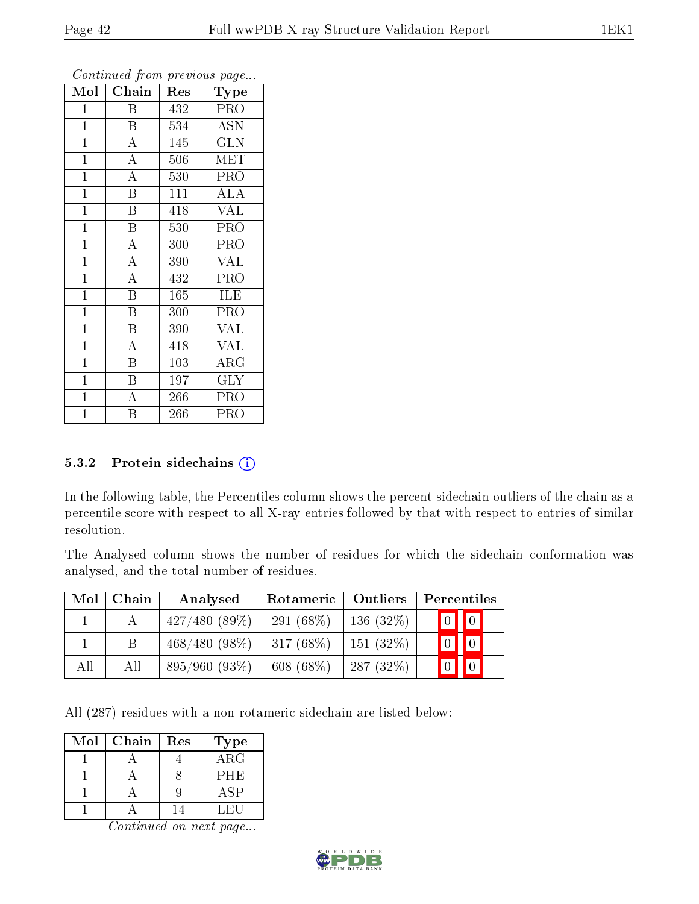| Mol            | Chain                   | Res | Type                    |
|----------------|-------------------------|-----|-------------------------|
| $\mathbf{1}$   | Β                       | 432 | <b>PRO</b>              |
| $\mathbf{1}$   | $\mathbf B$             | 534 | <b>ASN</b>              |
| $\mathbf{1}$   | $\overline{A}$          | 145 | $\overline{\text{GLN}}$ |
| $\mathbf{1}$   | $\overline{A}$          | 506 | $\overline{\text{MET}}$ |
| $\overline{1}$ | $\overline{\rm A}$      | 530 | $\overline{\text{PRO}}$ |
| $\mathbf{1}$   | $\overline{\mathrm{B}}$ | 111 | ALA                     |
| $\mathbf{1}$   | B                       | 418 | <b>VAL</b>              |
| $\overline{1}$ | $\overline{\mathbf{B}}$ | 530 | PRO                     |
| $\overline{1}$ | $\overline{\rm A}$      | 300 | PRO                     |
| $\overline{1}$ | $\overline{\rm A}$      | 390 | <b>VAL</b>              |
| $\mathbf{1}$   | $\overline{A}$          | 432 | PRO                     |
| $\mathbf{1}$   | $\overline{\mathrm{B}}$ | 165 | ILE                     |
| $\mathbf{1}$   | Β                       | 300 | PRO                     |
| $\mathbf{1}$   | Β                       | 390 | VAL                     |
| $\mathbf{1}$   | $\overline{\rm A}$      | 418 | <b>VAL</b>              |
| $\mathbf{1}$   | $\overline{\mathrm{B}}$ | 103 | $\rm{ARG}$              |
| $\mathbf{1}$   | B                       | 197 | <b>GLY</b>              |
| $\mathbf{1}$   | $\overline{A}$          | 266 | PRO                     |
| $\mathbf 1$    | $\overline{\mathrm{B}}$ | 266 | PRO                     |

#### 5.3.2 Protein sidechains  $(i)$

In the following table, the Percentiles column shows the percent sidechain outliers of the chain as a percentile score with respect to all X-ray entries followed by that with respect to entries of similar resolution.

The Analysed column shows the number of residues for which the sidechain conformation was analysed, and the total number of residues.

| Mol | Chain | Analysed        | Rotameric   Outliers |          | Percentiles                                          |
|-----|-------|-----------------|----------------------|----------|------------------------------------------------------|
|     | А     | 427/480(89%)    | 291 $(68\%)$         | 136(32%) | $\boxed{0}$ $\boxed{0}$                              |
|     |       | $468/480(98\%)$ | 317 $(68%)$          | 151(32%) | $\begin{array}{ c c c }\n\hline\n0 & 0\n\end{array}$ |
| All | All   | 895/960(93%)    | 608 $(68\%)$         | 287(32%) | $\boxed{0}$ $\boxed{0}$                              |

All (287) residues with a non-rotameric sidechain are listed below:

| Mol | Chain | Res | <b>Type</b> |
|-----|-------|-----|-------------|
|     |       |     | ARG         |
|     |       |     | PHE         |
|     |       |     | <b>ASP</b>  |
|     |       |     | L FI 1      |

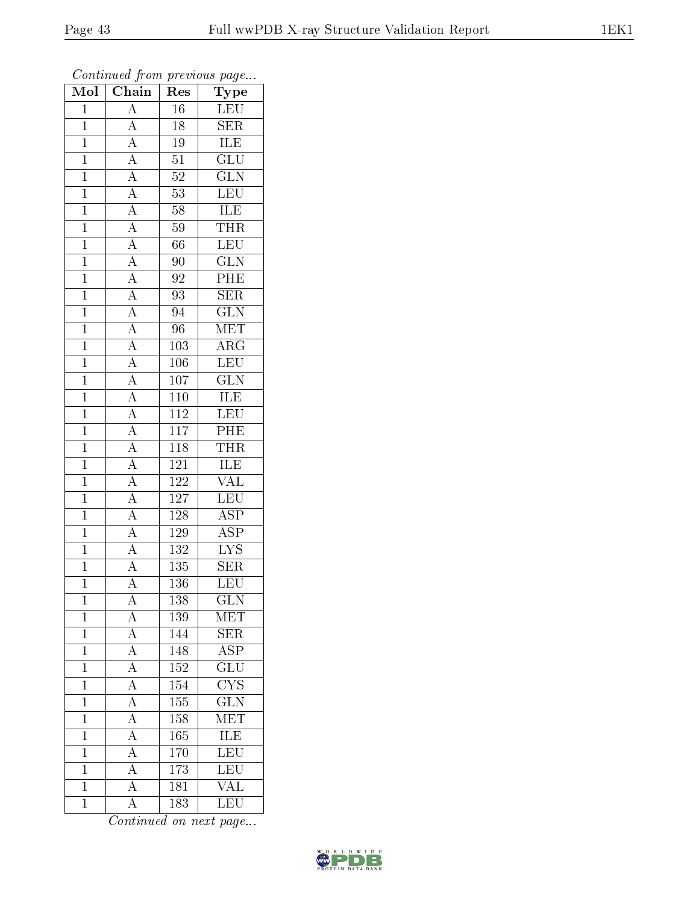| Mol            | $\overline{\text{Chain}}$                                                                                                                                                                                                                                                                                                                                                               | Res              | $\overline{\phantom{a}}$<br>${\rm \bar{Type}}$ |
|----------------|-----------------------------------------------------------------------------------------------------------------------------------------------------------------------------------------------------------------------------------------------------------------------------------------------------------------------------------------------------------------------------------------|------------------|------------------------------------------------|
| $\mathbf{1}$   | $\overline{A}$                                                                                                                                                                                                                                                                                                                                                                          | 16               | LEU                                            |
| $\mathbf{1}$   | $\overline{A}$                                                                                                                                                                                                                                                                                                                                                                          | 18               | SER                                            |
| $\mathbf{1}$   |                                                                                                                                                                                                                                                                                                                                                                                         | $19\,$           | <b>ILE</b>                                     |
| $\overline{1}$ |                                                                                                                                                                                                                                                                                                                                                                                         | $\overline{51}$  | $\overline{\text{GLU}}$                        |
| $\overline{1}$ |                                                                                                                                                                                                                                                                                                                                                                                         | $\overline{52}$  | $\overline{\text{GLN}}$                        |
| $\mathbf{1}$   |                                                                                                                                                                                                                                                                                                                                                                                         | $\overline{53}$  | LEU                                            |
| $\mathbf{1}$   |                                                                                                                                                                                                                                                                                                                                                                                         | $58\,$           | <b>ILE</b>                                     |
| $\mathbf{1}$   |                                                                                                                                                                                                                                                                                                                                                                                         | $59\,$           | <b>THR</b>                                     |
| $\overline{1}$ |                                                                                                                                                                                                                                                                                                                                                                                         | 66               | LEU                                            |
| $\overline{1}$ |                                                                                                                                                                                                                                                                                                                                                                                         | 90               | $\overline{\text{GLN}}$                        |
| $\mathbf{1}$   |                                                                                                                                                                                                                                                                                                                                                                                         | 92               | PHE                                            |
| $\mathbf{1}$   |                                                                                                                                                                                                                                                                                                                                                                                         | 93               | $\overline{\text{SER}}$                        |
| $\overline{1}$ |                                                                                                                                                                                                                                                                                                                                                                                         | 94               | $\overline{\text{GLN}}$                        |
| $\overline{1}$ |                                                                                                                                                                                                                                                                                                                                                                                         | 96               | MET                                            |
| $\overline{1}$ | $\frac{\overline{A}}{\overline{A}} \frac{\overline{A}}{\overline{A}} \frac{\overline{A}}{\overline{A}} \frac{\overline{A}}{\overline{A}} \frac{\overline{A}}{\overline{A}} \frac{\overline{A}}{\overline{A}} \frac{\overline{A}}{\overline{A}} \frac{\overline{A}}{\overline{A}} \frac{\overline{A}}{\overline{A}} \frac{\overline{A}}{\overline{A}} \frac{\overline{A}}{\overline{A}}$ | 103              | $\overline{\rm{ARG}}$                          |
| $\mathbf{1}$   |                                                                                                                                                                                                                                                                                                                                                                                         | 106              | <b>LEU</b>                                     |
| $\overline{1}$ |                                                                                                                                                                                                                                                                                                                                                                                         | $\overline{107}$ | $\overline{\text{GLN}}$                        |
| $\mathbf{1}$   |                                                                                                                                                                                                                                                                                                                                                                                         | $110\,$          | $\overline{\text{ILE}}$                        |
| $\overline{1}$ |                                                                                                                                                                                                                                                                                                                                                                                         | $\overline{112}$ | LEU                                            |
| $\overline{1}$ |                                                                                                                                                                                                                                                                                                                                                                                         | <sup>117</sup>   | $\overline{PHE}$                               |
| $\overline{1}$ |                                                                                                                                                                                                                                                                                                                                                                                         | $\overline{118}$ | THR                                            |
| $\overline{1}$ |                                                                                                                                                                                                                                                                                                                                                                                         | $1\overline{21}$ | <b>ILE</b>                                     |
| $\overline{1}$ |                                                                                                                                                                                                                                                                                                                                                                                         | $\overline{122}$ | $\overline{\text{VAL}}$                        |
| $\overline{1}$ | $\overline{A}$                                                                                                                                                                                                                                                                                                                                                                          | 127              | LEU                                            |
| $\mathbf{1}$   | $\overline{A}$                                                                                                                                                                                                                                                                                                                                                                          | 128              | $\overline{\text{ASP}}$                        |
| $\mathbf{1}$   |                                                                                                                                                                                                                                                                                                                                                                                         | $1\,29$          | $\overline{\text{ASP}}$                        |
| $\mathbf{1}$   | $\frac{\overline{A}}{\overline{A}}$                                                                                                                                                                                                                                                                                                                                                     | $\overline{132}$ | $\overline{\text{LYS}}$                        |
| $\mathbf{1}$   |                                                                                                                                                                                                                                                                                                                                                                                         | $135\,$          | <b>SER</b>                                     |
| $\overline{1}$ | $\overline{\rm A}$                                                                                                                                                                                                                                                                                                                                                                      | 136              | $\overline{\text{LEU}}$                        |
| $\mathbf{1}$   | $\mathbf{A}$                                                                                                                                                                                                                                                                                                                                                                            | 138              | $\overline{\text{GLN}}$                        |
| $\mathbf{1}$   | $\overline{A}$                                                                                                                                                                                                                                                                                                                                                                          | 139              | MET                                            |
| $\mathbf{1}$   | $\frac{\overline{A}}{\overline{A}}$                                                                                                                                                                                                                                                                                                                                                     | 144              | $\overline{\text{SER}}$                        |
| $\mathbf{1}$   |                                                                                                                                                                                                                                                                                                                                                                                         | 148              | $\overline{\rm ASP}$                           |
| $\overline{1}$ |                                                                                                                                                                                                                                                                                                                                                                                         | <b>152</b>       | $\overline{\text{GLU}}$                        |
| $\mathbf{1}$   |                                                                                                                                                                                                                                                                                                                                                                                         | 154              | $\overline{\text{C} \text{YS}}$                |
| $\mathbf{1}$   | $\frac{\overline{A}}{\overline{A}}$ $\frac{\overline{A}}{\overline{A}}$                                                                                                                                                                                                                                                                                                                 | 155              | $\overline{\text{GLN}}$                        |
| $\mathbf 1$    |                                                                                                                                                                                                                                                                                                                                                                                         | 158              | MET                                            |
| $\overline{1}$ | $\overline{A}$                                                                                                                                                                                                                                                                                                                                                                          | 165              | $\overline{\text{ILE}}$                        |
| $\mathbf{1}$   | $\overline{A}$                                                                                                                                                                                                                                                                                                                                                                          | $170\,$          | LEU<br>LEU                                     |
| $\mathbf{1}$   | $\overline{A}$                                                                                                                                                                                                                                                                                                                                                                          | 173              |                                                |
| $\mathbf{1}$   | $\overline{A}$                                                                                                                                                                                                                                                                                                                                                                          | 181              | $\overline{\text{VAL}}$                        |
| $\overline{1}$ | $\rm A$                                                                                                                                                                                                                                                                                                                                                                                 | 183              | $\overline{\text{LEU}}$                        |

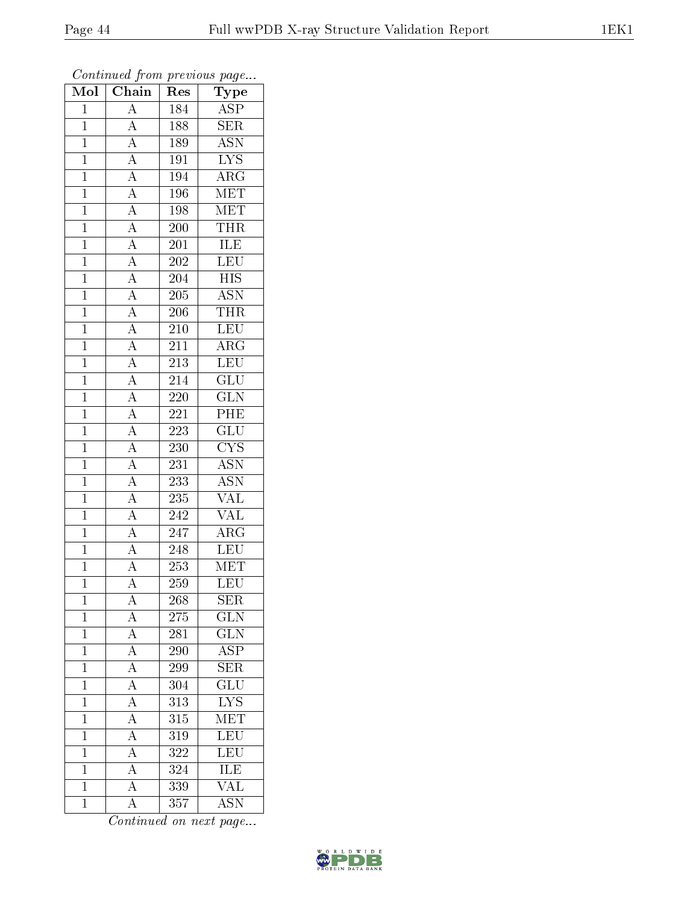| Mol            | Chain                                                                                                       | Res                         | Type                                       |
|----------------|-------------------------------------------------------------------------------------------------------------|-----------------------------|--------------------------------------------|
| $\mathbf{1}$   | $\mathbf{A}$                                                                                                | 184                         | <b>ASP</b>                                 |
| $\mathbf{1}$   | $\overline{A}$                                                                                              | 188                         | $\overline{\text{SER}}$                    |
| $\mathbf{1}$   |                                                                                                             | 189                         | $\overline{\mathrm{ASN}}$                  |
| $\overline{1}$ |                                                                                                             | 191                         | $\overline{\text{LYS}}$                    |
| $\overline{1}$ | $\frac{\overline{A}}{\overline{A}}$<br>$\frac{\overline{A}}{\overline{A}}$                                  | 194                         | $\overline{\rm{ARG}}$                      |
| $\mathbf{1}$   |                                                                                                             | 196                         | <b>MET</b>                                 |
| $\mathbf{1}$   | $\frac{\overline{A}}{\overline{A}}$ $\frac{\overline{A}}{\overline{A}}$ $\frac{\overline{A}}{\overline{A}}$ | 198                         | $\overline{\text{MET}}$                    |
| $\mathbf{1}$   |                                                                                                             | 200                         | <b>THR</b>                                 |
| $\mathbf{1}$   |                                                                                                             | 201                         | <b>ILE</b>                                 |
| $\overline{1}$ |                                                                                                             | $\overline{202}$            | LEU                                        |
| $\mathbf{1}$   |                                                                                                             | 204                         | $\overline{HIS}$                           |
| $\mathbf{1}$   |                                                                                                             | 205                         | $\overline{\mathrm{ASN}}$                  |
| $\mathbf{1}$   | $\frac{\overline{A}}{\overline{A}}$ $\frac{\overline{A}}{\overline{A}}$ $\frac{\overline{A}}{\overline{A}}$ | 206                         | <b>THR</b>                                 |
| $\overline{1}$ |                                                                                                             | 210                         | <b>LEU</b>                                 |
| $\overline{1}$ |                                                                                                             | $\overline{211}$            | $\overline{\text{ARG}}$                    |
| $\mathbf{1}$   |                                                                                                             | 213                         | <b>LEU</b>                                 |
| $\overline{1}$ |                                                                                                             | $\overline{214}$            | $\overline{\text{GLU}}$                    |
| $\mathbf{1}$   |                                                                                                             | 220                         | <b>GLN</b>                                 |
| $\overline{1}$ |                                                                                                             | $2\overline{2}\overline{1}$ | $\overline{\rm{PHE}}$                      |
| $\overline{1}$ | $\overline{A}$                                                                                              | 223                         | $\overline{\text{GLU}}$                    |
| $\mathbf{1}$   | $\overline{A}$                                                                                              | 230                         | $\overline{\text{CYS}}$                    |
| $\overline{1}$ |                                                                                                             | 231                         | $\overline{\mathrm{ASN}}$                  |
| $\overline{1}$ | $\frac{\overline{A}}{\overline{A}}$                                                                         | 233                         | $\overline{\mathrm{ASN}}$                  |
| $\overline{1}$ | $\overline{A}$                                                                                              | 235                         | $\overline{\text{VAL}}$                    |
| $\mathbf{1}$   | $\overline{A}$                                                                                              | 242                         | <b>VAL</b>                                 |
| $\mathbf{1}$   |                                                                                                             | 247                         | $\rm{ARG}$                                 |
| $\mathbf{1}$   | $\frac{\overline{A}}{\overline{A}}$                                                                         | 248                         | LEU                                        |
| $\overline{1}$ |                                                                                                             | 253                         | MET                                        |
| $\overline{1}$ | $\overline{\rm A}$                                                                                          | $\overline{259}$            | LEU                                        |
| $\mathbf 1$    | $\mathbf{A}$                                                                                                | 268                         | SER                                        |
| $\mathbf{1}$   | $\overline{A}$                                                                                              | 275                         | $\widetilde{{\rm GLN}}$                    |
| $\mathbf{1}$   | $\frac{\overline{A}}{\overline{A}}$                                                                         | 281                         | $\overline{\text{GLN}}$                    |
| $\mathbf{1}$   |                                                                                                             | 290                         | $\overline{\text{ASP}}$                    |
| $\overline{1}$ | $\frac{\overline{A}}{\overline{A}}$ $\frac{\overline{A}}{\overline{A}}$                                     | 299                         | $\overline{\text{SER}}$                    |
| $\mathbf{1}$   |                                                                                                             | 304                         | $\overline{{\rm GLU}}$                     |
| $\mathbf 1$    |                                                                                                             | $\overline{313}$            | $\overline{\text{LYS}}$                    |
| $\mathbf 1$    |                                                                                                             | 315                         | $\overline{\text{MET}}$                    |
| $\overline{1}$ | $\overline{A}$                                                                                              | 319                         | $\overline{\text{LEU}}$                    |
| $\mathbf 1$    | $\overline{A}$                                                                                              | 322                         | $\frac{\overline{\text{LEU}}}{\text{ILE}}$ |
| $\mathbf 1$    | $\overline{A}$                                                                                              | 324                         |                                            |
| $\mathbf 1$    | $\overline{A}$                                                                                              | 339                         | $\overline{\text{VAL}}$                    |
| $\mathbf{1}$   | A                                                                                                           | 357                         | $\overline{\mathrm{ASN}}$                  |

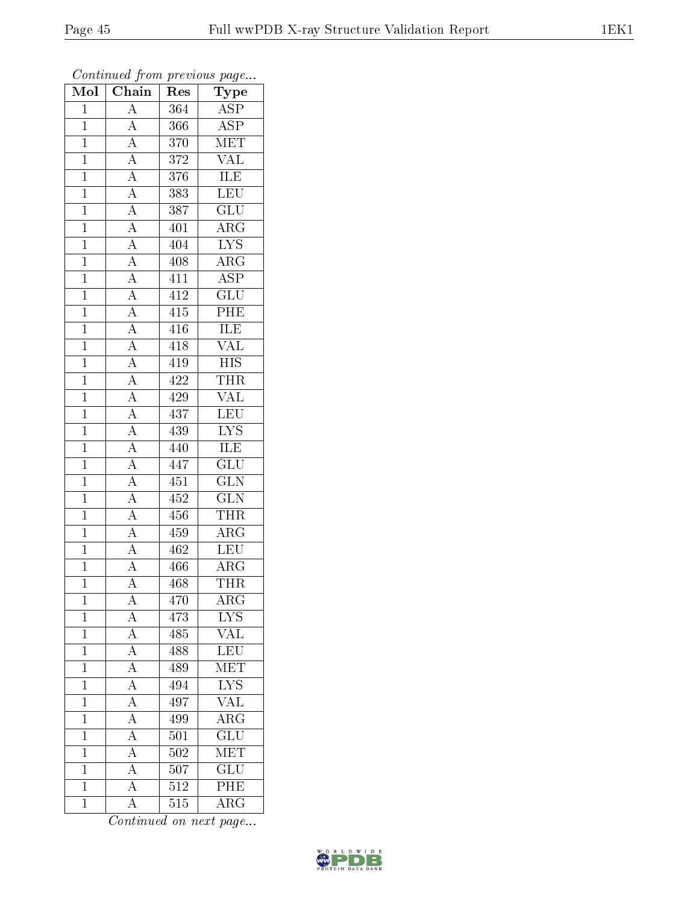| Mol            | Chain                                                                                                                                                                                                                             | Res | ${\rm \bar{Ty}pe}$      |  |
|----------------|-----------------------------------------------------------------------------------------------------------------------------------------------------------------------------------------------------------------------------------|-----|-------------------------|--|
| $\mathbf{1}$   | $\overline{A}$                                                                                                                                                                                                                    | 364 | $\overline{\text{ASP}}$ |  |
| $\overline{1}$ | $\overline{A}$                                                                                                                                                                                                                    | 366 | $\overline{\text{ASP}}$ |  |
| $\overline{1}$ |                                                                                                                                                                                                                                   | 370 | MET                     |  |
| $\mathbf{1}$   |                                                                                                                                                                                                                                   | 372 | $\overline{\text{VAL}}$ |  |
| $\overline{1}$ |                                                                                                                                                                                                                                   | 376 | <b>ILE</b>              |  |
| $\mathbf{1}$   |                                                                                                                                                                                                                                   | 383 | LEU                     |  |
| $\overline{1}$ |                                                                                                                                                                                                                                   | 387 | $\overline{\text{GLU}}$ |  |
| $\overline{1}$ |                                                                                                                                                                                                                                   | 401 | $\overline{\rm{ARG}}$   |  |
| $\mathbf{1}$   |                                                                                                                                                                                                                                   | 404 | $\overline{\text{LYS}}$ |  |
| $\overline{1}$ |                                                                                                                                                                                                                                   | 408 | $\overline{\rm{ARG}}$   |  |
| $\mathbf{1}$   |                                                                                                                                                                                                                                   | 411 | $\overline{\text{ASP}}$ |  |
| $\overline{1}$ |                                                                                                                                                                                                                                   | 412 | $\overline{{\rm GLU}}$  |  |
| $\overline{1}$ |                                                                                                                                                                                                                                   | 415 | PHE                     |  |
| $\mathbf{1}$   |                                                                                                                                                                                                                                   | 416 | <b>ILE</b>              |  |
| $\overline{1}$ |                                                                                                                                                                                                                                   | 418 | $\overline{\text{VAL}}$ |  |
| $\mathbf{1}$   | $\frac{\boxed{A}}{\boxed{A}} \frac{\boxed{A}}{\boxed{A}} \frac{\boxed{A}}{\boxed{A}} \frac{\boxed{A}}{\boxed{A}} \frac{\boxed{A}}{\boxed{A}} \frac{\boxed{A}}{\boxed{A}} \frac{\boxed{A}}{\boxed{A}} \frac{\boxed{A}}{\boxed{A}}$ | 419 | <b>HIS</b>              |  |
| $\overline{1}$ |                                                                                                                                                                                                                                   | 422 | <b>THR</b>              |  |
| $\mathbf{1}$   |                                                                                                                                                                                                                                   | 429 | <b>VAL</b>              |  |
| $\overline{1}$ |                                                                                                                                                                                                                                   | 437 | LEU                     |  |
| $\mathbf{1}$   | $\frac{\overline{A}}{\overline{A}}$ $\frac{\overline{A}}{\overline{A}}$ $\frac{\overline{A}}{\overline{A}}$ $\frac{\overline{A}}{\overline{A}}$ $\frac{\overline{A}}{\overline{A}}$                                               | 439 | $\overline{\text{LYS}}$ |  |
| $\overline{1}$ |                                                                                                                                                                                                                                   | 440 | ILE                     |  |
| $\overline{1}$ |                                                                                                                                                                                                                                   | 447 | $\overline{\text{GLU}}$ |  |
| $\mathbf{1}$   |                                                                                                                                                                                                                                   | 451 | $\overline{\text{GLN}}$ |  |
| $\overline{1}$ |                                                                                                                                                                                                                                   | 452 | $\overline{\text{GLN}}$ |  |
| $\mathbf{1}$   |                                                                                                                                                                                                                                   | 456 | <b>THR</b>              |  |
| $\overline{1}$ |                                                                                                                                                                                                                                   | 459 | $\overline{\rm ARG}$    |  |
| $\overline{1}$ |                                                                                                                                                                                                                                   | 462 | LEU                     |  |
| $\mathbf{1}$   |                                                                                                                                                                                                                                   | 466 | $\rm{ARG}$              |  |
| $\overline{1}$ | $\overline{A}$                                                                                                                                                                                                                    | 468 | <b>THR</b>              |  |
| $\mathbf 1$    | А                                                                                                                                                                                                                                 | 470 | $AR\overline{G}$        |  |
| $\mathbf 1$    | $\overline{\rm A}$                                                                                                                                                                                                                | 473 | LYS                     |  |
| $\mathbf 1$    | $\overline{A}$                                                                                                                                                                                                                    | 485 | $\overline{\text{VAL}}$ |  |
| $\mathbf{1}$   | $\overline{A}$                                                                                                                                                                                                                    | 488 | LEU                     |  |
| $\mathbf{1}$   | $\overline{A}$                                                                                                                                                                                                                    | 489 | MET                     |  |
| $\mathbf{1}$   | $\overline{A}$                                                                                                                                                                                                                    | 494 | <b>LYS</b>              |  |
| $\overline{1}$ | $\overline{A}$                                                                                                                                                                                                                    | 497 | $\overline{\text{VAL}}$ |  |
| $\mathbf{1}$   | $\overline{A}$                                                                                                                                                                                                                    | 499 | $\overline{\rm{ARG}}$   |  |
| $\overline{1}$ | $\overline{A}$                                                                                                                                                                                                                    | 501 | $\overline{\text{GLU}}$ |  |
| $\mathbf{1}$   | A                                                                                                                                                                                                                                 | 502 | $\rm \overline{MET}$    |  |
| $\mathbf{1}$   | $\overline{A}$                                                                                                                                                                                                                    | 507 | GLU                     |  |
| $\mathbf{1}$   | $\overline{\rm A}$                                                                                                                                                                                                                | 512 | PHE                     |  |
| $\overline{1}$ | A                                                                                                                                                                                                                                 | 515 | $\rm{ARG}$              |  |

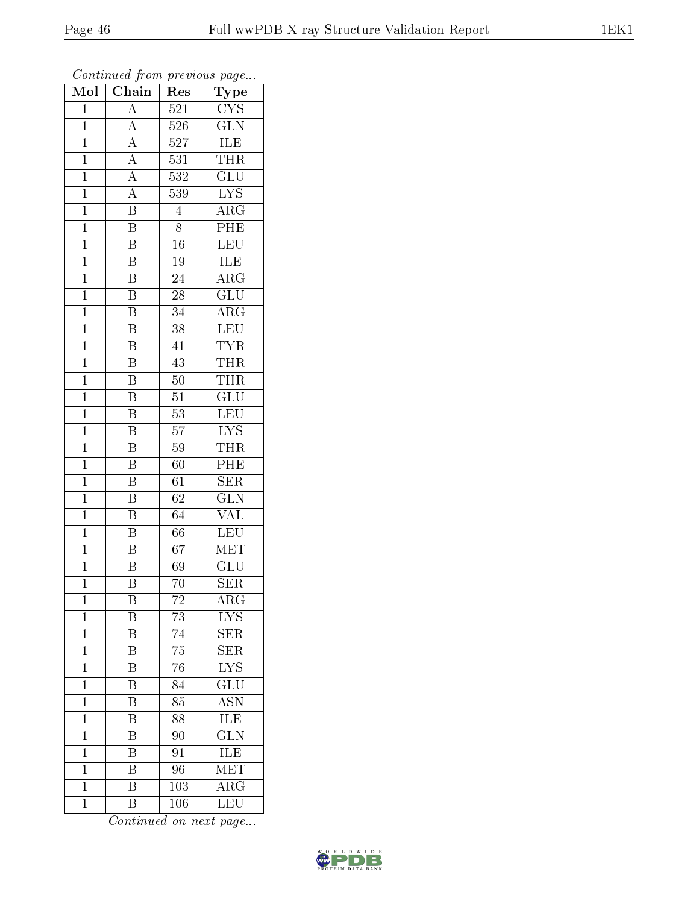| $\overline{\text{Mol}}$ | $\boldsymbol{\mathcal{L}}$<br>Chain | Res              | $\mathbf{r}$<br>$\cdot$<br>Type |
|-------------------------|-------------------------------------|------------------|---------------------------------|
| $\overline{1}$          | $\overline{\rm A}$                  | 521              | $\overline{\text{CYS}}$         |
| $\overline{1}$          | $\overline{A}$                      | $\overline{526}$ | $\overline{\text{GLN}}$         |
| $\overline{1}$          | $\overline{A}$                      | 527              | <b>ILE</b>                      |
| $\mathbf 1$             | $\overline{A}$                      | $\overline{531}$ | <b>THR</b>                      |
| $\mathbf{1}$            | $\frac{\overline{A}}{A}$            | 532              | $\overline{\text{GLU}}$         |
| $\mathbf 1$             |                                     | 539              | $\overline{\text{LYS}}$         |
| $\mathbf{1}$            | $\overline{\mathrm{B}}$             | $\overline{4}$   | $\overline{\rm{ARG}}$           |
| $\mathbf{1}$            | $\overline{\mathrm{B}}$             | $\overline{8}$   | PHE                             |
| $\mathbf{1}$            | $\overline{\mathrm{B}}$             | 16               | LEU                             |
| $\mathbf{1}$            | $\overline{\mathrm{B}}$             | 19               | <b>ILE</b>                      |
| $\mathbf{1}$            | $\overline{\mathrm{B}}$             | 24               | $\overline{\rm{ARG}}$           |
| $\mathbf{1}$            | $\overline{\mathrm{B}}$             | $\overline{28}$  | $\overline{{\rm GLU}}$          |
| $\overline{1}$          | $\overline{\mathrm{B}}$             | 34               | $\overline{\rm ARG}$            |
| $\mathbf{1}$            | $\boldsymbol{\mathrm{B}}$           | 38               | LEU                             |
| $\mathbf{1}$            | $\overline{\mathrm{B}}$             | 41               | <b>TYR</b>                      |
| $\overline{1}$          | B                                   | $\overline{4}3$  | <b>THR</b>                      |
| $\overline{1}$          | $\overline{\mathrm{B}}$             | $\overline{50}$  | <b>THR</b>                      |
| $\mathbf{1}$            | $\overline{\mathrm{B}}$             | 51               | GLU                             |
| $\mathbf{1}$            | $\overline{\mathrm{B}}$             | $\overline{53}$  | $\overline{\text{LEU}}$         |
| $\overline{1}$          | $\overline{\mathrm{B}}$             | $\overline{57}$  | $\overline{\text{LYS}}$         |
| $\mathbf{1}$            | $\overline{\mathrm{B}}$             | 59               | <b>THR</b>                      |
| $\overline{1}$          | $\overline{\mathrm{B}}$             | 60               | PHE                             |
| $\mathbf 1$             | B                                   | 61               | $\overline{\text{SER}}$         |
| $\mathbf 1$             | $\overline{\mathrm{B}}$             | 62               | $\overline{\text{GLN}}$         |
| $\mathbf{1}$            | $\overline{\mathrm{B}}$             | 64               | <b>VAL</b>                      |
| $\overline{1}$          | $\overline{\text{B}}$               | $\overline{66}$  | $\overline{\text{LEU}}$         |
| $\mathbf{1}$            | $\overline{\mathrm{B}}$             | 67               | $\overline{\text{MET}}$         |
| $\mathbf{1}$            | $\overline{\mathrm{B}}$             | 69               | <b>GLU</b>                      |
| $\mathbf 1$             | $\overline{\mathrm{B}}$             | 70               | $\overline{\text{SER}}$         |
| 1                       | Β                                   | 72               | ${\rm ARG}$                     |
| $\mathbf{1}$            | B                                   | 73               | ${\rm LYS}$                     |
| $\overline{1}$          | $\overline{\mathrm{B}}$             | 74               | SER                             |
| $\mathbf 1$             | Β                                   | 75               | SER                             |
| $\mathbf 1$             | $\overline{\mathrm{B}}$             | 76               | $\overline{\mathrm{LYS}}$       |
| $\mathbf 1$             | Β                                   | 84               | GLU                             |
| $\mathbf 1$             | $\overline{\mathrm{B}}$             | 85               | $\overline{\mathrm{ASN}}$       |
| $\mathbf 1$             | $\overline{\mathrm{B}}$             | $\overline{88}$  | <b>ILE</b>                      |
| $\mathbf 1$             | $\overline{\mathrm{B}}$             | 90               | $\overline{\text{GLN}}$         |
| $\mathbf 1$             | $\overline{\mathrm{B}}$             | 91               | ILE                             |
| $\overline{1}$          | B                                   | 96               | MET                             |
| $\mathbf 1$             | $\overline{\mathrm{B}}$             | $\overline{103}$ | $\overline{\rm{ARG}}$           |
| $\mathbf 1$             | $\overline{B}$                      | 106              | LEU                             |

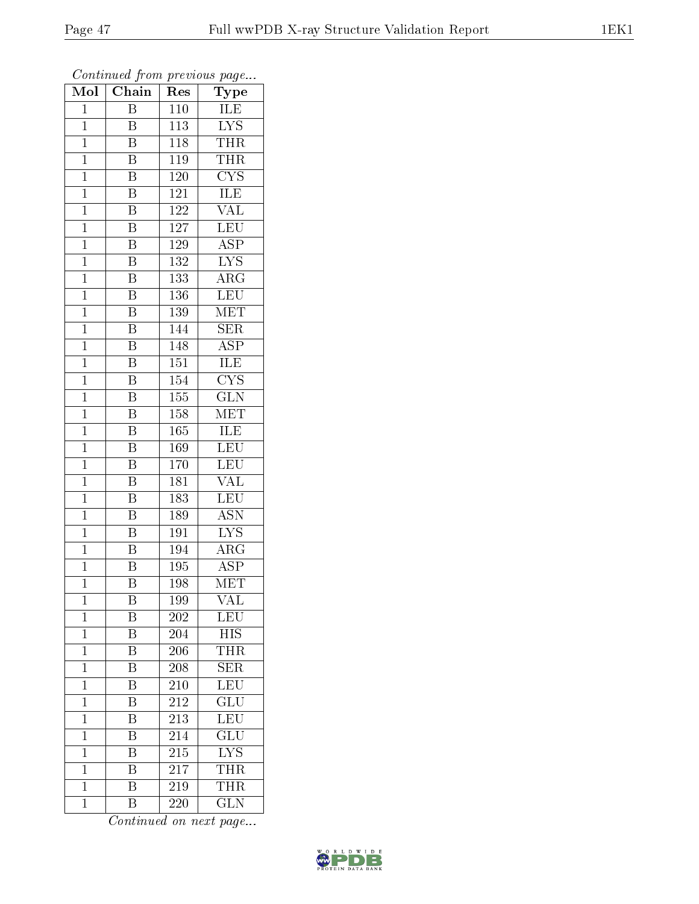| Mol            | Chain                   | Res              | Type                    |  |
|----------------|-------------------------|------------------|-------------------------|--|
| $\mathbf{1}$   | $\overline{B}$          | 110              | ILE                     |  |
| $\mathbf{1}$   | $\overline{B}$          | 113              | $\overline{\text{LYS}}$ |  |
| $\mathbf{1}$   | $\overline{\mathrm{B}}$ | 118              | <b>THR</b>              |  |
| $\mathbf{1}$   | $\overline{\mathrm{B}}$ | 119              | <b>THR</b>              |  |
| $\overline{1}$ | $\overline{\mathrm{B}}$ | 120              | $\overline{\text{CYS}}$ |  |
| $\mathbf{1}$   | $\boldsymbol{B}$        | 121              | ILE                     |  |
| $\overline{1}$ | $\overline{\mathrm{B}}$ | 122              | $\overline{\text{VAL}}$ |  |
| $\mathbf{1}$   | $\overline{\mathrm{B}}$ | 127              | LEU                     |  |
| $\mathbf{1}$   | $\, {\bf B}$            | 129              | <b>ASP</b>              |  |
| $\mathbf{1}$   | $\overline{B}$          | 132              | $\overline{\text{LYS}}$ |  |
| $\mathbf{1}$   | $\overline{\mathrm{B}}$ | 133              | $\overline{\rm{ARG}}$   |  |
| $\overline{1}$ | $\overline{\mathrm{B}}$ | 136              | LEU                     |  |
| $\mathbf{1}$   | $\overline{\mathrm{B}}$ | <b>139</b>       | $\overline{\text{MET}}$ |  |
| $\mathbf{1}$   | $\overline{\mathrm{B}}$ | 144              | $\overline{\text{SER}}$ |  |
| $\overline{1}$ | $\overline{\mathrm{B}}$ | 148              | $\overline{\text{ASP}}$ |  |
| $\mathbf{1}$   | Β                       | 151              | <b>ILE</b>              |  |
| $\overline{1}$ | $\overline{\mathrm{B}}$ | $\overline{154}$ | $\overline{\text{CYS}}$ |  |
| $\mathbf{1}$   | $\overline{\mathrm{B}}$ | 155              | $\overline{\text{GLN}}$ |  |
| $\mathbf 1$    | B                       | 158              | $\overline{\text{MET}}$ |  |
| $\mathbf{1}$   | $\overline{\mathrm{B}}$ | 165              | <b>ILE</b>              |  |
| $\overline{1}$ | $\overline{\mathrm{B}}$ | 169              | <b>LEU</b>              |  |
| $\overline{1}$ | $\overline{\text{B}}$   | 170              | <b>LEU</b>              |  |
| $\mathbf{1}$   | $\, {\bf B}$            | 181              | VAL                     |  |
| $\overline{1}$ | $\overline{\mathrm{B}}$ | 183              | <b>LEU</b>              |  |
| $\mathbf{1}$   | $\overline{\mathbf{B}}$ | <b>189</b>       | $\overline{\text{ASN}}$ |  |
| $\mathbf{1}$   | $\overline{\mathrm{B}}$ | $\overline{191}$ | $\overline{\text{LYS}}$ |  |
| $\mathbf{1}$   | $\overline{\mathrm{B}}$ | $\overline{194}$ | $\overline{\text{ARG}}$ |  |
| $\mathbf{1}$   | B                       | 195              | ASP                     |  |
| $\mathbf 1$    | $\overline{\mathrm{B}}$ | 198              | $\overline{\text{MET}}$ |  |
| 1              | Β                       | 199              | VAL                     |  |
| $\mathbf 1$    | Β                       | 202              | $\textrm{LEU}$          |  |
| $\mathbf 1$    | $\overline{\mathrm{B}}$ | $\overline{204}$ | <b>HIS</b>              |  |
| $\mathbf 1$    | Β                       | 206              | <b>THR</b>              |  |
| $\mathbf 1$    | $\overline{\mathrm{B}}$ | 208              | $\overline{\text{SER}}$ |  |
| $\mathbf{1}$   | B                       | 210              | LEU                     |  |
| $\mathbf 1$    | $\overline{\mathrm{B}}$ | $\overline{212}$ | $\overline{{\rm GLU}}$  |  |
| $\mathbf{1}$   | Β                       | 213              | LEU                     |  |
| $\mathbf 1$    | B                       | 214              | $\overline{\text{GLU}}$ |  |
| $\mathbf{1}$   | Β                       | 215              | $\overline{\text{LYS}}$ |  |
| $\mathbf 1$    | B                       | 217              | THR                     |  |
| $\mathbf 1$    | $\overline{\mathrm{B}}$ | 219              | <b>THR</b>              |  |
| $\mathbf{1}$   | $\overline{\mathrm{B}}$ | 220              | $\overline{\text{GLN}}$ |  |

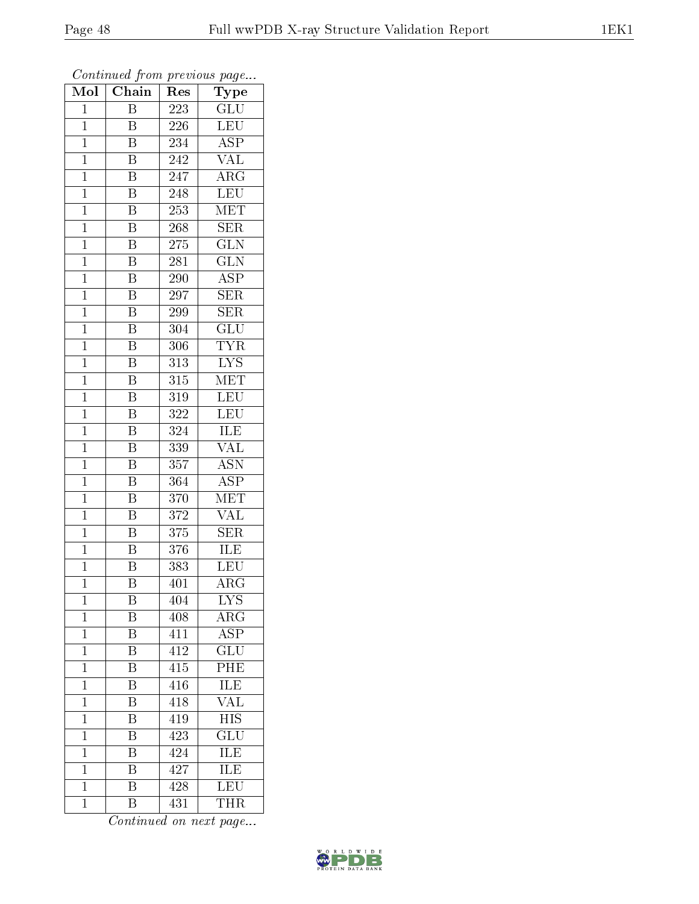| Mol            | $\overline{\text{Chain}}$ | Res              | Type                      |
|----------------|---------------------------|------------------|---------------------------|
| $\mathbf 1$    | Β                         | 223              | GLU                       |
| $\mathbf 1$    | B                         | 226              | LEU                       |
| $\mathbf{1}$   | Β                         | 234              | $\overline{\rm ASP}$      |
| $\overline{1}$ | $\overline{\mathrm{B}}$   | $\overline{242}$ | $\overline{\text{VAL}}$   |
| $\overline{1}$ | $\overline{\mathrm{B}}$   | 247              | $\overline{\rm{ARG}}$     |
| $\mathbf{1}$   | $\boldsymbol{B}$          | 248              | <b>LEU</b>                |
| $\mathbf{1}$   | $\overline{\mathrm{B}}$   | 253              | $\overline{\text{MET}}$   |
| $\mathbf{1}$   | $\overline{\mathrm{B}}$   | 268              | <b>SER</b>                |
| $\mathbf{1}$   | $\overline{\mathrm{B}}$   | 275              | $\overline{\text{GLN}}$   |
| $\overline{1}$ | $\overline{\mathrm{B}}$   | 281              | $\overline{\text{GLN}}$   |
| $\mathbf{1}$   | B                         | 290              | $\overline{\text{ASP}}$   |
| $\mathbf{1}$   | $\overline{\mathrm{B}}$   | 297              | $\overline{\text{SER}}$   |
| $\mathbf{1}$   | $\overline{\mathrm{B}}$   | 299              | <b>SER</b>                |
| $\overline{1}$ | B                         | 304              | $\overline{\text{GLU}}$   |
| $\overline{1}$ | $\overline{\mathrm{B}}$   | 306              | <b>TYR</b>                |
| $\mathbf{1}$   | B                         | 313              | <b>LYS</b>                |
| $\overline{1}$ | $\overline{\mathrm{B}}$   | $\overline{315}$ | $\overline{\text{MET}}$   |
| $\mathbf{1}$   | $\, {\bf B}$              | 319              | <b>LEU</b>                |
| $\overline{1}$ | B                         | 322              | $\overline{\text{LEU}}$   |
| $\overline{1}$ | Β                         | 324              | <b>ILE</b>                |
| $\mathbf{1}$   | $\overline{\mathrm{B}}$   | 339              | $\overline{\text{VAL}}$   |
| $\mathbf{1}$   | $\overline{\mathrm{B}}$   | 357              | $\overline{\mathrm{ASN}}$ |
| $\mathbf 1$    | B                         | 364              | $\overline{\text{ASP}}$   |
| $\overline{1}$ | $\overline{\mathrm{B}}$   | $\overline{370}$ | $\overline{\text{MET}}$   |
| $\mathbf{1}$   | $\overline{\mathbf{B}}$   | 372              | VAL                       |
| $\mathbf{1}$   | $\overline{\mathrm{B}}$   | 375              | <b>SER</b>                |
| $\mathbf{1}$   | $\overline{\mathrm{B}}$   | 376              | ILE                       |
| $\overline{1}$ | $\overline{\mathrm{B}}$   | 383              | <b>LEU</b>                |
| $\overline{1}$ | $\overline{\textrm{B}}$   | 401              | $\overline{\rm{ARG}}$     |
| $\mathbf 1$    | Β                         | 404              | <b>LYS</b>                |
| $\mathbf{1}$   | Β                         | 408              | ${\rm ARG}$               |
| $\mathbf{1}$   | $\overline{\mathrm{B}}$   | 411              | $\overline{\rm ASP}$      |
| $\mathbf 1$    | Β                         | $41\overline{2}$ | GLU                       |
| $\mathbf 1$    | $\overline{\mathrm{B}}$   | $\overline{415}$ | $\overline{\text{PHE}}$   |
| $\mathbf 1$    | Β                         | 416              | ILE                       |
| $\mathbf 1$    | $\overline{\mathrm{B}}$   | 418              | $\overline{\text{VAL}}$   |
| $\mathbf 1$    | Β                         | 419              | <b>HIS</b>                |
| $\mathbf 1$    | B                         | 423              | $\overline{\text{GLU}}$   |
| $\mathbf 1$    | Β                         | 424              | ILE                       |
| $\mathbf 1$    | B                         | 427              | ILE                       |
| $\mathbf{1}$   | $\overline{\mathrm{B}}$   | 428              | $\overline{\text{LEU}}$   |
| $\mathbf 1$    | B                         | 431              | <b>THR</b>                |

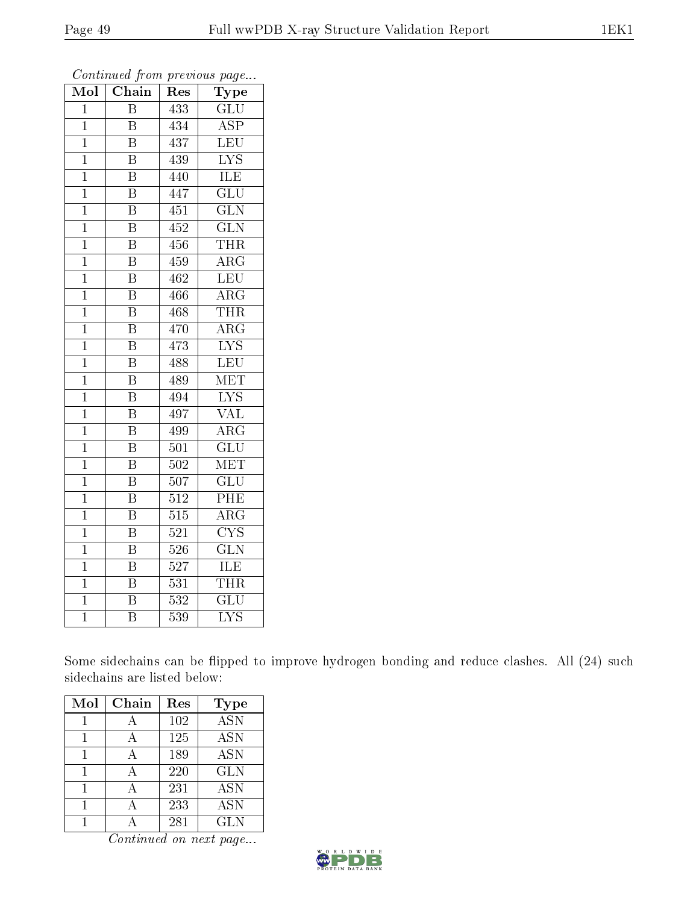| Mol            | Chain                   | Res | Type                                |
|----------------|-------------------------|-----|-------------------------------------|
| $\mathbf 1$    | B                       | 433 | GLU                                 |
| $\overline{1}$ | $\overline{\mathrm{B}}$ | 434 | $\overline{\text{ASP}}$             |
| $\mathbf{1}$   | $\overline{\mathrm{B}}$ | 437 | LEU                                 |
| $\overline{1}$ | $\overline{\mathrm{B}}$ | 439 | $\overline{\mathrm{LYS}}$           |
| $\overline{1}$ | $\overline{\mathrm{B}}$ | 440 | <b>ILE</b>                          |
| $\mathbf 1$    | B                       | 447 | $\overline{{\rm GLU}}$              |
| $\overline{1}$ | $\overline{\mathrm{B}}$ | 451 | $\overline{\text{GLN}}$             |
| $\mathbf 1$    | $\overline{\mathrm{B}}$ | 452 | $\overline{\text{GLN}}$             |
| $\mathbf 1$    | $\overline{\mathrm{B}}$ | 456 | THR                                 |
| $\overline{1}$ | $\overline{\mathrm{B}}$ | 459 | $\overline{\rm ARG}$                |
| $\overline{1}$ | $\overline{\mathrm{B}}$ | 462 | $\overline{\text{LEU}}$             |
| $\mathbf 1$    | $\overline{\mathrm{B}}$ | 466 | $\overline{\rm{ARG}}$               |
| $\overline{1}$ | $\overline{\mathrm{B}}$ | 468 | <b>THR</b>                          |
| $\mathbf{1}$   | $\overline{\mathrm{B}}$ | 470 | $\overline{\rm ARG}$                |
| $\mathbf 1$    | $\overline{\mathrm{B}}$ | 473 | $\overline{\text{LYS}}$             |
| $\overline{1}$ | $\overline{\mathrm{B}}$ | 488 | LEU                                 |
| $\overline{1}$ | $\overline{\mathrm{B}}$ | 489 | <b>MET</b>                          |
| $\mathbf 1$    | B                       | 494 | $\overline{\text{LYS}}$             |
| $\overline{1}$ | $\overline{\mathrm{B}}$ | 497 | VAL                                 |
| $\mathbf 1$    | $\overline{\mathrm{B}}$ | 499 | $\overline{\rm{ARG}}$               |
| $\mathbf 1$    | B                       | 501 | $\overline{\text{GLU}}$             |
| $\overline{1}$ | $\overline{\mathrm{B}}$ | 502 | $\overline{\text{MET}}$             |
| $\mathbf 1$    | B                       | 507 | $\overline{\text{GLU}}$             |
| $\mathbf 1$    | $\overline{\mathrm{B}}$ | 512 | PHE                                 |
| $\mathbf 1$    | $\overline{\mathrm{B}}$ | 515 | $\rm{ARG}$                          |
| $\mathbf 1$    | B                       | 521 | $\overline{\mathrm{C} \mathrm{YS}}$ |
| $\mathbf 1$    | $\overline{\mathrm{B}}$ | 526 | $\overline{\text{GLN}}$             |
| $\mathbf 1$    | B                       | 527 | ILE                                 |
| $\mathbf{1}$   | $\overline{\mathrm{B}}$ | 531 | THR                                 |
| $\overline{1}$ | $\overline{B}$          | 532 | $\overline{\text{GLU}}$             |
| $\overline{1}$ | $\overline{\mathrm{B}}$ | 539 | $\overline{\mathrm{LYS}}$           |

Some sidechains can be flipped to improve hydrogen bonding and reduce clashes. All (24) such sidechains are listed below:

| Mol | Chain | Res | <b>Type</b> |
|-----|-------|-----|-------------|
|     |       | 102 | <b>ASN</b>  |
|     |       | 125 | <b>ASN</b>  |
|     | А     | 189 | <b>ASN</b>  |
|     |       | 220 | <b>GLN</b>  |
|     |       | 231 | <b>ASN</b>  |
|     |       | 233 | <b>ASN</b>  |
|     |       | 281 | <b>GLN</b>  |

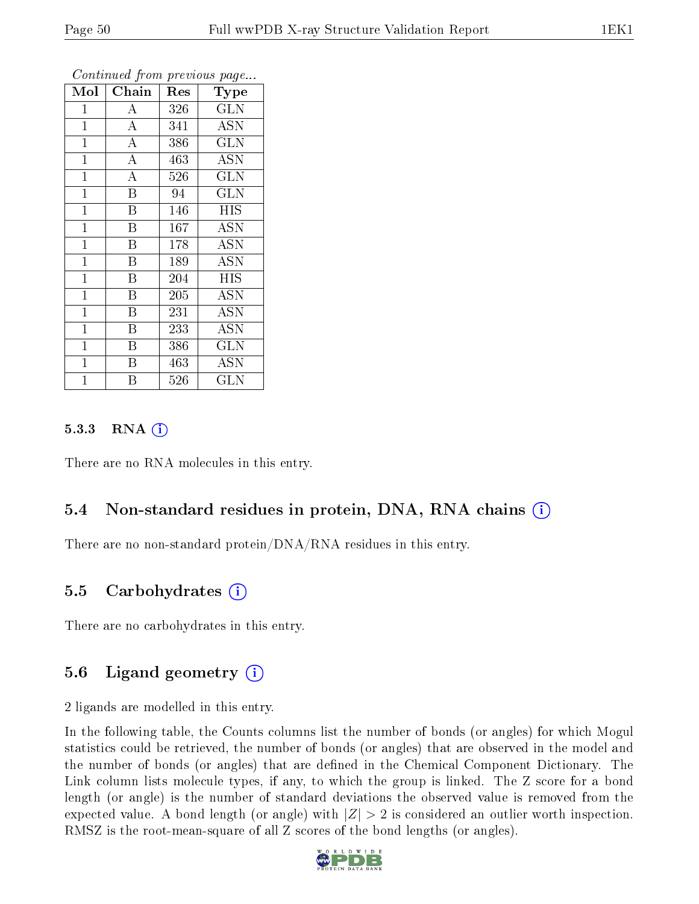| Mol            | Chain                   | Res | Type                    |
|----------------|-------------------------|-----|-------------------------|
| $\mathbf 1$    | А                       | 326 | GLN                     |
| $\mathbf{1}$   | $\boldsymbol{A}$        | 341 | <b>ASN</b>              |
| $\mathbf{1}$   | $\overline{\rm A}$      | 386 | <b>GLN</b>              |
| $\overline{1}$ | $\overline{A}$          | 463 | ASN                     |
| $\overline{1}$ | $\overline{A}$          | 526 | <b>GLN</b>              |
| $\mathbf{1}$   | $\overline{\mathrm{B}}$ | 94  | <b>GLN</b>              |
| $\mathbf 1$    | $\overline{B}$          | 146 | <b>HIS</b>              |
| $\mathbf 1$    | B                       | 167 | <b>ASN</b>              |
| $\mathbf{1}$   | Β                       | 178 | <b>ASN</b>              |
| $\mathbf{1}$   | $\overline{\mathrm{B}}$ | 189 | $\overline{ASN}$        |
| $\mathbf{1}$   | $\boldsymbol{B}$        | 204 | <b>HIS</b>              |
| $\overline{1}$ | $\overline{\mathrm{B}}$ | 205 | $\overline{ASN}$        |
| $\mathbf{1}$   | $\overline{B}$          | 231 | <b>ASN</b>              |
| $\mathbf{1}$   | $\boldsymbol{B}$        | 233 | <b>ASN</b>              |
| $\mathbf 1$    | Β                       | 386 | $\overline{\text{GLN}}$ |
| $\mathbf 1$    | Β                       | 463 | <b>ASN</b>              |
| $\mathbf 1$    | Β                       | 526 | <b>GLN</b>              |

#### 5.3.3 RNA (1)

There are no RNA molecules in this entry.

#### 5.4 Non-standard residues in protein, DNA, RNA chains (i)

There are no non-standard protein/DNA/RNA residues in this entry.

#### 5.5 Carbohydrates (i)

There are no carbohydrates in this entry.

#### 5.6 Ligand geometry  $(i)$

2 ligands are modelled in this entry.

In the following table, the Counts columns list the number of bonds (or angles) for which Mogul statistics could be retrieved, the number of bonds (or angles) that are observed in the model and the number of bonds (or angles) that are dened in the Chemical Component Dictionary. The Link column lists molecule types, if any, to which the group is linked. The Z score for a bond length (or angle) is the number of standard deviations the observed value is removed from the expected value. A bond length (or angle) with  $|Z| > 2$  is considered an outlier worth inspection. RMSZ is the root-mean-square of all Z scores of the bond lengths (or angles).

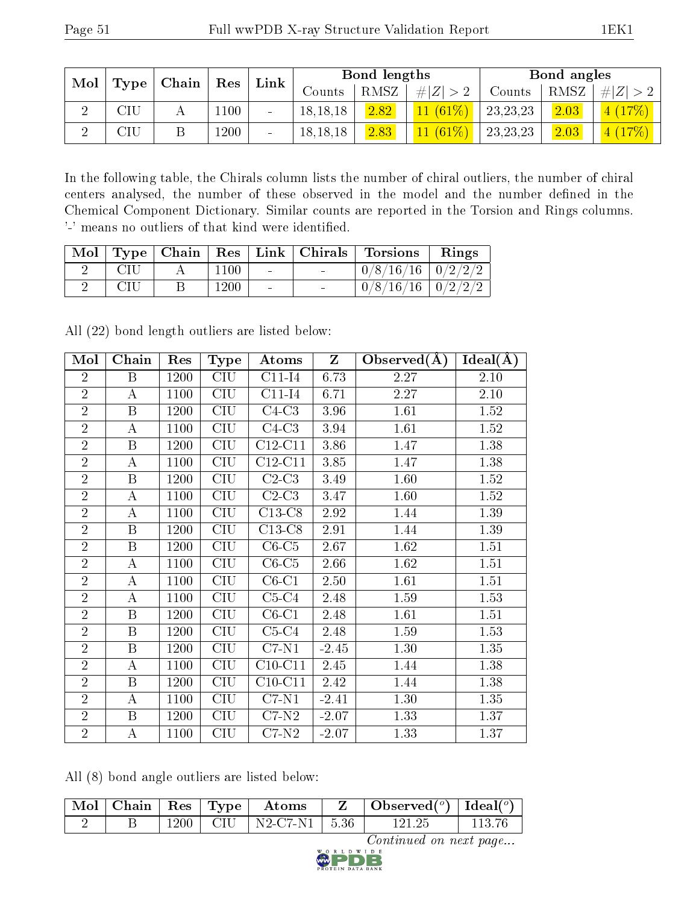| Mol |                                     | Chain |      | Link   |            | Bond lengths |            |            | Bond angles |       |
|-----|-------------------------------------|-------|------|--------|------------|--------------|------------|------------|-------------|-------|
|     | Type                                |       | Res  |        | Counts     | RMSZ         | $\# Z $    | Counts     | RMSZ        | H Z   |
|     | $\mathop{\rm SU}\nolimits$          |       | 1100 | $\sim$ | 18, 18, 18 | 2.82         | $11(61\%)$ | 23, 23, 23 | 2.03        | $7\%$ |
|     | $\mathop{\rm T\mathit{I}}\nolimits$ |       | 1200 |        | 18, 18, 18 | 2.83         | (61%)      | 23, 23, 23 | 2.03        | $7\%$ |

In the following table, the Chirals column lists the number of chiral outliers, the number of chiral centers analysed, the number of these observed in the model and the number defined in the Chemical Component Dictionary. Similar counts are reported in the Torsion and Rings columns. '-' means no outliers of that kind were identified.

|     |      |                          |                                   | Mol   Type   Chain   Res   Link   Chirals   Torsions   Rings |  |
|-----|------|--------------------------|-----------------------------------|--------------------------------------------------------------|--|
| CIU | 1100 | <b>Contract Contract</b> | <b>Contract Contract Contract</b> | $0/8/16/16$   $0/2/2/2$                                      |  |
|     | 1200 |                          |                                   | $0/8/16/16$   $0/2/2/2$                                      |  |

All (22) bond length outliers are listed below:

| Mol            | Chain                   | Res  | <b>Type</b>             | Atoms     | $\mathbf{Z}$ | Observed $(A)$ | Ideal(A) |
|----------------|-------------------------|------|-------------------------|-----------|--------------|----------------|----------|
| $\overline{2}$ | $\boldsymbol{B}$        | 1200 | CIU                     | $C11-I4$  | 6.73         | 2.27           | 2.10     |
| $\overline{2}$ | А                       | 1100 | CIU                     | $C11-I4$  | 6.71         | 2.27           | 2.10     |
| $\overline{2}$ | $\boldsymbol{B}$        | 1200 | <b>CIU</b>              | $C4-C3$   | 3.96         | 1.61           | 1.52     |
| $\overline{2}$ | А                       | 1100 | <b>CIU</b>              | $C4-C3$   | 3.94         | 1.61           | 1.52     |
| $\overline{2}$ | $\mathbf B$             | 1200 | <b>CIU</b>              | $C12-C11$ | 3.86         | 1.47           | 1.38     |
| $\overline{2}$ | А                       | 1100 | CIU                     | $C12-C11$ | 3.85         | 1.47           | 1.38     |
| $\overline{2}$ | B                       | 1200 | CIU                     | $C2-C3$   | 3.49         | 1.60           | 1.52     |
| $\overline{2}$ | А                       | 1100 | $\overline{\text{CIU}}$ | $C2-C3$   | 3.47         | 1.60           | 1.52     |
| $\overline{2}$ | А                       | 1100 | <b>CIU</b>              | $C13-C8$  | 2.92         | 1.44           | 1.39     |
| $\overline{2}$ | $\boldsymbol{B}$        | 1200 | <b>CIU</b>              | $C13-C8$  | 2.91         | 1.44           | 1.39     |
| $\overline{2}$ | $\boldsymbol{B}$        | 1200 | CIU                     | $C6-C5$   | 2.67         | 1.62           | 1.51     |
| $\overline{2}$ | А                       | 1100 | CIU                     | $C6-C5$   | 2.66         | 1.62           | 1.51     |
| $\overline{2}$ | А                       | 1100 | <b>CIU</b>              | $C6-C1$   | 2.50         | 1.61           | 1.51     |
| $\overline{2}$ | Α                       | 1100 | <b>CIU</b>              | $C5-C4$   | 2.48         | 1.59           | 1.53     |
| $\overline{2}$ | $\overline{\mathrm{B}}$ | 1200 | $\overline{\text{CIU}}$ | $C6-C1$   | 2.48         | 1.61           | 1.51     |
| $\overline{2}$ | $\boldsymbol{B}$        | 1200 | <b>CIU</b>              | $C5-C4$   | 2.48         | 1.59           | 1.53     |
| $\overline{2}$ | $\boldsymbol{B}$        | 1200 | <b>CIU</b>              | $C7-N1$   | $-2.45$      | 1.30           | 1.35     |
| $\overline{2}$ | A                       | 1100 | CIU                     | $C10-C11$ | 2.45         | 1.44           | 1.38     |
| $\overline{2}$ | $\, {\bf B}$            | 1200 | CIU                     | $C10-C11$ | 2.42         | 1.44           | 1.38     |
| $\overline{2}$ | А                       | 1100 | CIU                     | $C7-N1$   | $-2.41$      | 1.30           | 1.35     |
| $\overline{2}$ | $\boldsymbol{B}$        | 1200 | CIU                     | $C7-N2$   | $-2.07$      | 1.33           | 1.37     |
| $\overline{2}$ | А                       | 1100 | CIU                     | $C7-N2$   | $-2.07$      | 1.33           | 1.37     |

All (8) bond angle outliers are listed below:

| $\parallel$ Mol $\parallel$ Chain $\parallel$ Res $\parallel$ Type $\parallel$ |      |         | Atoms    |         | Observed <sup>(<math>\circ</math>)</sup> [deal( $\circ$ ) |  |
|--------------------------------------------------------------------------------|------|---------|----------|---------|-----------------------------------------------------------|--|
|                                                                                | 1200 | - CHU - | N2-C7-N1 | $-5.36$ | 191 95                                                    |  |

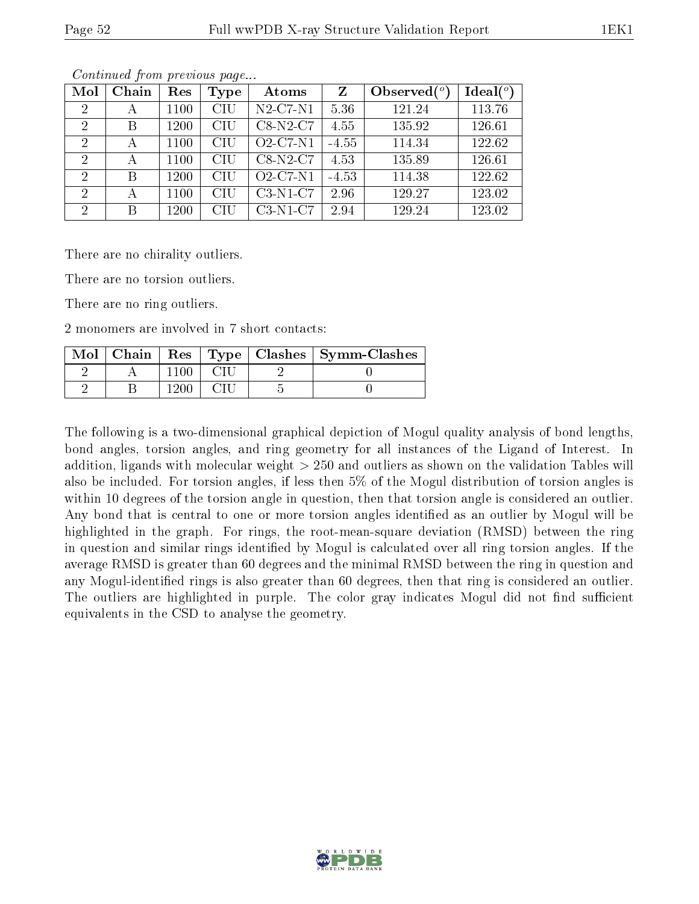| Mol            | Chain | Res  | Type | Atoms          |         | Observed $(°)$ | Ideal $(°)$ |
|----------------|-------|------|------|----------------|---------|----------------|-------------|
| $\overline{2}$ | А     | 1100 | CIU  | $N2$ -C7- $N1$ | 5.36    | 121.24         | 113.76      |
| 2              | B     | 1200 | CIU  | $C8-N2-C7$     | 4.55    | 135.92         | 126.61      |
| $\mathcal{D}$  | А     | 1100 | CIU  | $O2$ -C7-N1    | $-4.55$ | 114.34         | 122.62      |
| $\overline{2}$ | А     | 1100 | CHU  | $C8-N2-C7$     | 4.53    | 135.89         | 126.61      |
| $\overline{2}$ | B     | 1200 | CHU  | $O2$ -C7-N1    | $-4.53$ | 114.38         | 122.62      |
| $\overline{2}$ | А     | 1100 | CIU  | $C3-N1-C7$     | 2.96    | 129.27         | 123.02      |
| $\mathcal{D}$  | B     | 1200 | CHU  | $C3-N1-C7$     | 2.94    | 129.24         | 123.02      |

Continued from previous page...

There are no chirality outliers.

There are no torsion outliers.

There are no ring outliers.

2 monomers are involved in 7 short contacts:

| Mol | Chain |  | Res   Type   Clashes   Symm-Clashes |
|-----|-------|--|-------------------------------------|
|     |       |  |                                     |
|     |       |  |                                     |

The following is a two-dimensional graphical depiction of Mogul quality analysis of bond lengths, bond angles, torsion angles, and ring geometry for all instances of the Ligand of Interest. In addition, ligands with molecular weight > 250 and outliers as shown on the validation Tables will also be included. For torsion angles, if less then 5% of the Mogul distribution of torsion angles is within 10 degrees of the torsion angle in question, then that torsion angle is considered an outlier. Any bond that is central to one or more torsion angles identified as an outlier by Mogul will be highlighted in the graph. For rings, the root-mean-square deviation (RMSD) between the ring in question and similar rings identified by Mogul is calculated over all ring torsion angles. If the average RMSD is greater than 60 degrees and the minimal RMSD between the ring in question and any Mogul-identified rings is also greater than 60 degrees, then that ring is considered an outlier. The outliers are highlighted in purple. The color gray indicates Mogul did not find sufficient equivalents in the CSD to analyse the geometry.

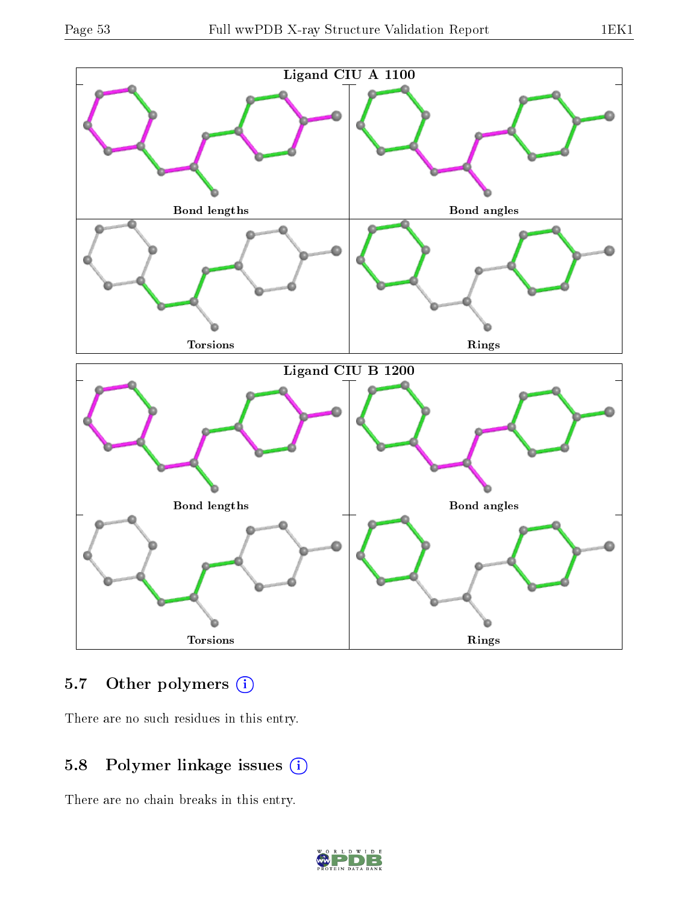



### 5.7 [O](https://www.wwpdb.org/validation/2017/XrayValidationReportHelp#nonstandard_residues_and_ligands)ther polymers (i)

There are no such residues in this entry.

## 5.8 Polymer linkage issues (i)

There are no chain breaks in this entry.